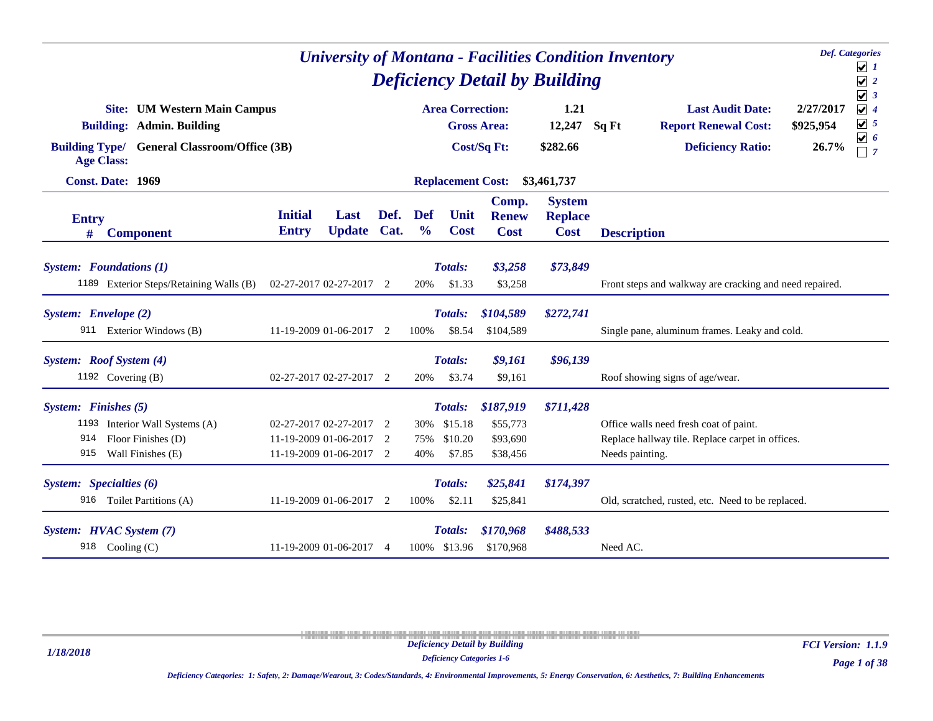|                      |                                                                           |                                                                               |                            |      |                             |                                  | <b>University of Montana - Facilities Condition Inventory</b> |                                                |       |                                                                                                               |                        | <b>Def.</b> Categories<br>$\boxed{\mathbf{v}}$ 1 |
|----------------------|---------------------------------------------------------------------------|-------------------------------------------------------------------------------|----------------------------|------|-----------------------------|----------------------------------|---------------------------------------------------------------|------------------------------------------------|-------|---------------------------------------------------------------------------------------------------------------|------------------------|--------------------------------------------------|
|                      |                                                                           |                                                                               |                            |      |                             |                                  | <b>Deficiency Detail by Building</b>                          |                                                |       |                                                                                                               |                        | $\sqrt{2}$<br>$\sqrt{3}$                         |
|                      | <b>Site:</b> UM Western Main Campus<br><b>Building: Admin. Building</b>   |                                                                               |                            |      |                             | <b>Area Correction:</b>          | <b>Gross Area:</b>                                            | 1.21<br>12,247                                 | Sq Ft | <b>Last Audit Date:</b><br><b>Report Renewal Cost:</b>                                                        | 2/27/2017<br>\$925,954 | $\sqrt{4}$<br>$\boxed{\mathbf{v}}$ 5             |
|                      | <b>Building Type/ General Classroom/Office (3B)</b><br><b>Age Class:</b>  |                                                                               |                            |      |                             |                                  | Cost/Sq Ft:                                                   | \$282.66                                       |       | <b>Deficiency Ratio:</b>                                                                                      | 26.7%                  | $\boxed{\mathbf{v}}$ 6<br>$\Box$ 7               |
|                      | <b>Const. Date: 1969</b>                                                  |                                                                               |                            |      |                             | <b>Replacement Cost:</b>         |                                                               | \$3,461,737                                    |       |                                                                                                               |                        |                                                  |
| <b>Entry</b><br>#    | <b>Component</b>                                                          | <b>Initial</b><br><b>Entry</b>                                                | Last<br><b>Update Cat.</b> | Def. | <b>Def</b><br>$\frac{6}{6}$ | Unit<br><b>Cost</b>              | Comp.<br><b>Renew</b><br><b>Cost</b>                          | <b>System</b><br><b>Replace</b><br><b>Cost</b> |       | <b>Description</b>                                                                                            |                        |                                                  |
|                      | <b>System:</b> Foundations (1)<br>1189 Exterior Steps/Retaining Walls (B) | 02-27-2017 02-27-2017 2                                                       |                            |      | 20%                         | Totals:<br>\$1.33                | \$3,258<br>\$3,258                                            | \$73,849                                       |       | Front steps and walkway are cracking and need repaired.                                                       |                        |                                                  |
| System: Envelope (2) |                                                                           |                                                                               |                            |      |                             | Totals:                          | \$104,589                                                     | \$272,741                                      |       |                                                                                                               |                        |                                                  |
|                      | 911 Exterior Windows (B)                                                  | 11-19-2009 01-06-2017 2                                                       |                            |      | 100%                        | \$8.54                           | \$104,589                                                     |                                                |       | Single pane, aluminum frames. Leaky and cold.                                                                 |                        |                                                  |
|                      | System: Roof System (4)<br>1192 Covering (B)                              | 02-27-2017 02-27-2017 2                                                       |                            |      | 20%                         | <b>Totals:</b><br>\$3.74         | \$9,161<br>\$9,161                                            | \$96,139                                       |       | Roof showing signs of age/wear.                                                                               |                        |                                                  |
| System: Finishes (5) |                                                                           |                                                                               |                            |      |                             | Totals:                          | \$187,919                                                     | \$711,428                                      |       |                                                                                                               |                        |                                                  |
| 914<br>915           | 1193 Interior Wall Systems (A)<br>Floor Finishes (D)<br>Wall Finishes (E) | 02-27-2017 02-27-2017 2<br>11-19-2009 01-06-2017 2<br>11-19-2009 01-06-2017 2 |                            |      | 75%<br>40%                  | 30% \$15.18<br>\$10.20<br>\$7.85 | \$55,773<br>\$93,690<br>\$38,456                              |                                                |       | Office walls need fresh coat of paint.<br>Replace hallway tile. Replace carpet in offices.<br>Needs painting. |                        |                                                  |
|                      | System: Specialties (6)<br>916 Toilet Partitions (A)                      | 11-19-2009 01-06-2017 2                                                       |                            |      | 100%                        | Totals:<br>\$2.11                | \$25,841<br>\$25,841                                          | \$174,397                                      |       | Old, scratched, rusted, etc. Need to be replaced.                                                             |                        |                                                  |
|                      | System: HVAC System (7)                                                   |                                                                               |                            |      |                             | <b>Totals:</b>                   | \$170,968                                                     | \$488,533                                      |       |                                                                                                               |                        |                                                  |
|                      | 918 Cooling (C)                                                           | 11-19-2009 01-06-2017 4                                                       |                            |      | 100% \$13.96                | \$170,968                        |                                                               | Need AC.                                       |       |                                                                                                               |                        |                                                  |

*1/18/2018*

*Deficiency Categories 1-6*

*Page 1 of 38 FCI Version: 1.1.9*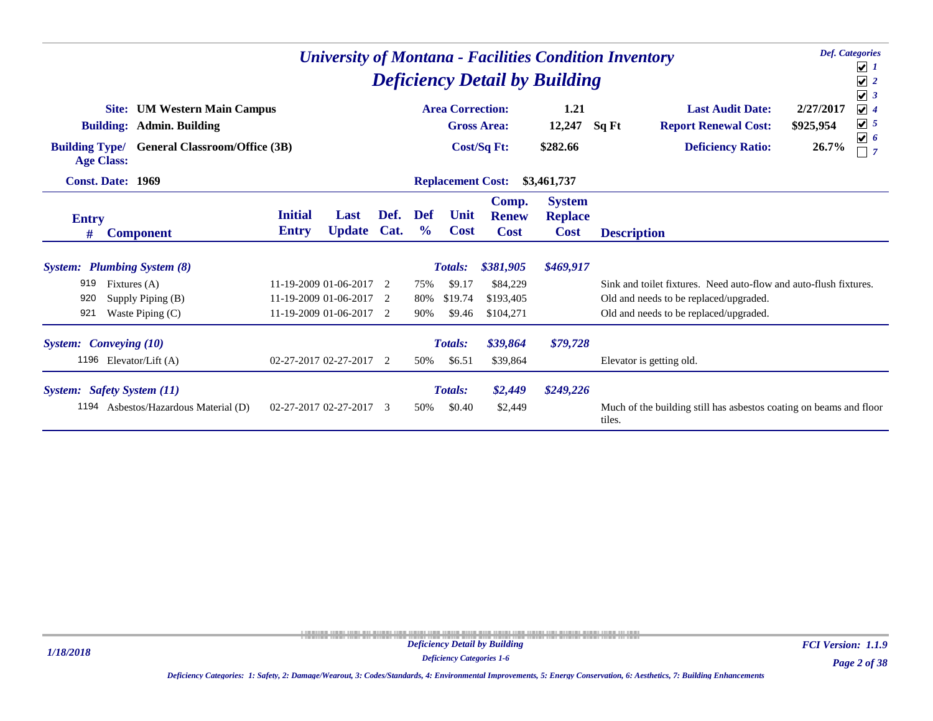|                                                           |                                                                                                           |                                                  |                       |                          |                              |                          |                                      | <b>Deficiency Detail by Building</b>           | <b>Def.</b> Categories<br><b>University of Montana - Facilities Condition Inventory</b><br>$\overline{\mathcal{V}}$ 1<br>$\sqrt{2}$<br>$\sqrt{3}$                                                |                |
|-----------------------------------------------------------|-----------------------------------------------------------------------------------------------------------|--------------------------------------------------|-----------------------|--------------------------|------------------------------|--------------------------|--------------------------------------|------------------------------------------------|--------------------------------------------------------------------------------------------------------------------------------------------------------------------------------------------------|----------------|
| Site:<br><b>Building Type/</b><br><b>Age Class:</b>       | <b>UM Western Main Campus</b><br><b>Building: Admin. Building</b><br><b>General Classroom/Office (3B)</b> |                                                  |                       |                          |                              | <b>Area Correction:</b>  | <b>Gross Area:</b><br>Cost/Sq Ft:    | 1.21<br>12,247<br>\$282.66                     | $\sqrt{4}$<br><b>Last Audit Date:</b><br>2/27/2017<br>$\boxed{\mathbf{v}}$ 5<br><b>Report Renewal Cost:</b><br>\$925,954<br>Sq Ft<br>$\boxed{\mathbf{v}}$ 6<br><b>Deficiency Ratio:</b><br>26.7% | $\overline{7}$ |
| <b>Const. Date: 1969</b>                                  |                                                                                                           |                                                  |                       |                          |                              | <b>Replacement Cost:</b> |                                      | \$3,461,737                                    |                                                                                                                                                                                                  |                |
| <b>Entry</b><br>#                                         | <b>Component</b>                                                                                          | <b>Initial</b><br><b>Entry</b>                   | Last<br><b>Update</b> | Def.<br>Cat.             | <b>Def</b><br>$\frac{6}{10}$ | Unit<br><b>Cost</b>      | Comp.<br><b>Renew</b><br><b>Cost</b> | <b>System</b><br><b>Replace</b><br><b>Cost</b> | <b>Description</b>                                                                                                                                                                               |                |
| <b>System:</b> Plumbing System (8)                        |                                                                                                           |                                                  |                       |                          |                              | <b>Totals:</b>           | \$381,905                            | \$469,917                                      |                                                                                                                                                                                                  |                |
| 919                                                       | Fixtures $(A)$                                                                                            | 11-19-2009 01-06-2017                            |                       | $\overline{\phantom{a}}$ | 75%                          | \$9.17                   | \$84,229                             |                                                | Sink and toilet fixtures. Need auto-flow and auto-flush fixtures.                                                                                                                                |                |
| 920<br>921                                                | Supply Piping (B)<br>Waste Piping $(C)$                                                                   | 11-19-2009 01-06-2017 2<br>11-19-2009 01-06-2017 |                       | 2                        | 80%<br>90%                   | \$19.74<br>\$9.46        | \$193,405<br>\$104,271               |                                                | Old and needs to be replaced/upgraded.<br>Old and needs to be replaced/upgraded.                                                                                                                 |                |
| <b>System:</b> Conveying (10)<br>1196 Elevator/Lift $(A)$ |                                                                                                           | 02-27-2017 02-27-2017                            |                       | 2                        | 50%                          | <b>Totals:</b><br>\$6.51 | \$39,864<br>\$39,864                 | \$79,728                                       | Elevator is getting old.                                                                                                                                                                         |                |
| System: Safety System (11)<br>1194                        | Asbestos/Hazardous Material (D)                                                                           | 02-27-2017 02-27-2017                            |                       | $\mathcal{R}$            | 50%                          | <b>Totals:</b><br>\$0.40 | \$2,449<br>\$2,449                   | \$249,226                                      | Much of the building still has asbestos coating on beams and floor<br>tiles.                                                                                                                     |                |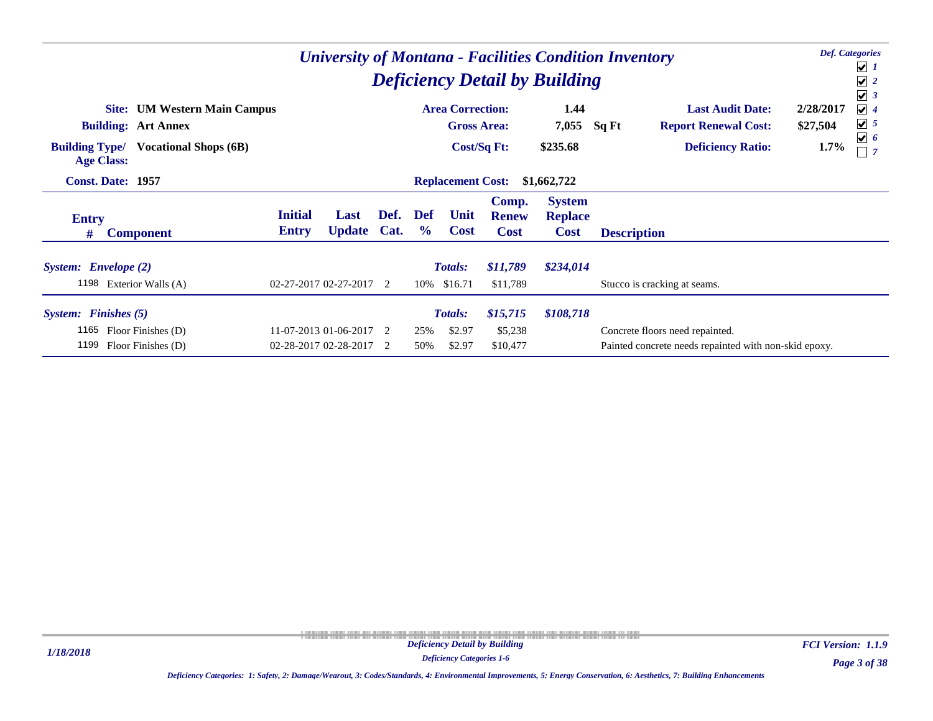|                                                 |                                                                   |                                | <b>University of Montana - Facilities Condition Inventory</b><br><b>Deficiency Detail by Building</b> |                |                      |                                               |                                      |                                                |                                                                                          |                                                        |                       | <b>Def.</b> Categories<br>$\bigcup$ 1<br>$\sqrt{2}$<br>$\sqrt{3}$ |
|-------------------------------------------------|-------------------------------------------------------------------|--------------------------------|-------------------------------------------------------------------------------------------------------|----------------|----------------------|-----------------------------------------------|--------------------------------------|------------------------------------------------|------------------------------------------------------------------------------------------|--------------------------------------------------------|-----------------------|-------------------------------------------------------------------|
|                                                 | <b>Site:</b> UM Western Main Campus<br><b>Building: Art Annex</b> |                                |                                                                                                       |                |                      | <b>Area Correction:</b><br><b>Gross Area:</b> |                                      | 1.44<br>7,055                                  | Sq Ft                                                                                    | <b>Last Audit Date:</b><br><b>Report Renewal Cost:</b> | 2/28/2017<br>\$27,504 | $\sqrt{4}$<br>$\sqrt{5}$                                          |
| <b>Building Type/</b><br><b>Age Class:</b>      | <b>Vocational Shops (6B)</b>                                      |                                |                                                                                                       |                |                      |                                               | Cost/Sq Ft:                          | \$235.68                                       |                                                                                          | <b>Deficiency Ratio:</b>                               | 1.7%                  | $\boxed{\mathbf{v}}$ 6                                            |
| <b>Const. Date: 1957</b>                        |                                                                   |                                |                                                                                                       |                |                      | <b>Replacement Cost:</b>                      |                                      | \$1,662,722                                    |                                                                                          |                                                        |                       |                                                                   |
| <b>Entry</b><br>#                               | <b>Component</b>                                                  | <b>Initial</b><br><b>Entry</b> | Last<br><b>Update</b>                                                                                 | Def.<br>Cat.   | Def<br>$\frac{6}{9}$ | Unit<br><b>Cost</b>                           | Comp.<br><b>Renew</b><br><b>Cost</b> | <b>System</b><br><b>Replace</b><br><b>Cost</b> | <b>Description</b>                                                                       |                                                        |                       |                                                                   |
| System: Envelope (2)<br>1198 Exterior Walls (A) |                                                                   | 02-27-2017 02-27-2017 2        |                                                                                                       |                |                      | <b>Totals:</b><br>10% \$16.71                 | \$11,789<br>\$11,789                 | \$234,014                                      | Stucco is cracking at seams.                                                             |                                                        |                       |                                                                   |
| System: Finishes (5)                            |                                                                   |                                |                                                                                                       |                |                      | Totals:                                       | \$15,715                             | \$108,718                                      |                                                                                          |                                                        |                       |                                                                   |
| 1165<br>1199                                    | Floor Finishes (D)<br>Floor Finishes (D)                          | 02-28-2017 02-28-2017          | 11-07-2013 01-06-2017                                                                                 | $\overline{2}$ | 25%<br>50%           | \$2.97<br>\$2.97                              | \$5,238<br>\$10,477                  |                                                | Concrete floors need repainted.<br>Painted concrete needs repainted with non-skid epoxy. |                                                        |                       |                                                                   |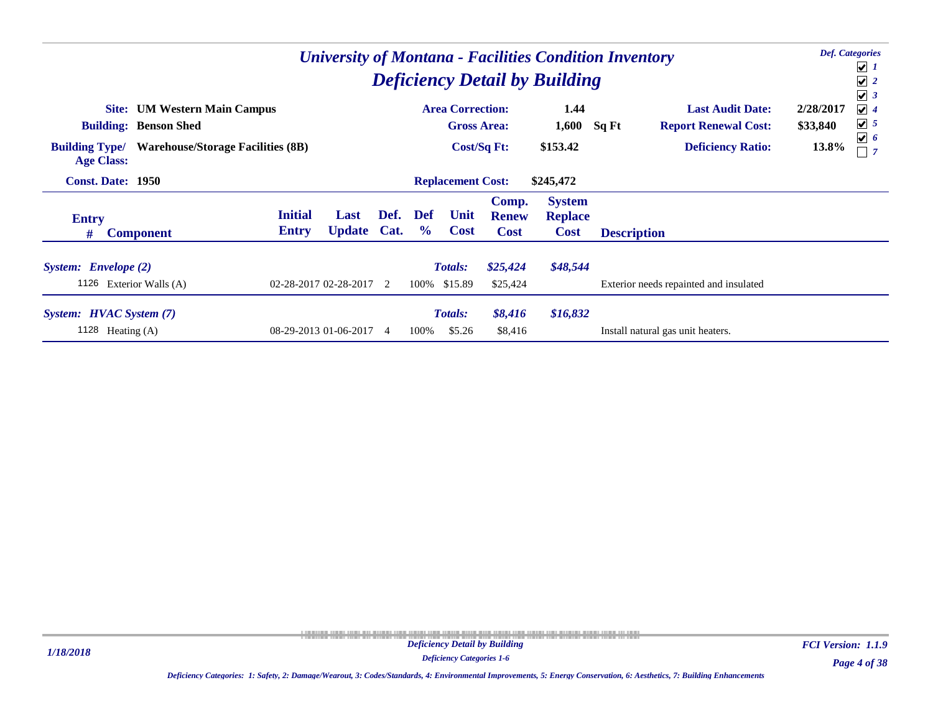|                                                 |                                          |                                |                         |                |                             |                                |                                      | <b>Deficiency Detail by Building</b>           | <b>University of Montana - Facilities Condition Inventory</b> | <b>Def.</b> Categories<br>$\boxed{\mathbf{v}}$ 1<br>$\sqrt{2}$<br>$\sqrt{3}$ |
|-------------------------------------------------|------------------------------------------|--------------------------------|-------------------------|----------------|-----------------------------|--------------------------------|--------------------------------------|------------------------------------------------|---------------------------------------------------------------|------------------------------------------------------------------------------|
|                                                 | <b>Site:</b> UM Western Main Campus      |                                |                         |                |                             | <b>Area Correction:</b>        |                                      | 1.44                                           | <b>Last Audit Date:</b>                                       | $\sqrt{4}$<br>2/28/2017                                                      |
|                                                 | <b>Building: Benson Shed</b>             |                                |                         |                |                             | <b>Gross Area:</b>             |                                      | 1,600                                          | Sq Ft<br><b>Report Renewal Cost:</b>                          | $\boxed{\mathbf{v}}$ 5<br>\$33,840                                           |
| <b>Building Type/</b><br><b>Age Class:</b>      | <b>Warehouse/Storage Facilities (8B)</b> |                                |                         |                |                             |                                | Cost/Sq Ft:                          | \$153.42                                       | <b>Deficiency Ratio:</b>                                      | $\sqrt{6}$<br>13.8%                                                          |
| <b>Const. Date: 1950</b>                        |                                          |                                |                         |                |                             | <b>Replacement Cost:</b>       |                                      | \$245,472                                      |                                                               |                                                                              |
| <b>Entry</b><br>#                               | <b>Component</b>                         | <b>Initial</b><br><b>Entry</b> | Last<br><b>Update</b>   | Def.<br>Cat.   | <b>Def</b><br>$\frac{6}{9}$ | Unit<br><b>Cost</b>            | Comp.<br><b>Renew</b><br><b>Cost</b> | <b>System</b><br><b>Replace</b><br><b>Cost</b> | <b>Description</b>                                            |                                                                              |
| System: Envelope (2)<br>1126 Exterior Walls (A) |                                          |                                | 02-28-2017 02-28-2017 2 |                |                             | <b>Totals:</b><br>100% \$15.89 | \$25,424<br>\$25,424                 | \$48,544                                       | Exterior needs repainted and insulated                        |                                                                              |
| System: HVAC System (7)<br>1128<br>Heating (A)  |                                          |                                | 08-29-2013 01-06-2017   | $\overline{4}$ | 100%                        | <b>Totals:</b><br>\$5.26       | \$8,416<br>\$8,416                   | \$16,832                                       | Install natural gas unit heaters.                             |                                                                              |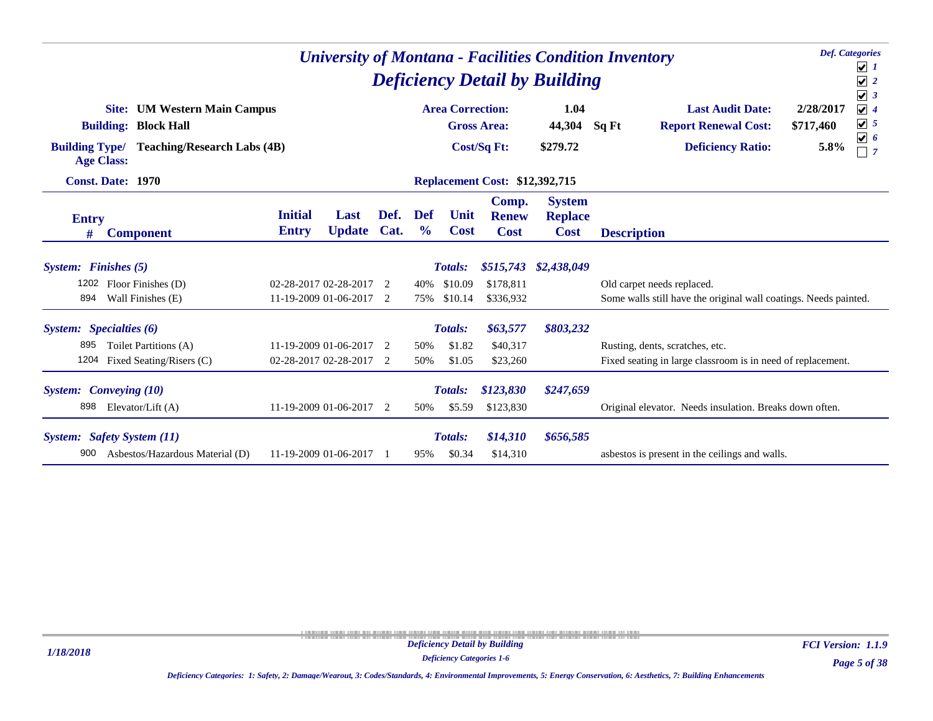|                       |                                                                    |                |                         | <b>Deficiency Detail by Building</b> |               | <b>Def.</b> Categories<br><b>University of Montana - Facilities Condition Inventory</b><br>$\overline{\mathbf{v}}$ 1<br>$\sqrt{2}$<br>$\sqrt{3}$ |                                       |                                 |                                                                                                                                   |  |
|-----------------------|--------------------------------------------------------------------|----------------|-------------------------|--------------------------------------|---------------|--------------------------------------------------------------------------------------------------------------------------------------------------|---------------------------------------|---------------------------------|-----------------------------------------------------------------------------------------------------------------------------------|--|
|                       | <b>Site:</b> UM Western Main Campus<br><b>Building: Block Hall</b> |                |                         |                                      |               | <b>Area Correction:</b>                                                                                                                          | <b>Gross Area:</b>                    | 1.04<br>44,304                  | 2/28/2017<br><b>Last Audit Date:</b><br>$\sqrt{4}$<br>$\boxed{\mathbf{v}}$ 5<br>Sq Ft<br><b>Report Renewal Cost:</b><br>\$717,460 |  |
| <b>Building Type/</b> | <b>Teaching/Research Labs (4B)</b><br><b>Age Class:</b>            |                |                         |                                      |               |                                                                                                                                                  | Cost/Sq Ft:                           | \$279.72                        | $\boxed{\mathbf{v}}$ 6<br><b>Deficiency Ratio:</b><br>5.8%                                                                        |  |
|                       | <b>Const. Date: 1970</b>                                           |                |                         |                                      |               |                                                                                                                                                  | <b>Replacement Cost: \$12,392,715</b> |                                 |                                                                                                                                   |  |
| <b>Entry</b>          |                                                                    | <b>Initial</b> | Last                    | Def.                                 | <b>Def</b>    | Unit                                                                                                                                             | Comp.<br><b>Renew</b>                 | <b>System</b><br><b>Replace</b> |                                                                                                                                   |  |
| #                     | <b>Component</b>                                                   | <b>Entry</b>   | <b>Update</b>           | Cat.                                 | $\frac{6}{6}$ | <b>Cost</b>                                                                                                                                      | <b>Cost</b>                           | <b>Cost</b>                     | <b>Description</b>                                                                                                                |  |
| System: Finishes (5)  |                                                                    |                |                         |                                      |               | <b>Totals:</b>                                                                                                                                   |                                       | \$515,743 \$2,438,049           |                                                                                                                                   |  |
| 1202                  | Floor Finishes (D)                                                 |                | 02-28-2017 02-28-2017   | $\mathcal{D}$                        | 40%           | \$10.09                                                                                                                                          | \$178,811                             |                                 | Old carpet needs replaced.                                                                                                        |  |
| 894                   | Wall Finishes (E)                                                  |                | 11-19-2009 01-06-2017 2 |                                      | 75%           | \$10.14                                                                                                                                          | \$336,932                             |                                 | Some walls still have the original wall coatings. Needs painted.                                                                  |  |
|                       | System: Specialties (6)                                            |                |                         |                                      |               | <b>Totals:</b>                                                                                                                                   | \$63,577                              | \$803,232                       |                                                                                                                                   |  |
| 895                   | Toilet Partitions (A)                                              |                | 11-19-2009 01-06-2017   | $\overline{2}$                       | 50%           | \$1.82                                                                                                                                           | \$40,317                              |                                 | Rusting, dents, scratches, etc.                                                                                                   |  |
| 1204                  | Fixed Seating/Risers (C)                                           |                | 02-28-2017 02-28-2017   | -2                                   | 50%           | \$1.05                                                                                                                                           | \$23,260                              |                                 | Fixed seating in large classroom is in need of replacement.                                                                       |  |
|                       | <b>System:</b> Conveying (10)                                      |                |                         |                                      |               | <b>Totals:</b>                                                                                                                                   | \$123,830                             | \$247,659                       |                                                                                                                                   |  |
| 898                   | Elevator/Lift $(A)$                                                |                | 11-19-2009 01-06-2017   | -2                                   | 50%           | \$5.59                                                                                                                                           | \$123,830                             |                                 | Original elevator. Needs insulation. Breaks down often.                                                                           |  |
|                       | System: Safety System (11)                                         |                |                         |                                      |               | <b>Totals:</b>                                                                                                                                   | \$14,310                              | \$656,585                       |                                                                                                                                   |  |
| 900                   | Asbestos/Hazardous Material (D)                                    |                | 11-19-2009 01-06-2017   |                                      | 95%           | \$0.34                                                                                                                                           | \$14,310                              |                                 | asbestos is present in the ceilings and walls.                                                                                    |  |

*Page 5 of 38 FCI Version: 1.1.9*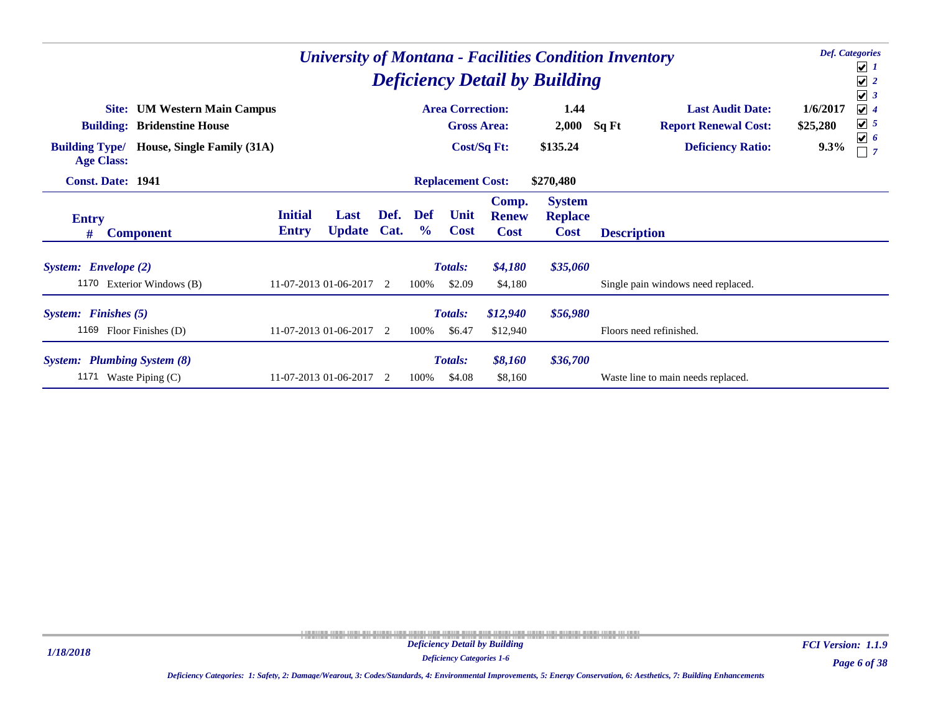|                                                                                                                                                          |                                |                         |                |                      |                                               |                                      | <b>Deficiency Detail by Building</b>           | <b>University of Montana - Facilities Condition Inventory</b>                               | <b>Def.</b> Categories<br>$\boxed{\mathbf{v}}$ 1<br>$\sqrt{2}$<br>$\sqrt{3}$                                           |
|----------------------------------------------------------------------------------------------------------------------------------------------------------|--------------------------------|-------------------------|----------------|----------------------|-----------------------------------------------|--------------------------------------|------------------------------------------------|---------------------------------------------------------------------------------------------|------------------------------------------------------------------------------------------------------------------------|
| <b>UM Western Main Campus</b><br>Site:<br><b>Building: Bridenstine House</b><br>House, Single Family (31A)<br><b>Building Type/</b><br><b>Age Class:</b> |                                |                         |                |                      | <b>Area Correction:</b><br><b>Gross Area:</b> | <b>Cost/Sq Ft:</b>                   | 1.44<br>2,000<br>\$135.24                      | <b>Last Audit Date:</b><br><b>Report Renewal Cost:</b><br>Sq Ft<br><b>Deficiency Ratio:</b> | $\sqrt{4}$<br>1/6/2017<br>$\boxed{\bigtriangledown}$ 5<br>\$25,280<br>$\boxed{\mathbf{v}}$ 6<br>9.3%<br>$\overline{7}$ |
| <b>Const. Date: 1941</b>                                                                                                                                 |                                |                         |                |                      | <b>Replacement Cost:</b>                      |                                      | \$270,480                                      |                                                                                             |                                                                                                                        |
| <b>Entry</b><br><b>Component</b><br>#                                                                                                                    | <b>Initial</b><br><b>Entry</b> | Last<br><b>Update</b>   | Def.<br>Cat.   | Def<br>$\frac{6}{9}$ | Unit<br><b>Cost</b>                           | Comp.<br><b>Renew</b><br><b>Cost</b> | <b>System</b><br><b>Replace</b><br><b>Cost</b> | <b>Description</b>                                                                          |                                                                                                                        |
| System: Envelope (2)<br>1170 Exterior Windows (B)                                                                                                        |                                | 11-07-2013 01-06-2017   | $\overline{2}$ | 100%                 | Totals:<br>\$2.09                             | \$4,180<br>\$4,180                   | \$35,060                                       | Single pain windows need replaced.                                                          |                                                                                                                        |
| System: Finishes (5)<br>1169 Floor Finishes (D)                                                                                                          |                                | 11-07-2013 01-06-2017 2 |                | 100%                 | Totals:<br>\$6.47                             | \$12,940<br>\$12,940                 | \$56,980                                       | Floors need refinished.                                                                     |                                                                                                                        |
| <b>System:</b> Plumbing System (8)<br>Waste Piping (C)<br>1171                                                                                           |                                | 11-07-2013 01-06-2017   | - 2            | 100%                 | Totals:<br>\$4.08                             | \$8,160<br>\$8,160                   | \$36,700                                       | Waste line to main needs replaced.                                                          |                                                                                                                        |

*Deficiency Categories 1-6*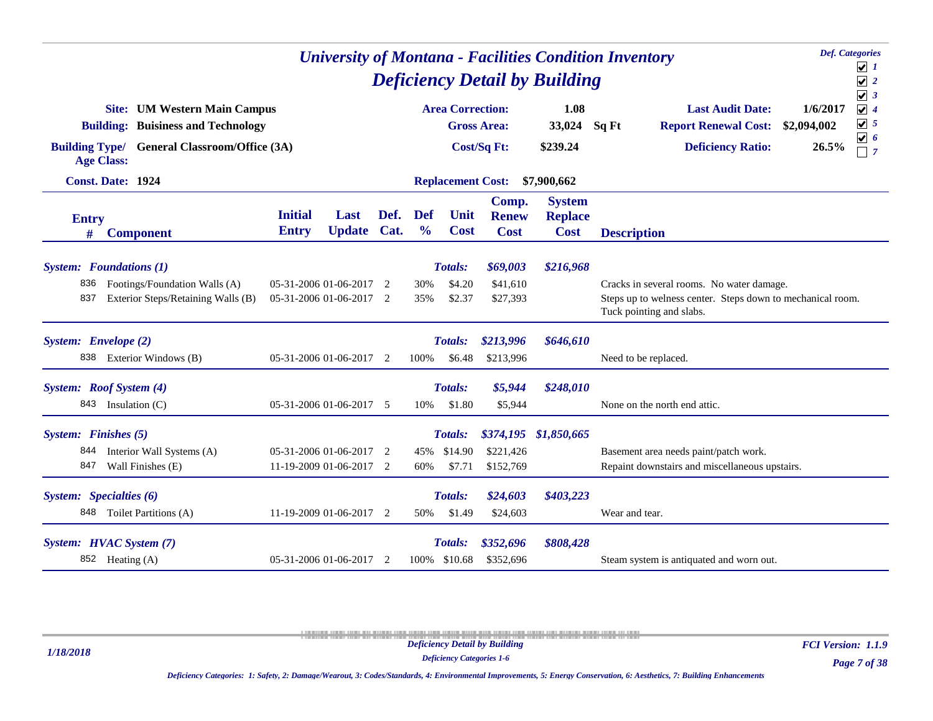|                                    |                                                                                                                          |                                | <b>Deficiency Detail by Building</b>               | <b>Def.</b> Categories<br><b>University of Montana - Facilities Condition Inventory</b><br>$\cup$ 1<br>$\sqrt{2}$ |                             |                                     |                                      |                                                |                                                                                                                                                                                                                            |  |
|------------------------------------|--------------------------------------------------------------------------------------------------------------------------|--------------------------------|----------------------------------------------------|-------------------------------------------------------------------------------------------------------------------|-----------------------------|-------------------------------------|--------------------------------------|------------------------------------------------|----------------------------------------------------------------------------------------------------------------------------------------------------------------------------------------------------------------------------|--|
| <b>Building Type/</b>              | <b>Site:</b> UM Western Main Campus<br><b>Building: Buisiness and Technology</b><br><b>General Classroom/Office (3A)</b> |                                |                                                    |                                                                                                                   |                             | <b>Area Correction:</b>             | <b>Gross Area:</b><br>Cost/Sq Ft:    | 1.08<br>33,024<br>\$239.24                     | $\sqrt{3}$<br>$\sqrt{4}$<br><b>Last Audit Date:</b><br>1/6/2017<br>$\boxed{\mathbf{v}}$ 5<br><b>Report Renewal Cost:</b><br>\$2,094,002<br>Sq Ft<br>$\overline{v}$ 6<br><b>Deficiency Ratio:</b><br>26.5%<br>$\sqsupset$ 7 |  |
|                                    | <b>Age Class:</b><br><b>Const. Date: 1924</b>                                                                            |                                |                                                    |                                                                                                                   |                             | <b>Replacement Cost:</b>            |                                      | \$7,900,662                                    |                                                                                                                                                                                                                            |  |
| <b>Entry</b><br>#                  | <b>Component</b>                                                                                                         | <b>Initial</b><br><b>Entry</b> | Last<br><b>Update</b>                              | Def.<br>Cat.                                                                                                      | <b>Def</b><br>$\frac{0}{0}$ | Unit<br><b>Cost</b>                 | Comp.<br><b>Renew</b><br><b>Cost</b> | <b>System</b><br><b>Replace</b><br><b>Cost</b> | <b>Description</b>                                                                                                                                                                                                         |  |
| 836<br>837                         | <b>System:</b> Foundations (1)<br>Footings/Foundation Walls (A)<br>Exterior Steps/Retaining Walls (B)                    |                                | 05-31-2006 01-06-2017<br>05-31-2006 01-06-2017     | 2<br>2                                                                                                            | 30%<br>35%                  | Totals:<br>\$4.20<br>\$2.37         | \$69,003<br>\$41,610<br>\$27,393     | \$216,968                                      | Cracks in several rooms. No water damage.<br>Steps up to welness center. Steps down to mechanical room.<br>Tuck pointing and slabs.                                                                                        |  |
| System: Envelope (2)<br>838        | Exterior Windows (B)                                                                                                     |                                | 05-31-2006 01-06-2017                              | -2                                                                                                                | 100%                        | Totals:<br>\$6.48                   | \$213,996<br>\$213,996               | \$646,610                                      | Need to be replaced.                                                                                                                                                                                                       |  |
|                                    | System: Roof System (4)<br>843 Insulation (C)                                                                            |                                | 05-31-2006 01-06-2017 5                            |                                                                                                                   | 10%                         | Totals:<br>\$1.80                   | \$5,944<br>\$5,944                   | \$248,010                                      | None on the north end attic.                                                                                                                                                                                               |  |
| System: Finishes (5)<br>844<br>847 | Interior Wall Systems (A)<br>Wall Finishes (E)                                                                           |                                | 05-31-2006 01-06-2017 2<br>11-19-2009 01-06-2017 2 |                                                                                                                   | 45%<br>60%                  | <b>Totals:</b><br>\$14.90<br>\$7.71 | \$221,426<br>\$152,769               | \$374,195 \$1,850,665                          | Basement area needs paint/patch work.<br>Repaint downstairs and miscellaneous upstairs.                                                                                                                                    |  |
|                                    | System: Specialties (6)<br>848 Toilet Partitions (A)                                                                     |                                | 11-19-2009 01-06-2017 2                            |                                                                                                                   | 50%                         | Totals:<br>\$1.49                   | \$24,603<br>\$24,603                 | \$403,223                                      | Wear and tear.                                                                                                                                                                                                             |  |
|                                    | System: HVAC System (7)<br>852 Heating (A)                                                                               |                                | 05-31-2006 01-06-2017 2                            |                                                                                                                   |                             | Totals:<br>100% \$10.68             | \$352,696<br>\$352,696               | \$808,428                                      | Steam system is antiquated and worn out.                                                                                                                                                                                   |  |

*1/18/2018*

*Deficiency Categories 1-6*

*Page 7 of 38 FCI Version: 1.1.9*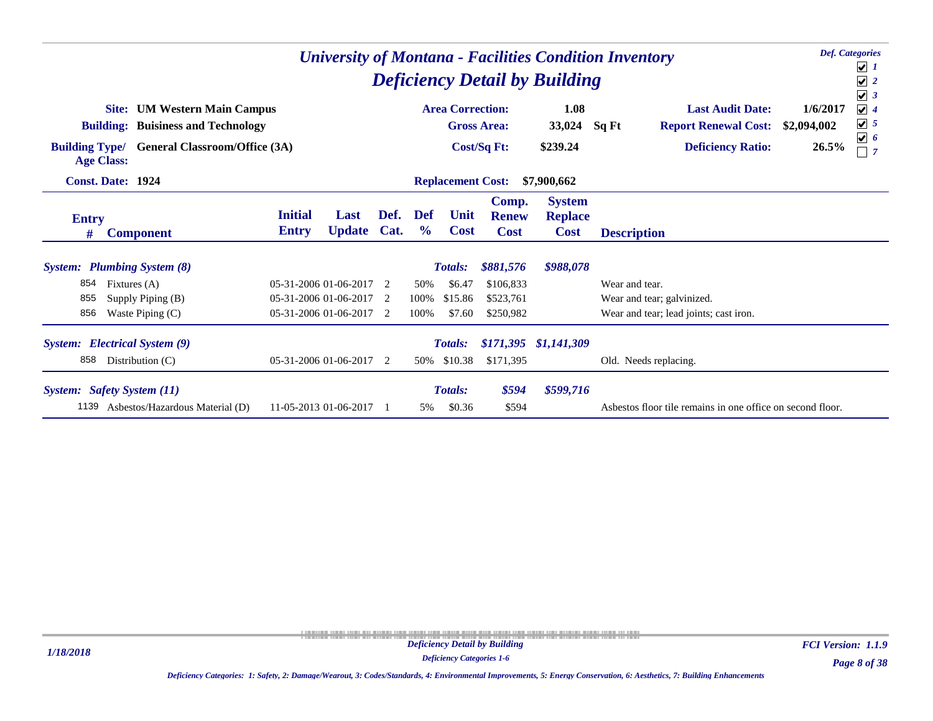|                       |                                                                                               |                                |                                                                         |              |                      |                                               |                                                  | <b>Deficiency Detail by Building</b>           | <b>University of Montana - Facilities Condition Inventory</b>                          | <b>Def.</b> Categories<br>$\sqrt{1}$<br>$\boxed{\frac{1}{2}}$<br>$\sqrt{3}$               |
|-----------------------|-----------------------------------------------------------------------------------------------|--------------------------------|-------------------------------------------------------------------------|--------------|----------------------|-----------------------------------------------|--------------------------------------------------|------------------------------------------------|----------------------------------------------------------------------------------------|-------------------------------------------------------------------------------------------|
|                       | <b>UM Western Main Campus</b><br>Site:<br><b>Buisiness and Technology</b><br><b>Building:</b> |                                |                                                                         |              |                      | <b>Area Correction:</b>                       | <b>Gross Area:</b>                               | 1.08<br>33,024                                 | <b>Last Audit Date:</b><br>Sq Ft<br><b>Report Renewal Cost:</b>                        | $\sqrt{4}$<br>1/6/2017<br>$\boxed{\mathbf{v}}$ 5<br>\$2,094,002<br>$\boxed{\mathbf{v}}$ 6 |
| <b>Building Type/</b> | <b>General Classroom/Office (3A)</b><br><b>Age Class:</b><br><b>Const. Date: 1924</b>         |                                |                                                                         |              |                      | <b>Replacement Cost:</b>                      | Cost/Sq Ft:                                      | \$239.24<br>\$7,900,662                        | <b>Deficiency Ratio:</b>                                                               | 26.5%<br>$\sqsupset$ 7                                                                    |
| <b>Entry</b><br>#     | <b>Component</b>                                                                              | <b>Initial</b><br><b>Entry</b> | Last<br><b>Update</b>                                                   | Def.<br>Cat. | Def<br>$\frac{6}{9}$ | Unit<br><b>Cost</b>                           | Comp.<br><b>Renew</b><br><b>Cost</b>             | <b>System</b><br><b>Replace</b><br><b>Cost</b> | <b>Description</b>                                                                     |                                                                                           |
| 854<br>855<br>856     | <b>System:</b> Plumbing System (8)<br>Fixtures (A)<br>Supply Piping (B)<br>Waste Piping $(C)$ |                                | 05-31-2006 01-06-2017<br>05-31-2006 01-06-2017<br>05-31-2006 01-06-2017 | 2<br>2<br>2  | 50%<br>100\%<br>100% | <b>Totals:</b><br>\$6.47<br>\$15.86<br>\$7.60 | \$881,576<br>\$106.833<br>\$523,761<br>\$250,982 | \$988,078                                      | Wear and tear.<br>Wear and tear; galvinized.<br>Wear and tear; lead joints; cast iron. |                                                                                           |
| 858                   | <b>System:</b> Electrical System (9)<br>Distribution $(C)$                                    |                                | 05-31-2006 01-06-2017 2                                                 |              | 50%                  | <b>Totals:</b><br>\$10.38                     | \$171,395<br>\$171,395                           | \$1,141,309                                    | Old. Needs replacing.                                                                  |                                                                                           |
| 1139                  | System: Safety System (11)<br>Asbestos/Hazardous Material (D)                                 |                                | 11-05-2013 01-06-2017                                                   |              | 5%                   | <b>Totals:</b><br>\$0.36                      | \$594<br>\$594                                   | \$599,716                                      | Aspestos floor tile remains in one office on second floor.                             |                                                                                           |

*Page 8 of 38 FCI Version: 1.1.9*

*Deficiency Categories 1-6*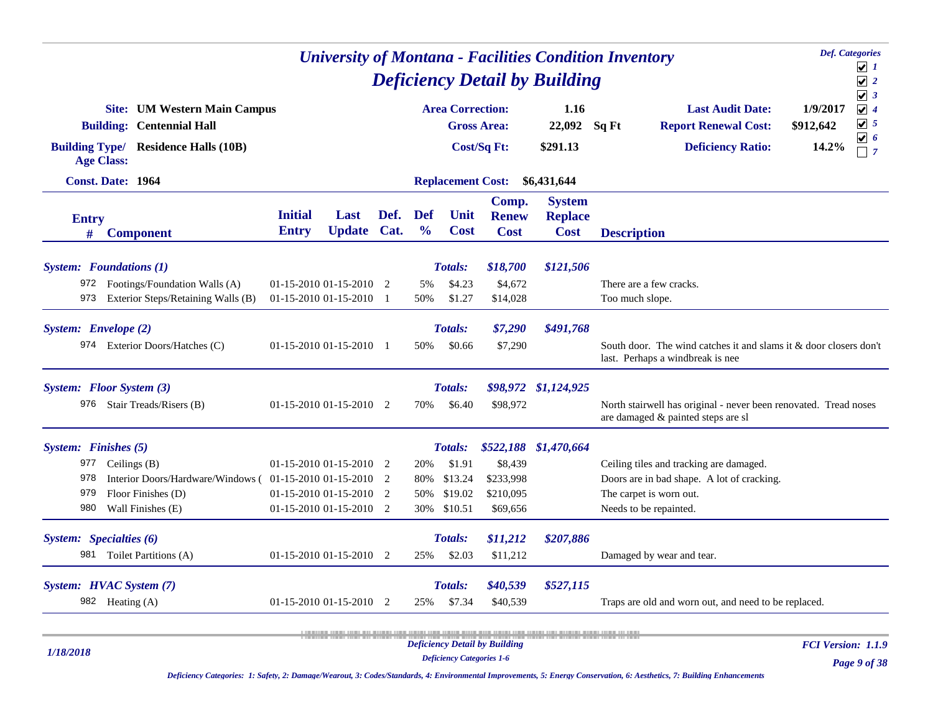|                      |                                                                                                                        |                                |                     |      |                             |                                  |                                      | <b>University of Montana - Facilities Condition Inventory</b> |                    |                                                                                                        | <b>Def.</b> Categories         | ⊻ ≀                                                                             |
|----------------------|------------------------------------------------------------------------------------------------------------------------|--------------------------------|---------------------|------|-----------------------------|----------------------------------|--------------------------------------|---------------------------------------------------------------|--------------------|--------------------------------------------------------------------------------------------------------|--------------------------------|---------------------------------------------------------------------------------|
|                      |                                                                                                                        |                                |                     |      |                             |                                  |                                      | <b>Deficiency Detail by Building</b>                          |                    |                                                                                                        |                                | $\blacktriangledown$<br>$\overline{2}$                                          |
|                      | <b>Site:</b> UM Western Main Campus<br><b>Building: Centennial Hall</b><br><b>Building Type/ Residence Halls (10B)</b> |                                |                     |      |                             | <b>Area Correction:</b>          | <b>Gross Area:</b><br>Cost/Sq Ft:    | 1.16<br>22,092<br>\$291.13                                    | Sq Ft              | <b>Last Audit Date:</b><br><b>Report Renewal Cost:</b><br><b>Deficiency Ratio:</b>                     | 1/9/2017<br>\$912,642<br>14.2% | $\sqrt{3}$<br>$\sqrt{4}$<br>$\boxed{\mathbf{v}}$ 5<br>☑<br>-6<br>$\overline{7}$ |
|                      | <b>Age Class:</b><br>Const. Date: 1964                                                                                 |                                |                     |      |                             |                                  |                                      |                                                               |                    |                                                                                                        |                                |                                                                                 |
|                      |                                                                                                                        |                                |                     |      |                             | <b>Replacement Cost:</b>         |                                      | \$6,431,644                                                   |                    |                                                                                                        |                                |                                                                                 |
| <b>Entry</b><br>#    | <b>Component</b>                                                                                                       | <b>Initial</b><br><b>Entry</b> | Last<br>Update Cat. | Def. | <b>Def</b><br>$\frac{0}{0}$ | Unit<br><b>Cost</b>              | Comp.<br><b>Renew</b><br><b>Cost</b> | <b>System</b><br><b>Replace</b><br><b>Cost</b>                | <b>Description</b> |                                                                                                        |                                |                                                                                 |
|                      |                                                                                                                        |                                |                     |      |                             |                                  |                                      |                                                               |                    |                                                                                                        |                                |                                                                                 |
|                      | <b>System:</b> Foundations (1)                                                                                         |                                |                     |      |                             | <b>Totals:</b>                   | \$18,700                             | \$121,506                                                     |                    |                                                                                                        |                                |                                                                                 |
|                      | 972 Footings/Foundation Walls (A)                                                                                      | $01-15-2010$ $01-15-2010$ 2    |                     |      | 5%                          | \$4.23                           | \$4,672                              |                                                               |                    | There are a few cracks.                                                                                |                                |                                                                                 |
| 973                  | Exterior Steps/Retaining Walls (B)                                                                                     | 01-15-2010 01-15-2010 1        |                     |      | 50%                         | \$1.27                           | \$14,028                             |                                                               |                    | Too much slope.                                                                                        |                                |                                                                                 |
| System: Envelope (2) |                                                                                                                        |                                |                     |      |                             | Totals:                          | \$7,290                              | \$491,768                                                     |                    |                                                                                                        |                                |                                                                                 |
|                      | 974 Exterior Doors/Hatches (C)                                                                                         | $01-15-2010$ $01-15-2010$ 1    |                     |      | 50%                         | \$0.66                           | \$7,290                              |                                                               |                    | South door. The wind catches it and slams it & door closers don't<br>last. Perhaps a windbreak is nee  |                                |                                                                                 |
|                      | System: Floor System (3)                                                                                               |                                |                     |      |                             | Totals:                          |                                      | \$98,972 \$1,124,925                                          |                    |                                                                                                        |                                |                                                                                 |
| 976                  | Stair Treads/Risers (B)                                                                                                | 01-15-2010 01-15-2010 2        |                     |      | 70%                         | \$6.40                           | \$98,972                             |                                                               |                    | North stairwell has original - never been renovated. Tread noses<br>are damaged & painted steps are sl |                                |                                                                                 |
| System: Finishes (5) |                                                                                                                        |                                |                     |      |                             | <b>Totals:</b>                   |                                      | \$522,188 \$1,470,664                                         |                    |                                                                                                        |                                |                                                                                 |
| 977                  | Ceilings (B)                                                                                                           | $01-15-2010$ $01-15-2010$ 2    |                     |      | 20%                         | \$1.91                           | \$8,439                              |                                                               |                    | Ceiling tiles and tracking are damaged.                                                                |                                |                                                                                 |
| 978                  | Interior Doors/Hardware/Windows (01-15-2010 01-15-2010 2                                                               |                                |                     |      | 80%                         | \$13.24                          | \$233,998                            |                                                               |                    | Doors are in bad shape. A lot of cracking.                                                             |                                |                                                                                 |
| 979                  | Floor Finishes (D)                                                                                                     | 01-15-2010 01-15-2010 2        |                     |      | 50%                         | \$19.02                          | \$210,095                            |                                                               |                    | The carpet is worn out.                                                                                |                                |                                                                                 |
| 980                  | Wall Finishes (E)                                                                                                      | 01-15-2010 01-15-2010 2        |                     |      | 30%                         | \$10.51                          | \$69,656                             |                                                               |                    | Needs to be repainted.                                                                                 |                                |                                                                                 |
|                      | System: Specialties (6)                                                                                                |                                |                     |      |                             | <b>Totals:</b>                   | \$11,212                             | \$207,886                                                     |                    |                                                                                                        |                                |                                                                                 |
|                      | 981 Toilet Partitions (A)                                                                                              | 01-15-2010 01-15-2010 2        |                     |      | 25%                         | \$2.03                           | \$11,212                             |                                                               |                    | Damaged by wear and tear.                                                                              |                                |                                                                                 |
|                      | System: HVAC System (7)                                                                                                |                                |                     |      |                             | Totals:                          | \$40,539                             | \$527,115                                                     |                    |                                                                                                        |                                |                                                                                 |
|                      | 982 Heating (A)                                                                                                        | 01-15-2010 01-15-2010 2        |                     |      | 25%                         | \$7.34                           | \$40,539                             |                                                               |                    | Traps are old and worn out, and need to be replaced.                                                   |                                |                                                                                 |
|                      |                                                                                                                        |                                |                     |      |                             |                                  |                                      |                                                               |                    |                                                                                                        |                                |                                                                                 |
|                      |                                                                                                                        |                                |                     |      |                             |                                  | <b>Deficiency Detail by Building</b> |                                                               |                    |                                                                                                        | <b>FCI Version: 1.1.9</b>      |                                                                                 |
| 1/18/2018            |                                                                                                                        |                                |                     |      |                             | <b>Deficiency Categories 1-6</b> |                                      |                                                               |                    |                                                                                                        |                                | Page 9 of 38                                                                    |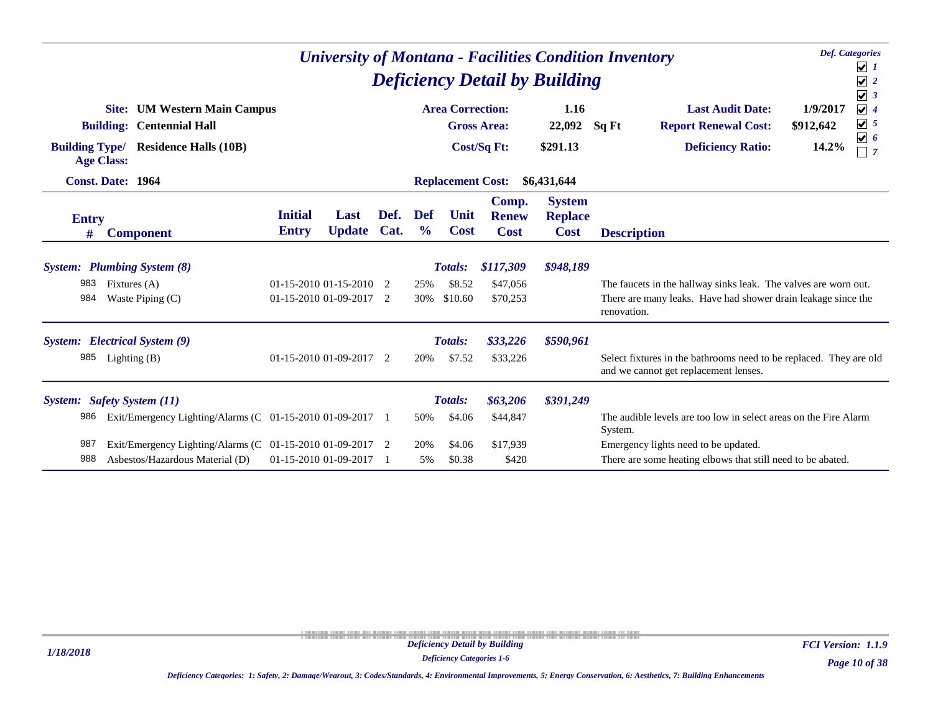|                       |                                                           |                          |               |      |               |                          |                       | <b>Deficiency Detail by Building</b> | <b>Def.</b> Categories<br><b>University of Montana - Facilities Condition Inventory</b><br>$\sqrt{1}$<br>$\sqrt{2}$<br>$\sqrt{3}$ |
|-----------------------|-----------------------------------------------------------|--------------------------|---------------|------|---------------|--------------------------|-----------------------|--------------------------------------|-----------------------------------------------------------------------------------------------------------------------------------|
|                       | <b>UM Western Main Campus</b><br>Site:                    |                          |               |      |               | <b>Area Correction:</b>  |                       | 1.16                                 | $\sqrt{4}$<br><b>Last Audit Date:</b><br>1/9/2017<br>$\sqrt{5}$                                                                   |
|                       | <b>Centennial Hall</b><br><b>Building:</b>                |                          |               |      |               |                          | <b>Gross Area:</b>    | 22,092                               | Sq Ft<br><b>Report Renewal Cost:</b><br>\$912,642<br>$\boxed{\mathbf{v}}$ 6                                                       |
| <b>Building Type/</b> | <b>Residence Halls (10B)</b><br><b>Age Class:</b>         |                          |               |      |               |                          | Cost/Sq Ft:           | \$291.13                             | 14.2%<br><b>Deficiency Ratio:</b><br>$\sqsupset$ 7                                                                                |
|                       | <b>Const. Date: 1964</b>                                  |                          |               |      |               | <b>Replacement Cost:</b> |                       | \$6,431,644                          |                                                                                                                                   |
| <b>Entry</b>          |                                                           | <b>Initial</b>           | Last          | Def. | Def           | Unit                     | Comp.<br><b>Renew</b> | <b>System</b><br><b>Replace</b>      |                                                                                                                                   |
| #                     | <b>Component</b>                                          | <b>Entry</b>             | <b>Update</b> | Cat. | $\frac{0}{0}$ | <b>Cost</b>              | <b>Cost</b>           | <b>Cost</b>                          | <b>Description</b>                                                                                                                |
|                       | <b>System:</b> Plumbing System (8)                        |                          |               |      |               | <b>Totals:</b>           | \$117,309             | \$948,189                            |                                                                                                                                   |
| 983                   | Fixtures (A)                                              | $01-15-201001-15-2010$ 2 |               |      | 25%           | \$8.52                   | \$47,056              |                                      | The faucets in the hallway sinks leak. The valves are worn out.                                                                   |
| 984                   | Waste Piping $(C)$                                        | 01-15-2010 01-09-2017 2  |               |      | 30%           | \$10.60                  | \$70,253              |                                      | There are many leaks. Have had shower drain leakage since the<br>renovation.                                                      |
|                       | System: Electrical System (9)                             |                          |               |      |               | Totals:                  | \$33,226              | \$590,961                            |                                                                                                                                   |
| 985                   | Lighting $(B)$                                            | 01-15-2010 01-09-2017 2  |               |      | 20%           | \$7.52                   | \$33,226              |                                      | Select fixtures in the bathrooms need to be replaced. They are old<br>and we cannot get replacement lenses.                       |
|                       | System: Safety System (11)                                |                          |               |      |               | Totals:                  | \$63,206              | \$391,249                            |                                                                                                                                   |
| 986                   | Exit/Emergency Lighting/Alarms (C 01-15-2010 01-09-2017 1 |                          |               |      | 50%           | \$4.06                   | \$44,847              |                                      | The audible levels are too low in select areas on the Fire Alarm<br>System.                                                       |
| 987                   | Exit/Emergency Lighting/Alarms (C 01-15-2010 01-09-2017 2 |                          |               |      | 20%           | \$4.06                   | \$17,939              |                                      | Emergency lights need to be updated.                                                                                              |
| 988                   | Asbestos/Hazardous Material (D)                           | 01-15-2010 01-09-2017    |               |      | 5%            | \$0.38                   | \$420                 |                                      | There are some heating elbows that still need to be abated.                                                                       |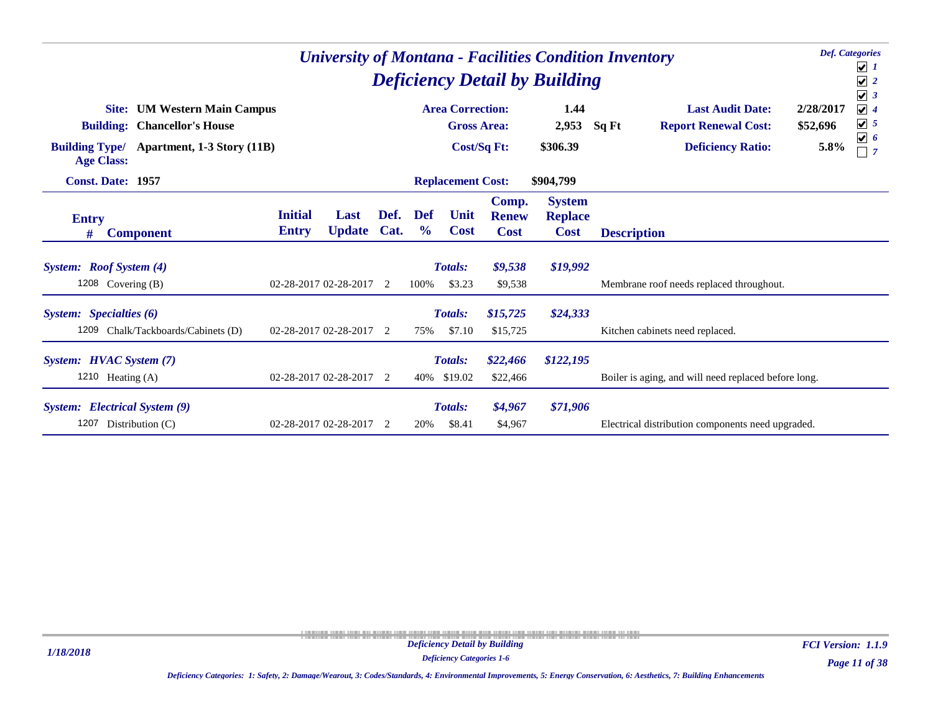|                                                                                                                                                                     |                                                              |      |                      |                                               |                                      | <b>Deficiency Detail by Building</b>           | <b>Def.</b> Categories<br><b>University of Montana - Facilities Condition Inventory</b>                                      | $\boxed{\mathbf{v}}$ 1<br>$\sqrt{2}$<br>$\sqrt{3}$                               |
|---------------------------------------------------------------------------------------------------------------------------------------------------------------------|--------------------------------------------------------------|------|----------------------|-----------------------------------------------|--------------------------------------|------------------------------------------------|------------------------------------------------------------------------------------------------------------------------------|----------------------------------------------------------------------------------|
| <b>UM Western Main Campus</b><br>Site:<br><b>Chancellor's House</b><br><b>Building:</b><br><b>Building Type/</b><br>Apartment, 1-3 Story (11B)<br><b>Age Class:</b> |                                                              |      |                      | <b>Area Correction:</b><br><b>Gross Area:</b> | Cost/Sq Ft:                          | 1.44<br>2,953<br>\$306.39                      | <b>Last Audit Date:</b><br>2/28/2017<br>\$52,696<br><b>Report Renewal Cost:</b><br>Sq Ft<br><b>Deficiency Ratio:</b><br>5.8% | $\sqrt{4}$<br>$\boxed{\mathbf{v}}$ 5<br>$\boxed{\mathbf{v}}$ 6<br>$\overline{7}$ |
| <b>Const. Date: 1957</b>                                                                                                                                            |                                                              |      |                      | <b>Replacement Cost:</b>                      |                                      | \$904,799                                      |                                                                                                                              |                                                                                  |
| <b>Entry</b><br><b>Component</b><br>#                                                                                                                               | <b>Initial</b><br>Last<br><b>Update Cat.</b><br><b>Entry</b> | Def. | Def<br>$\frac{0}{0}$ | Unit<br><b>Cost</b>                           | Comp.<br><b>Renew</b><br><b>Cost</b> | <b>System</b><br><b>Replace</b><br><b>Cost</b> | <b>Description</b>                                                                                                           |                                                                                  |
| System: Roof System (4)<br>1208 Covering (B)                                                                                                                        | 02-28-2017 02-28-2017 2                                      |      | 100%                 | Totals:<br>\$3.23                             | \$9,538<br>\$9,538                   | \$19,992                                       | Membrane roof needs replaced throughout.                                                                                     |                                                                                  |
| System: Specialties (6)<br>1209 Chalk/Tackboards/Cabinets (D)                                                                                                       | 02-28-2017 02-28-2017                                        | 2    | 75%                  | Totals:<br>\$7.10                             | \$15,725<br>\$15,725                 | \$24,333                                       | Kitchen cabinets need replaced.                                                                                              |                                                                                  |
| System: HVAC System (7)<br>1210 Heating $(A)$                                                                                                                       | 02-28-2017 02-28-2017 2                                      |      | 40%                  | Totals:<br>\$19.02                            | \$22,466<br>\$22,466                 | \$122,195                                      | Boiler is aging, and will need replaced before long.                                                                         |                                                                                  |
| <b>System:</b> Electrical System (9)<br>1207<br>Distribution $(C)$                                                                                                  | 02-28-2017 02-28-2017                                        | 2    | 20%                  | <b>Totals:</b><br>\$8.41                      | \$4,967<br>\$4,967                   | \$71,906                                       | Electrical distribution components need upgraded.                                                                            |                                                                                  |

*1/18/2018*

*Deficiency Categories 1-6*

*Page 11 of 38 FCI Version: 1.1.9*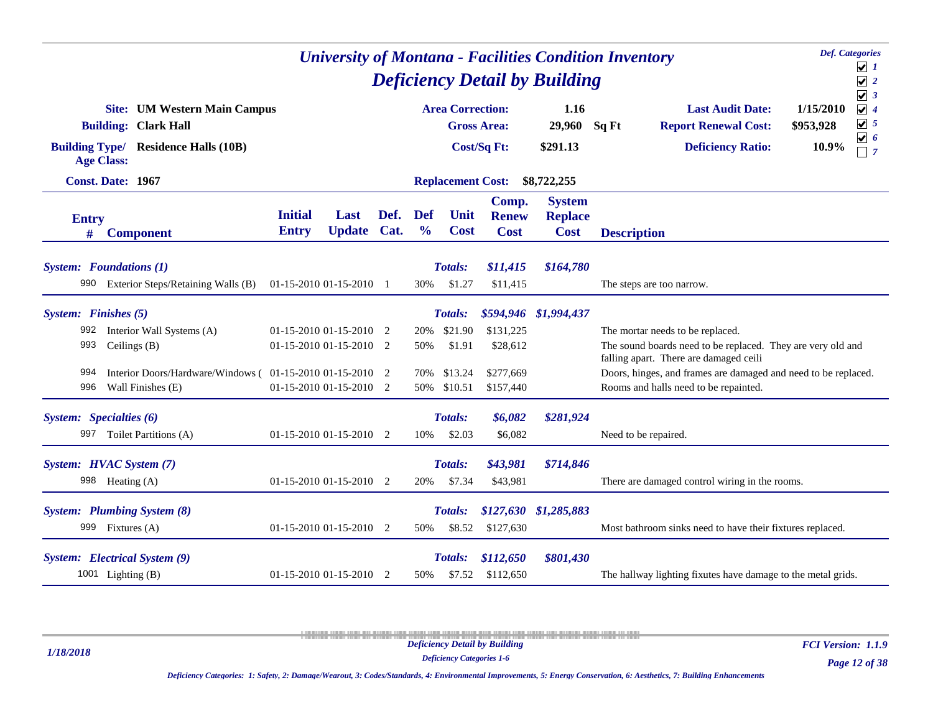| <b>Def.</b> Categories<br><b>University of Montana - Facilities Condition Inventory</b><br><b>Deficiency Detail by Building</b><br><b>Area Correction:</b> |                                                                                                                                                  |                                |                                                                               |                |                             |                                                    |                                                 |                                                |                                                                                                                     |                                                                                                                               |  |  |
|------------------------------------------------------------------------------------------------------------------------------------------------------------|--------------------------------------------------------------------------------------------------------------------------------------------------|--------------------------------|-------------------------------------------------------------------------------|----------------|-----------------------------|----------------------------------------------------|-------------------------------------------------|------------------------------------------------|---------------------------------------------------------------------------------------------------------------------|-------------------------------------------------------------------------------------------------------------------------------|--|--|
|                                                                                                                                                            | <b>Site:</b> UM Western Main Campus<br><b>Building: Clark Hall</b><br><b>Building Type/ Residence Halls (10B)</b><br><b>Age Class:</b>           |                                |                                                                               |                |                             | <b>Gross Area:</b><br><b>Cost/Sq Ft:</b>           | 1.16<br>29,960<br>\$291.13                      | Sq Ft                                          | <b>Last Audit Date:</b><br><b>Report Renewal Cost:</b><br><b>Deficiency Ratio:</b>                                  | $\sqrt{3}$<br>$\sqrt{4}$<br>1/15/2010<br>$\sqrt{5}$<br>\$953,928<br>$\boxed{\mathbf{v}}$ 6<br>10.9%<br>$\Box$ 7               |  |  |
|                                                                                                                                                            | <b>Const. Date: 1967</b>                                                                                                                         |                                |                                                                               |                |                             | <b>Replacement Cost:</b>                           |                                                 | \$8,722,255                                    |                                                                                                                     |                                                                                                                               |  |  |
| <b>Entry</b><br>#                                                                                                                                          | <b>Component</b>                                                                                                                                 | <b>Initial</b><br><b>Entry</b> | Last<br>Update Cat.                                                           | Def.           | <b>Def</b><br>$\frac{0}{0}$ | Unit<br><b>Cost</b>                                | Comp.<br><b>Renew</b><br><b>Cost</b>            | <b>System</b><br><b>Replace</b><br><b>Cost</b> | <b>Description</b>                                                                                                  |                                                                                                                               |  |  |
| 990                                                                                                                                                        | <b>System:</b> Foundations (1)<br>Exterior Steps/Retaining Walls (B)                                                                             | 01-15-2010 01-15-2010 1        |                                                                               |                | 30%                         | Totals:<br>\$1.27                                  | \$11,415<br>\$11,415                            | \$164,780                                      | The steps are too narrow.                                                                                           |                                                                                                                               |  |  |
| 992<br>993<br>994<br>996                                                                                                                                   | System: Finishes (5)<br>Interior Wall Systems (A)<br>Ceilings (B)<br>Interior Doors/Hardware/Windows (01-15-2010 01-15-2010<br>Wall Finishes (E) |                                | $01-15-201001-15-20102$<br>01-15-2010 01-15-2010 2<br>01-15-2010 01-15-2010 2 | $\overline{2}$ | 20%<br>50%<br>70%<br>50%    | Totals:<br>\$21.90<br>\$1.91<br>\$13.24<br>\$10.51 | \$131,225<br>\$28,612<br>\$277,669<br>\$157,440 | \$594,946 \$1,994,437                          | The mortar needs to be replaced.<br>falling apart. There are damaged ceili<br>Rooms and halls need to be repainted. | The sound boards need to be replaced. They are very old and<br>Doors, hinges, and frames are damaged and need to be replaced. |  |  |
|                                                                                                                                                            | System: Specialties (6)<br>997 Toilet Partitions (A)                                                                                             |                                | $01-15-2010$ $01-15-2010$ 2                                                   |                | 10%                         | Totals:<br>\$2.03                                  | \$6,082<br>\$6,082                              | \$281,924                                      | Need to be repaired.                                                                                                |                                                                                                                               |  |  |
|                                                                                                                                                            | System: HVAC System (7)<br>998 Heating (A)                                                                                                       |                                | $01-15-2010$ $01-15-2010$ 2                                                   |                | 20%                         | Totals:<br>\$7.34                                  | \$43,981<br>\$43,981                            | \$714,846                                      |                                                                                                                     | There are damaged control wiring in the rooms.                                                                                |  |  |
|                                                                                                                                                            | System: Plumbing System (8)<br>999 Fixtures (A)                                                                                                  |                                | 01-15-2010 01-15-2010                                                         | 2              | 50%                         | Totals:<br>\$8.52                                  | \$127,630<br>\$127,630                          | \$1,285,883                                    |                                                                                                                     | Most bathroom sinks need to have their fixtures replaced.                                                                     |  |  |
|                                                                                                                                                            | System: Electrical System (9)<br>1001 Lighting $(B)$                                                                                             |                                | $01-15-2010$ $01-15-2010$ 2                                                   |                | 50%                         | Totals:<br>\$7.52                                  | \$112,650<br>\$112,650                          | \$801,430                                      |                                                                                                                     | The hallway lighting fixutes have damage to the metal grids.                                                                  |  |  |

*1/18/2018*

*Deficiency Categories 1-6*

*FCI Version: 1.1.9*

*Deficiency Categories: 1: Safety, 2: Damage/Wearout, 3: Codes/Standards, 4: Environmental Improvements, 5: Energy Conservation, 6: Aesthetics, 7: Building Enhancements*

*Page 12 of 38*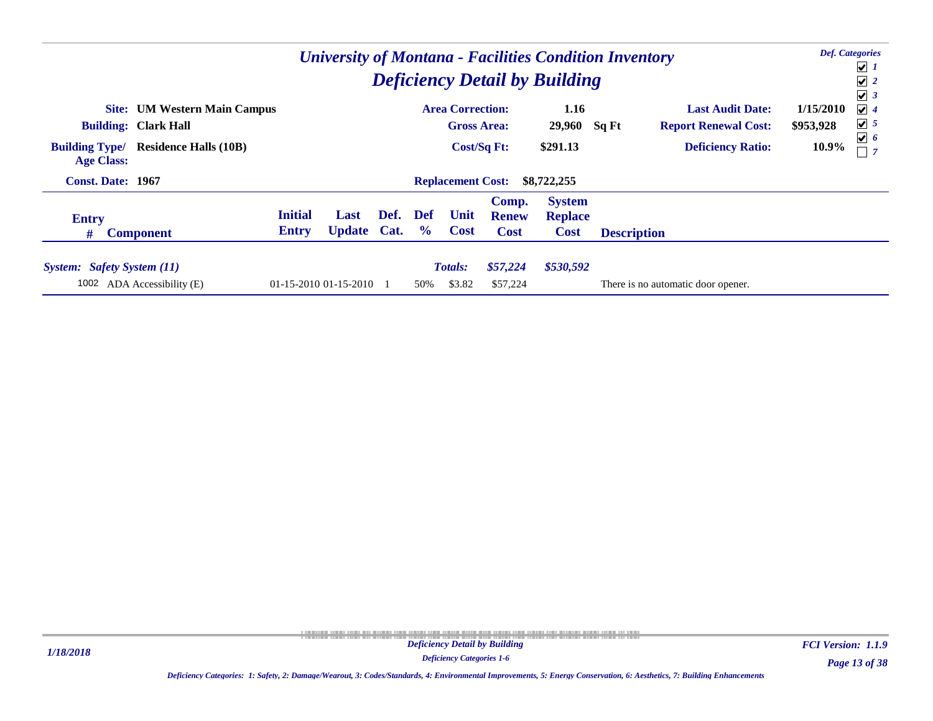|                                                                              |                |                       |      |               |                         |                       |                                      | <b>University of Montana - Facilities Condition Inventory</b> |                                    |           | <b>Def.</b> Categories<br>$\boxed{\mathbf{v}}$ 1 |  |
|------------------------------------------------------------------------------|----------------|-----------------------|------|---------------|-------------------------|-----------------------|--------------------------------------|---------------------------------------------------------------|------------------------------------|-----------|--------------------------------------------------|--|
|                                                                              |                |                       |      |               |                         |                       | <b>Deficiency Detail by Building</b> |                                                               |                                    |           | $\sqrt{2}$<br>$\sqrt{3}$                         |  |
| <b>Site:</b> UM Western Main Campus                                          |                |                       |      |               | <b>Area Correction:</b> |                       | 1.16                                 |                                                               | <b>Last Audit Date:</b>            | 1/15/2010 | $\vert\bm\checkmark\vert$ 4                      |  |
| <b>Building: Clark Hall</b>                                                  |                |                       |      |               | <b>Gross Area:</b>      |                       | 29,960                               | Sq Ft                                                         | <b>Report Renewal Cost:</b>        | \$953,928 | $\sqrt{5}$                                       |  |
| <b>Building Type/</b><br><b>Residence Halls (10B)</b><br><b>Age Class:</b>   |                |                       |      |               |                         |                       | \$291.13                             |                                                               | <b>Deficiency Ratio:</b>           | 10.9%     | $\boxed{\mathbf{v}}$ 6<br>$\overline{7}$         |  |
| <b>Const. Date: 1967</b><br>\$8,722,255<br><b>Replacement Cost:</b>          |                |                       |      |               |                         |                       |                                      |                                                               |                                    |           |                                                  |  |
| <b>Entry</b>                                                                 | <b>Initial</b> | Last                  | Def. | Def           | Unit                    | Comp.<br><b>Renew</b> | <b>System</b><br><b>Replace</b>      |                                                               |                                    |           |                                                  |  |
| #<br><b>Component</b>                                                        | <b>Entry</b>   | <b>Update Cat.</b>    |      | $\frac{6}{9}$ | <b>Cost</b>             | <b>Cost</b>           | <b>Cost</b>                          | <b>Description</b>                                            |                                    |           |                                                  |  |
| <b>Totals:</b><br>\$57,224<br>\$530,592<br><b>System:</b> Safety System (11) |                |                       |      |               |                         |                       |                                      |                                                               |                                    |           |                                                  |  |
| 1002<br>ADA Accessibility (E)                                                |                | 01-15-2010 01-15-2010 |      | 50%           | \$3.82                  | \$57,224              |                                      |                                                               | There is no automatic door opener. |           |                                                  |  |

*Deficiency Categories 1-6*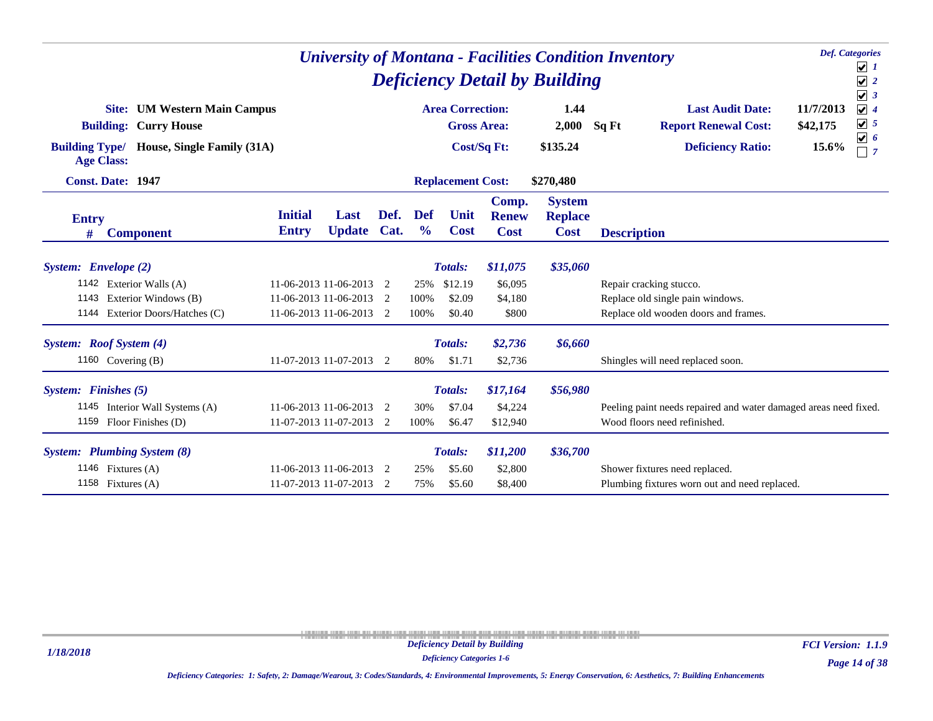|                                                                          | <b>Def.</b> Categories<br><b>University of Montana - Facilities Condition Inventory</b><br><b>Deficiency Detail by Building</b><br><b>Area Correction:</b><br><b>Last Audit Date:</b><br><b>Site:</b> UM Western Main Campus |                     |                |                      |                          |                                      |                                                |                                                                  |                                                   |  |  |  |  |  |
|--------------------------------------------------------------------------|------------------------------------------------------------------------------------------------------------------------------------------------------------------------------------------------------------------------------|---------------------|----------------|----------------------|--------------------------|--------------------------------------|------------------------------------------------|------------------------------------------------------------------|---------------------------------------------------|--|--|--|--|--|
|                                                                          |                                                                                                                                                                                                                              |                     |                |                      |                          |                                      | 1.44                                           |                                                                  | $\sqrt{3}$<br>11/7/2013<br>$\sqrt{4}$             |  |  |  |  |  |
| <b>Building: Curry House</b>                                             |                                                                                                                                                                                                                              |                     |                |                      | <b>Gross Area:</b>       |                                      | 2,000                                          | <b>Report Renewal Cost:</b><br>Sq Ft                             | $\boxed{\mathbf{v}}$ 5<br>\$42,175                |  |  |  |  |  |
| <b>Building Type/</b><br>House, Single Family (31A)<br><b>Age Class:</b> |                                                                                                                                                                                                                              |                     |                |                      | <b>Cost/Sq Ft:</b>       |                                      | \$135.24                                       | <b>Deficiency Ratio:</b>                                         | $\boxed{\mathbf{v}}$ 6<br>15.6%<br>$\overline{7}$ |  |  |  |  |  |
| <b>Const. Date: 1947</b>                                                 |                                                                                                                                                                                                                              |                     |                |                      | <b>Replacement Cost:</b> |                                      | \$270,480                                      |                                                                  |                                                   |  |  |  |  |  |
| <b>Entry</b><br><b>Component</b><br>#                                    | <b>Initial</b><br><b>Entry</b>                                                                                                                                                                                               | Last<br>Update Cat. | Def.           | Def<br>$\frac{0}{0}$ | Unit<br><b>Cost</b>      | Comp.<br><b>Renew</b><br><b>Cost</b> | <b>System</b><br><b>Replace</b><br><b>Cost</b> | <b>Description</b>                                               |                                                   |  |  |  |  |  |
| System: Envelope (2)                                                     |                                                                                                                                                                                                                              |                     |                |                      | Totals:                  | \$11,075                             | \$35,060                                       |                                                                  |                                                   |  |  |  |  |  |
| 1142 Exterior Walls (A)                                                  | 11-06-2013 11-06-2013 2                                                                                                                                                                                                      |                     |                | 25%                  | \$12.19                  | \$6,095                              |                                                | Repair cracking stucco.                                          |                                                   |  |  |  |  |  |
| 1143<br>Exterior Windows (B)                                             | 11-06-2013 11-06-2013 2                                                                                                                                                                                                      |                     |                | 100%                 | \$2.09                   | \$4,180                              |                                                | Replace old single pain windows.                                 |                                                   |  |  |  |  |  |
| 1144 Exterior Doors/Hatches (C)                                          | 11-06-2013 11-06-2013 2                                                                                                                                                                                                      |                     |                | 100%                 | \$0.40                   | \$800                                |                                                | Replace old wooden doors and frames.                             |                                                   |  |  |  |  |  |
| System: Roof System (4)                                                  |                                                                                                                                                                                                                              |                     |                |                      | Totals:                  | \$2,736                              | \$6,660                                        |                                                                  |                                                   |  |  |  |  |  |
| 1160 Covering (B)                                                        | 11-07-2013 11-07-2013 2                                                                                                                                                                                                      |                     |                | 80%                  | \$1.71                   | \$2,736                              |                                                | Shingles will need replaced soon.                                |                                                   |  |  |  |  |  |
| System: Finishes (5)                                                     |                                                                                                                                                                                                                              |                     |                |                      | Totals:                  | \$17,164                             | \$56,980                                       |                                                                  |                                                   |  |  |  |  |  |
| 1145 Interior Wall Systems (A)                                           | 11-06-2013 11-06-2013 2                                                                                                                                                                                                      |                     |                | 30%                  | \$7.04                   | \$4,224                              |                                                | Peeling paint needs repaired and water damaged areas need fixed. |                                                   |  |  |  |  |  |
| 1159 Floor Finishes (D)                                                  | 11-07-2013 11-07-2013 2                                                                                                                                                                                                      |                     |                | 100%                 | \$6.47                   | \$12,940                             |                                                | Wood floors need refinished.                                     |                                                   |  |  |  |  |  |
| <b>System:</b> Plumbing System (8)                                       |                                                                                                                                                                                                                              |                     |                |                      | Totals:                  | \$11,200                             | \$36,700                                       |                                                                  |                                                   |  |  |  |  |  |
| 1146 Fixtures (A)                                                        | 11-06-2013 11-06-2013                                                                                                                                                                                                        |                     | -2             | 25%                  | \$5.60                   | \$2,800                              |                                                | Shower fixtures need replaced.                                   |                                                   |  |  |  |  |  |
| 1158 Fixtures $(A)$                                                      | 11-07-2013 11-07-2013                                                                                                                                                                                                        |                     | $\overline{2}$ | 75%                  | \$5.60                   | \$8,400                              |                                                |                                                                  | Plumbing fixtures worn out and need replaced.     |  |  |  |  |  |

*Deficiency Categories 1-6*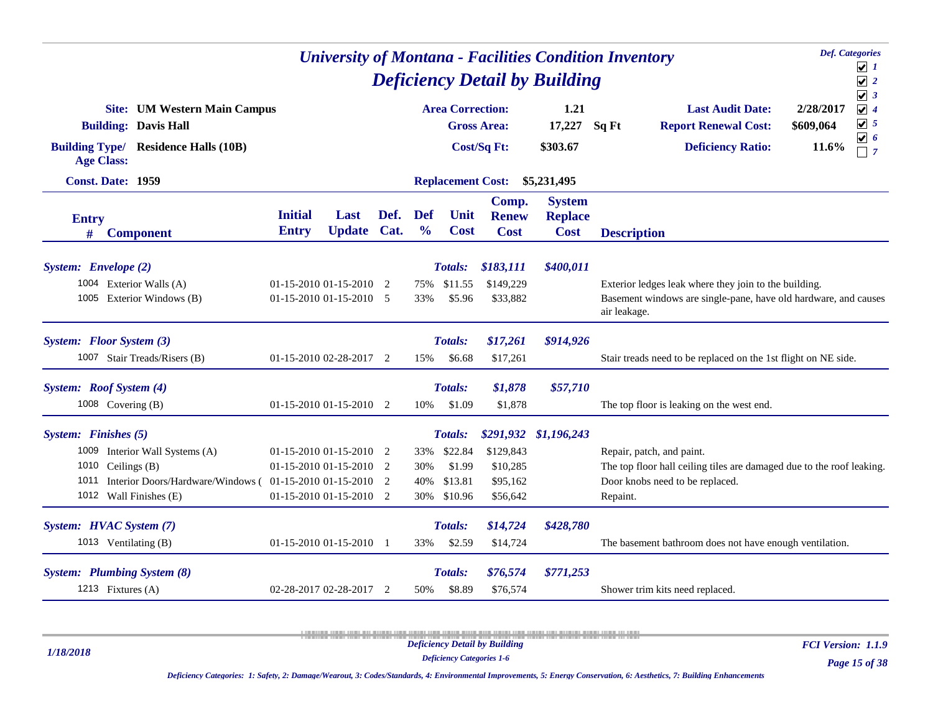|                      |                                                                    |                                | <b>University of Montana - Facilities Condition Inventory</b> |      |                      |                          | <b>Def.</b> Categories               | $\boxed{\mathbf{v}}$ 1                                                          |                    |                                                                       |                        |                                                                  |  |
|----------------------|--------------------------------------------------------------------|--------------------------------|---------------------------------------------------------------|------|----------------------|--------------------------|--------------------------------------|---------------------------------------------------------------------------------|--------------------|-----------------------------------------------------------------------|------------------------|------------------------------------------------------------------|--|
|                      | <b>Site:</b> UM Western Main Campus<br><b>Building: Davis Hall</b> |                                |                                                               |      |                      | <b>Area Correction:</b>  | <b>Gross Area:</b>                   | <b>Deficiency Detail by Building</b><br>1.21<br>17,227                          | Sq Ft              | <b>Last Audit Date:</b><br><b>Report Renewal Cost:</b>                | 2/28/2017<br>\$609,064 | $\sqrt{2}$<br>$\sqrt{3}$<br>$\sqrt{4}$<br>$\boxed{\mathbf{v}}$ 5 |  |
| <b>Age Class:</b>    | <b>Building Type/ Residence Halls (10B)</b>                        |                                |                                                               |      |                      |                          | Cost/Sq Ft:                          | \$303.67                                                                        |                    | <b>Deficiency Ratio:</b>                                              | 11.6%                  | $\boxed{\mathbf{v}}$ 6<br>$\Box$ 7                               |  |
|                      | Const. Date: 1959                                                  |                                |                                                               |      |                      | <b>Replacement Cost:</b> |                                      | \$5,231,495                                                                     |                    |                                                                       |                        |                                                                  |  |
| <b>Entry</b><br>#    | <b>Component</b>                                                   | <b>Initial</b><br><b>Entry</b> | Last<br>Update Cat.                                           | Def. | Def<br>$\frac{6}{6}$ | Unit<br><b>Cost</b>      | Comp.<br><b>Renew</b><br><b>Cost</b> | <b>System</b><br><b>Replace</b><br><b>Cost</b>                                  | <b>Description</b> |                                                                       |                        |                                                                  |  |
| System: Envelope (2) |                                                                    |                                |                                                               |      |                      | <b>Totals:</b>           | \$183,111                            | \$400,011                                                                       |                    |                                                                       |                        |                                                                  |  |
|                      | 1004 Exterior Walls (A)                                            |                                | 01-15-2010 01-15-2010 2                                       |      | 75%                  | \$11.55                  | \$149,229                            |                                                                                 |                    | Exterior ledges leak where they join to the building.                 |                        |                                                                  |  |
|                      | 1005 Exterior Windows (B)                                          |                                | $01-15-2010$ $01-15-2010$ 5                                   |      | 33%                  | \$5.96                   | \$33,882                             | Basement windows are single-pane, have old hardware, and causes<br>air leakage. |                    |                                                                       |                        |                                                                  |  |
|                      | System: Floor System (3)                                           |                                |                                                               |      |                      | Totals:                  | \$17,261                             | \$914,926                                                                       |                    |                                                                       |                        |                                                                  |  |
|                      | 1007 Stair Treads/Risers (B)                                       |                                | $01-15-2010$ $02-28-2017$ 2                                   |      | 15%                  | \$6.68                   | \$17,261                             |                                                                                 |                    | Stair treads need to be replaced on the 1st flight on NE side.        |                        |                                                                  |  |
|                      | System: Roof System (4)                                            |                                |                                                               |      |                      | <b>Totals:</b>           | \$1,878                              | \$57,710                                                                        |                    |                                                                       |                        |                                                                  |  |
|                      | 1008 Covering (B)                                                  |                                | $01-15-2010$ $01-15-2010$ 2                                   |      | 10%                  | \$1.09                   | \$1,878                              |                                                                                 |                    | The top floor is leaking on the west end.                             |                        |                                                                  |  |
| System: Finishes (5) |                                                                    |                                |                                                               |      |                      | <b>Totals:</b>           |                                      | \$291,932 \$1,196,243                                                           |                    |                                                                       |                        |                                                                  |  |
|                      | 1009 Interior Wall Systems (A)                                     |                                | 01-15-2010 01-15-2010 2                                       |      | 33%                  | \$22.84                  | \$129,843                            |                                                                                 |                    | Repair, patch, and paint.                                             |                        |                                                                  |  |
|                      | 1010 Ceilings (B)                                                  |                                | $01-15-2010$ $01-15-2010$ 2                                   |      | 30%                  | \$1.99                   | \$10,285                             |                                                                                 |                    | The top floor hall ceiling tiles are damaged due to the roof leaking. |                        |                                                                  |  |
|                      | 1011 Interior Doors/Hardware/Windows (01-15-2010 01-15-2010 2      |                                |                                                               |      | 40%                  | \$13.81                  | \$95,162                             |                                                                                 |                    | Door knobs need to be replaced.                                       |                        |                                                                  |  |
|                      | 1012 Wall Finishes (E)                                             |                                | $01-15-2010$ $01-15-2010$ 2                                   |      | 30%                  | \$10.96                  | \$56,642                             |                                                                                 | Repaint.           |                                                                       |                        |                                                                  |  |
|                      | System: HVAC System (7)                                            |                                |                                                               |      |                      | Totals:                  | \$14,724                             | \$428,780                                                                       |                    |                                                                       |                        |                                                                  |  |
|                      | 1013 Ventilating (B)                                               |                                | 01-15-2010 01-15-2010 1                                       |      | 33%                  | \$2.59                   | \$14,724                             |                                                                                 |                    | The basement bathroom does not have enough ventilation.               |                        |                                                                  |  |
|                      | System: Plumbing System (8)                                        |                                |                                                               |      |                      | Totals:                  | \$76,574                             | \$771,253                                                                       |                    |                                                                       |                        |                                                                  |  |
|                      | 1213 Fixtures (A)                                                  |                                | 02-28-2017 02-28-2017 2                                       |      | 50%                  | \$8.89                   | \$76,574                             |                                                                                 |                    | Shower trim kits need replaced.                                       |                        |                                                                  |  |

*1/18/2018*

*FCI Version: 1.1.9*

*Deficiency Categories 1-6*

*Page 15 of 38*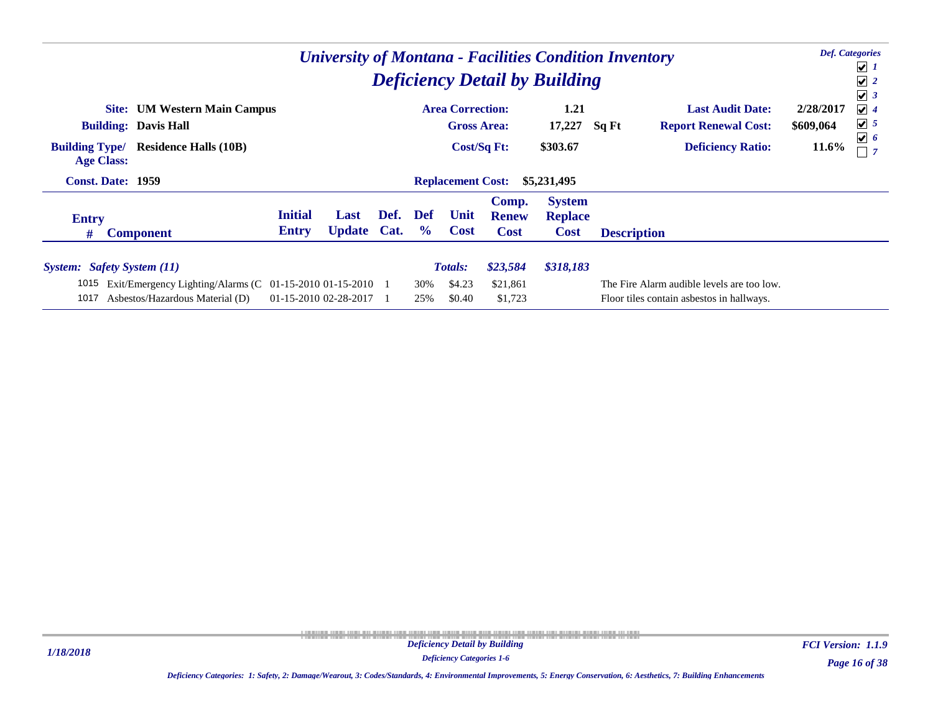|                                            |                                                                                             |                                |                            |      |                                                                     |                          |                                      | <b>Deficiency Detail by Building</b>           | <b>University of Montana - Facilities Condition Inventory</b> |                                                                                         |                        | <b>Def.</b> Categories<br>$\sqrt{1}$<br>$\sqrt{2}$               |
|--------------------------------------------|---------------------------------------------------------------------------------------------|--------------------------------|----------------------------|------|---------------------------------------------------------------------|--------------------------|--------------------------------------|------------------------------------------------|---------------------------------------------------------------|-----------------------------------------------------------------------------------------|------------------------|------------------------------------------------------------------|
| <b>Building: Davis Hall</b>                | <b>Site:</b> UM Western Main Campus                                                         |                                |                            |      | <b>Area Correction:</b><br><b>Gross Area:</b><br><b>Cost/Sq Ft:</b> |                          |                                      | 1.21<br>17,227                                 | Sq Ft                                                         | <b>Last Audit Date:</b><br><b>Report Renewal Cost:</b>                                  | 2/28/2017<br>\$609,064 | $\sqrt{3}$<br>$\sqrt{4}$<br>$\sqrt{5}$<br>$\boxed{\mathbf{v}}$ 6 |
| <b>Building Type/</b><br><b>Age Class:</b> | <b>Residence Halls (10B)</b>                                                                |                                |                            |      |                                                                     |                          |                                      | \$303.67                                       |                                                               | <b>Deficiency Ratio:</b>                                                                | 11.6%                  |                                                                  |
| <b>Const. Date: 1959</b>                   |                                                                                             |                                |                            |      |                                                                     | <b>Replacement Cost:</b> |                                      | \$5,231,495                                    |                                                               |                                                                                         |                        |                                                                  |
| <b>Entry</b><br>#                          | <b>Component</b>                                                                            | <b>Initial</b><br><b>Entry</b> | Last<br><b>Update Cat.</b> | Def. | <b>Def</b><br>$\frac{6}{6}$                                         | Unit<br><b>Cost</b>      | Comp.<br><b>Renew</b><br><b>Cost</b> | <b>System</b><br><b>Replace</b><br><b>Cost</b> | <b>Description</b>                                            |                                                                                         |                        |                                                                  |
| <b>System:</b> Safety System (11)          |                                                                                             |                                |                            |      |                                                                     | <b>Totals:</b>           | \$23,584                             | \$318,183                                      |                                                               |                                                                                         |                        |                                                                  |
| 1015<br>1017                               | Exit/Emergency Lighting/Alarms (C $01-15-201001-15-2010$<br>Asbestos/Hazardous Material (D) | 01-15-2010 02-28-2017          |                            |      | 30%<br>25%                                                          | \$4.23<br>\$0.40         | \$21,861<br>\$1,723                  |                                                |                                                               | The Fire Alarm audible levels are too low.<br>Floor tiles contain asbestos in hallways. |                        |                                                                  |

*Page 16 of 38 FCI Version: 1.1.9*

*Deficiency Categories 1-6 Deficiency Categories: 1: Safety, 2: Damage/Wearout, 3: Codes/Standards, 4: Environmental Improvements, 5: Energy Conservation, 6: Aesthetics, 7: Building Enhancements*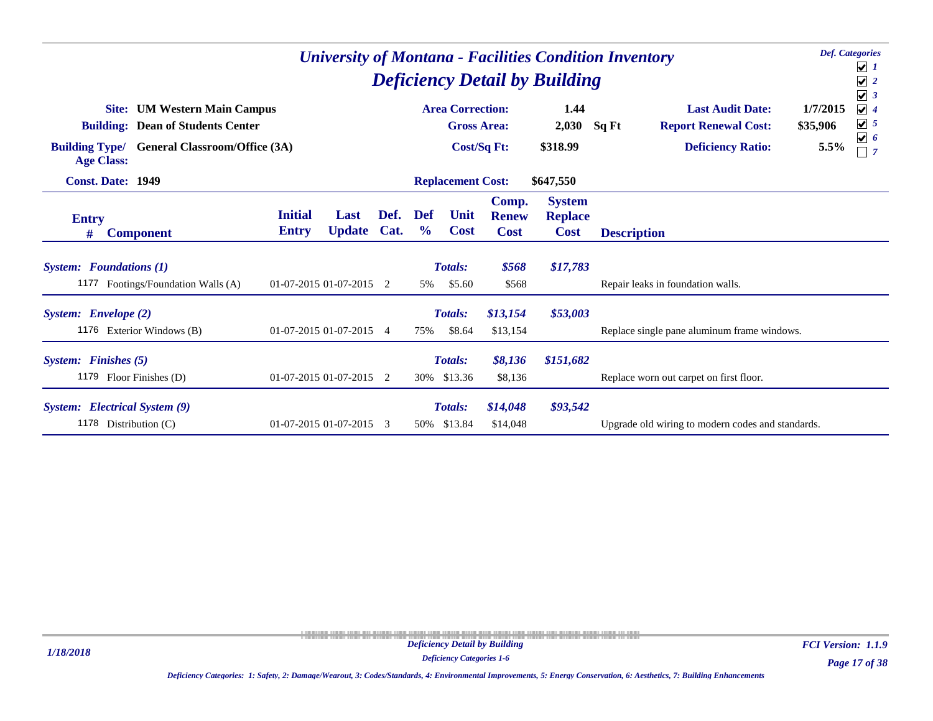| <b>Def.</b> Categories<br><b>University of Montana - Facilities Condition Inventory</b><br><b>Deficiency Detail by Building</b><br><b>Area Correction:</b> |                                                                                                                                               |                      |                     |                                      |                                                |                                   |                           |                                                                                             |                              |                                                                              |  |  |
|------------------------------------------------------------------------------------------------------------------------------------------------------------|-----------------------------------------------------------------------------------------------------------------------------------------------|----------------------|---------------------|--------------------------------------|------------------------------------------------|-----------------------------------|---------------------------|---------------------------------------------------------------------------------------------|------------------------------|------------------------------------------------------------------------------|--|--|
| Site:<br><b>Building Type/</b><br><b>Age Class:</b>                                                                                                        | <b>UM Western Main Campus</b><br><b>Building: Dean of Students Center</b><br><b>General Classroom/Office (3A)</b><br><b>Const. Date: 1949</b> |                      |                     |                                      |                                                | <b>Gross Area:</b><br>Cost/Sq Ft: | 1.44<br>2,030<br>\$318.99 | <b>Last Audit Date:</b><br>Sq Ft<br><b>Report Renewal Cost:</b><br><b>Deficiency Ratio:</b> | 1/7/2015<br>\$35,906<br>5.5% | $\sqrt{3}$<br>$\sqrt{4}$<br>$\sqrt{5}$<br>$\boxed{\mathbf{v}}$ 6<br>$\Box$ 7 |  |  |
|                                                                                                                                                            |                                                                                                                                               |                      |                     |                                      | <b>Replacement Cost:</b>                       |                                   | \$647,550                 |                                                                                             |                              |                                                                              |  |  |
| <b>Entry</b><br><b>Component</b><br>#                                                                                                                      | Def.<br><b>Update</b><br>Cat.                                                                                                                 | Def<br>$\frac{6}{9}$ | Unit<br><b>Cost</b> | Comp.<br><b>Renew</b><br><b>Cost</b> | <b>System</b><br><b>Replace</b><br><b>Cost</b> | <b>Description</b>                |                           |                                                                                             |                              |                                                                              |  |  |
| <b>System:</b> Foundations (1)<br>1177 Footings/Foundation Walls (A)                                                                                       | $01-07-2015$ 01-07-2015 2                                                                                                                     |                      |                     | 5%                                   | <b>Totals:</b><br>\$5.60                       | \$568<br>\$568                    | \$17,783                  | Repair leaks in foundation walls.                                                           |                              |                                                                              |  |  |
| System: Envelope (2)<br>1176 Exterior Windows (B)                                                                                                          | 01-07-2015 01-07-2015 4                                                                                                                       |                      |                     | 75%                                  | <b>Totals:</b><br>\$8.64                       | \$13,154<br>\$13,154              | \$53,003                  | Replace single pane aluminum frame windows.                                                 |                              |                                                                              |  |  |
| System: Finishes (5)<br>1179<br>Floor Finishes (D)                                                                                                         | 01-07-2015 01-07-2015 2                                                                                                                       |                      |                     | 30%                                  | Totals:<br>\$13.36                             | \$8,136<br>\$8,136                | \$151,682                 | Replace worn out carpet on first floor.                                                     |                              |                                                                              |  |  |
| System: Electrical System (9)<br>1178 Distribution (C)                                                                                                     | 01-07-2015 01-07-2015                                                                                                                         |                      | 3                   | 50%                                  | <b>Totals:</b><br>\$13.84                      | \$14,048<br>\$14,048              | \$93,542                  | Upgrade old wiring to modern codes and standards.                                           |                              |                                                                              |  |  |

*1/18/2018*

*Deficiency Categories 1-6*

*Page 17 of 38 FCI Version: 1.1.9*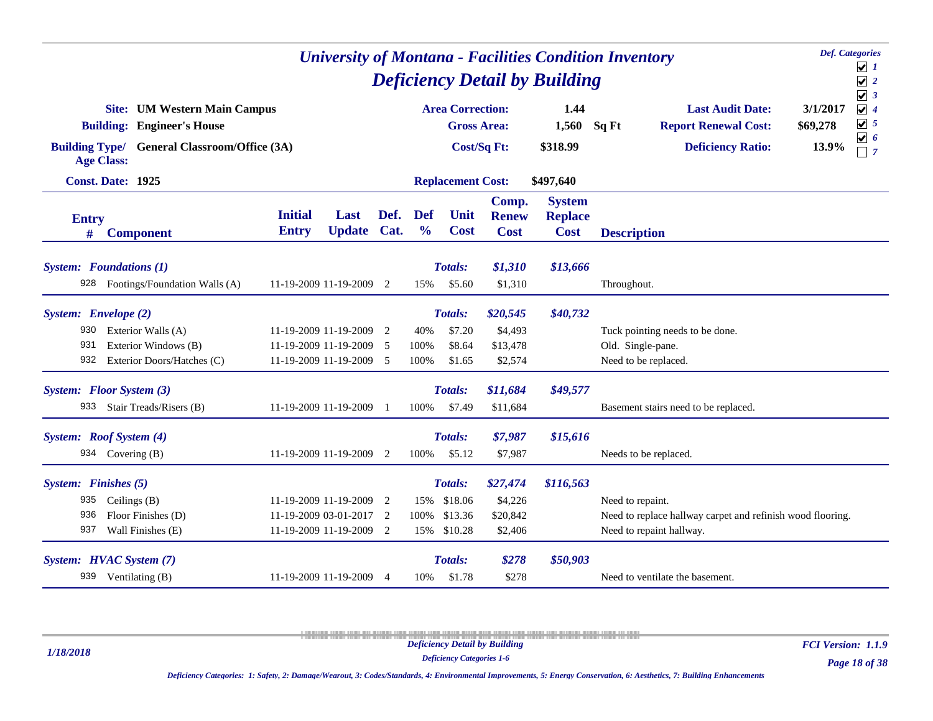|                      | <b>Def.</b> Categories<br><b>University of Montana - Facilities Condition Inventory</b><br><b>Deficiency Detail by Building</b><br><b>Area Correction:</b><br>1.44<br><b>Last Audit Date:</b><br><b>Site: UM Western Main Campus</b> |                                                    |                       |                |                             |                          |                                      |                                                |                                           |                                                            |                                                                                          |  |  |  |
|----------------------|--------------------------------------------------------------------------------------------------------------------------------------------------------------------------------------------------------------------------------------|----------------------------------------------------|-----------------------|----------------|-----------------------------|--------------------------|--------------------------------------|------------------------------------------------|-------------------------------------------|------------------------------------------------------------|------------------------------------------------------------------------------------------|--|--|--|
|                      | <b>Building: Engineer's House</b>                                                                                                                                                                                                    |                                                    |                       |                |                             | <b>Gross Area:</b>       |                                      | 1,560                                          | Sq Ft                                     | <b>Report Renewal Cost:</b>                                | $\sqrt{3}$<br>$\sqrt{4}$<br>3/1/2017<br>$\sqrt{5}$<br>\$69,278<br>$\boxed{\mathbf{v}}$ 6 |  |  |  |
| <b>Age Class:</b>    | <b>Building Type/ General Classroom/Office (3A)</b>                                                                                                                                                                                  |                                                    |                       |                |                             |                          | Cost/Sq Ft:                          | \$318.99                                       |                                           | <b>Deficiency Ratio:</b>                                   | 13.9%<br>$\Box$ 7                                                                        |  |  |  |
|                      | <b>Const. Date: 1925</b>                                                                                                                                                                                                             |                                                    |                       |                |                             | <b>Replacement Cost:</b> |                                      | \$497,640                                      |                                           |                                                            |                                                                                          |  |  |  |
| <b>Entry</b><br>#    | <b>Component</b>                                                                                                                                                                                                                     | <b>Initial</b><br><b>Entry</b>                     | Last<br><b>Update</b> | Def.<br>Cat.   | <b>Def</b><br>$\frac{0}{0}$ | Unit<br><b>Cost</b>      | Comp.<br><b>Renew</b><br><b>Cost</b> | <b>System</b><br><b>Replace</b><br><b>Cost</b> | <b>Description</b>                        |                                                            |                                                                                          |  |  |  |
|                      | <b>System:</b> Foundations (1)                                                                                                                                                                                                       |                                                    |                       |                |                             | <b>Totals:</b>           | \$1,310                              | \$13,666                                       |                                           |                                                            |                                                                                          |  |  |  |
| 928                  | Footings/Foundation Walls (A)                                                                                                                                                                                                        | 11-19-2009 11-19-2009                              |                       | 2              | 15%                         | \$5.60                   | \$1,310                              |                                                | Throughout.                               |                                                            |                                                                                          |  |  |  |
| System: Envelope (2) |                                                                                                                                                                                                                                      |                                                    |                       |                |                             | <b>Totals:</b>           | \$20,545                             | \$40,732                                       |                                           |                                                            |                                                                                          |  |  |  |
| 930                  | Exterior Walls (A)                                                                                                                                                                                                                   | 11-19-2009 11-19-2009 2                            |                       |                | 40%                         | \$7.20                   | \$4,493                              |                                                |                                           | Tuck pointing needs to be done.                            |                                                                                          |  |  |  |
| 931                  | Exterior Windows (B)<br>932 Exterior Doors/Hatches (C)                                                                                                                                                                               | 11-19-2009 11-19-2009 5<br>11-19-2009 11-19-2009 5 |                       |                | 100%<br>100%                | \$8.64<br>\$1.65         | \$13,478<br>\$2,574                  |                                                | Old. Single-pane.<br>Need to be replaced. |                                                            |                                                                                          |  |  |  |
|                      | System: Floor System (3)                                                                                                                                                                                                             |                                                    |                       |                |                             | Totals:                  | \$11,684                             | \$49,577                                       |                                           |                                                            |                                                                                          |  |  |  |
|                      | 933 Stair Treads/Risers (B)                                                                                                                                                                                                          | 11-19-2009 11-19-2009 1                            |                       |                | 100%                        | \$7.49                   | \$11,684                             |                                                |                                           | Basement stairs need to be replaced.                       |                                                                                          |  |  |  |
|                      | System: Roof System (4)                                                                                                                                                                                                              |                                                    |                       |                |                             | Totals:                  | \$7,987                              | \$15,616                                       |                                           |                                                            |                                                                                          |  |  |  |
|                      | 934 Covering (B)                                                                                                                                                                                                                     | 11-19-2009 11-19-2009                              |                       | 2              | 100%                        | \$5.12                   | \$7,987                              |                                                | Needs to be replaced.                     |                                                            |                                                                                          |  |  |  |
| System: Finishes (5) |                                                                                                                                                                                                                                      |                                                    |                       |                |                             | Totals:                  | \$27,474                             | \$116,563                                      |                                           |                                                            |                                                                                          |  |  |  |
| 935                  | Ceilings $(B)$                                                                                                                                                                                                                       | 11-19-2009 11-19-2009 2                            |                       |                |                             | 15% \$18.06              | \$4,226                              |                                                | Need to repaint.                          |                                                            |                                                                                          |  |  |  |
| 936                  | Floor Finishes (D)                                                                                                                                                                                                                   | 11-19-2009 03-01-2017                              |                       | 2              | 100%                        | \$13.36                  | \$20,842                             |                                                |                                           | Need to replace hallway carpet and refinish wood flooring. |                                                                                          |  |  |  |
| 937                  | Wall Finishes (E)                                                                                                                                                                                                                    | 11-19-2009 11-19-2009 2                            |                       |                |                             | 15% \$10.28              | \$2,406                              |                                                | Need to repaint hallway.                  |                                                            |                                                                                          |  |  |  |
|                      | System: HVAC System (7)                                                                                                                                                                                                              |                                                    |                       |                |                             | Totals:                  | \$278                                | \$50,903                                       |                                           |                                                            |                                                                                          |  |  |  |
|                      | 939 Ventilating (B)                                                                                                                                                                                                                  | 11-19-2009 11-19-2009                              |                       | $\overline{4}$ | 10%                         | \$1.78                   | \$278                                |                                                |                                           | Need to ventilate the basement.                            |                                                                                          |  |  |  |

*1/18/2018*

*Deficiency Categories 1-6*

*FCI Version: 1.1.9*

*Deficiency Categories: 1: Safety, 2: Damage/Wearout, 3: Codes/Standards, 4: Environmental Improvements, 5: Energy Conservation, 6: Aesthetics, 7: Building Enhancements*

*Page 18 of 38*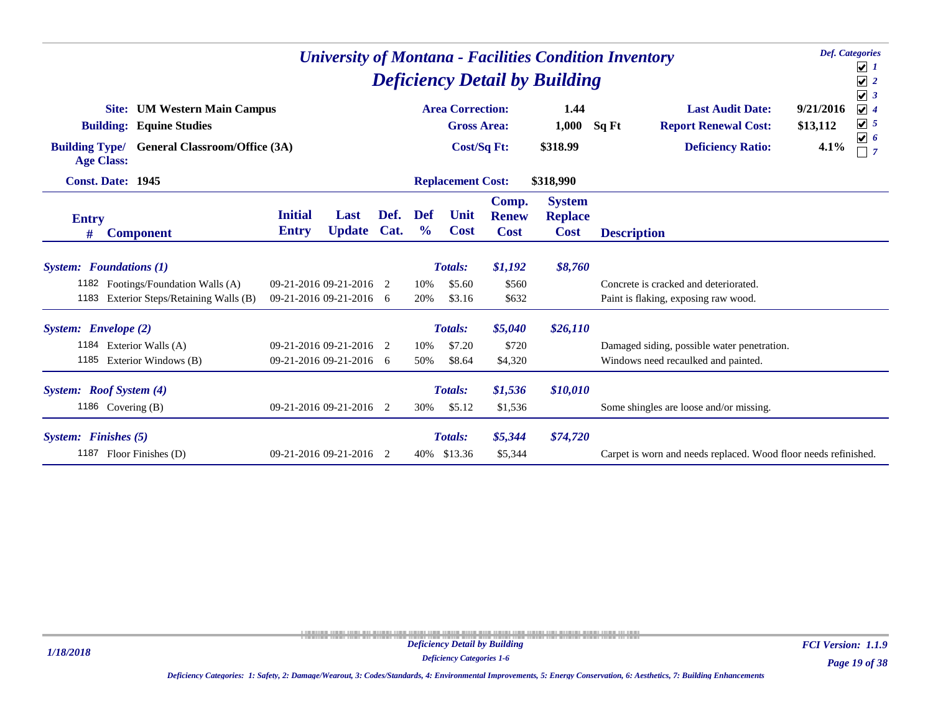| <b>Def.</b> Categories<br><b>University of Montana - Facilities Condition Inventory</b><br><b>Deficiency Detail by Building</b> |                                                                           |                         |  |  |     |                                               |                       |                                 |                    |                                                                 |                       |                                                                              |
|---------------------------------------------------------------------------------------------------------------------------------|---------------------------------------------------------------------------|-------------------------|--|--|-----|-----------------------------------------------|-----------------------|---------------------------------|--------------------|-----------------------------------------------------------------|-----------------------|------------------------------------------------------------------------------|
|                                                                                                                                 | <b>UM Western Main Campus</b><br>Site:<br><b>Building: Equine Studies</b> |                         |  |  |     | <b>Area Correction:</b><br><b>Gross Area:</b> |                       | 1.44<br>1,000                   | Sq Ft              | <b>Last Audit Date:</b><br><b>Report Renewal Cost:</b>          | 9/21/2016<br>\$13,112 | $\sqrt{3}$<br>$\sqrt{4}$<br>$\boxed{\mathbf{v}}$ 5<br>$\boxed{\mathbf{v}}$ 6 |
| <b>Building Type/</b>                                                                                                           | <b>General Classroom/Office (3A)</b><br><b>Age Class:</b>                 |                         |  |  |     | <b>Cost/Sq Ft:</b>                            |                       | \$318.99                        |                    | <b>Deficiency Ratio:</b>                                        | 4.1%                  | $\Box$ 7                                                                     |
|                                                                                                                                 | <b>Const. Date: 1945</b>                                                  |                         |  |  |     | <b>Replacement Cost:</b>                      |                       | \$318,990                       |                    |                                                                 |                       |                                                                              |
| <b>Initial</b><br>Def.<br>Last<br><b>Entry</b><br><b>Update</b><br>Cat.<br><b>Entry</b><br><b>Component</b><br>#                |                                                                           |                         |  |  |     | Unit<br><b>Cost</b>                           | Comp.<br><b>Renew</b> | <b>System</b><br><b>Replace</b> |                    |                                                                 |                       |                                                                              |
|                                                                                                                                 |                                                                           |                         |  |  |     |                                               | <b>Cost</b>           | <b>Cost</b>                     | <b>Description</b> |                                                                 |                       |                                                                              |
|                                                                                                                                 | <b>System:</b> Foundations (1)                                            |                         |  |  |     | <b>Totals:</b>                                | \$1,192               | \$8,760                         |                    |                                                                 |                       |                                                                              |
|                                                                                                                                 | 1182 Footings/Foundation Walls (A)                                        | 09-21-2016 09-21-2016 2 |  |  | 10% | \$5.60                                        | \$560                 |                                 |                    | Concrete is cracked and deteriorated.                           |                       |                                                                              |
| 1183                                                                                                                            | Exterior Steps/Retaining Walls (B)                                        | 09-21-2016 09-21-2016 6 |  |  | 20% | \$3.16                                        | \$632                 |                                 |                    | Paint is flaking, exposing raw wood.                            |                       |                                                                              |
| System: Envelope (2)                                                                                                            |                                                                           |                         |  |  |     | <b>Totals:</b>                                | \$5,040               | \$26,110                        |                    |                                                                 |                       |                                                                              |
|                                                                                                                                 | 1184 Exterior Walls (A)                                                   | 09-21-2016 09-21-2016 2 |  |  | 10% | \$7.20                                        | \$720                 |                                 |                    | Damaged siding, possible water penetration.                     |                       |                                                                              |
|                                                                                                                                 | 1185 Exterior Windows (B)                                                 | 09-21-2016 09-21-2016 6 |  |  | 50% | \$8.64                                        | \$4,320               |                                 |                    | Windows need recaulked and painted.                             |                       |                                                                              |
|                                                                                                                                 | System: Roof System (4)                                                   |                         |  |  |     | <b>Totals:</b>                                | \$1,536               | \$10,010                        |                    |                                                                 |                       |                                                                              |
|                                                                                                                                 | 1186 Covering (B)                                                         | 09-21-2016 09-21-2016 2 |  |  | 30% | \$5.12                                        | \$1,536               |                                 |                    | Some shingles are loose and/or missing.                         |                       |                                                                              |
| System: Finishes (5)                                                                                                            |                                                                           |                         |  |  |     | <b>Totals:</b>                                | \$5,344               | \$74,720                        |                    |                                                                 |                       |                                                                              |
|                                                                                                                                 | 1187 Floor Finishes (D)<br>09-21-2016 09-21-2016 2                        |                         |  |  |     | 40% \$13.36                                   | \$5,344               |                                 |                    | Carpet is worn and needs replaced. Wood floor needs refinished. |                       |                                                                              |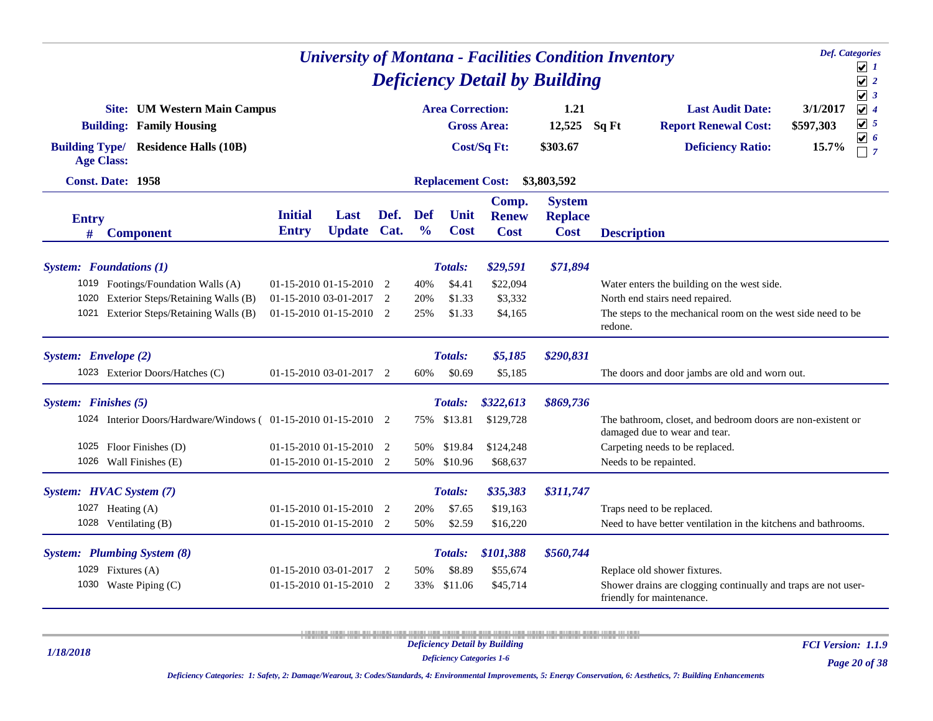| <b>Def.</b> Categories<br><b>University of Montana - Facilities Condition Inventory</b><br><b>Deficiency Detail by Building</b> |                                                                                                                |                                                                                                                                                                                                                                                                                                                                 |                                                        |      |                             |                          |                               |                                                |                    |                                                                                              |                       |                                                    |
|---------------------------------------------------------------------------------------------------------------------------------|----------------------------------------------------------------------------------------------------------------|---------------------------------------------------------------------------------------------------------------------------------------------------------------------------------------------------------------------------------------------------------------------------------------------------------------------------------|--------------------------------------------------------|------|-----------------------------|--------------------------|-------------------------------|------------------------------------------------|--------------------|----------------------------------------------------------------------------------------------|-----------------------|----------------------------------------------------|
|                                                                                                                                 |                                                                                                                |                                                                                                                                                                                                                                                                                                                                 |                                                        |      |                             |                          |                               |                                                |                    |                                                                                              |                       | $\sqrt{1}$<br>$\sqrt{2}$                           |
|                                                                                                                                 | <b>Site: UM Western Main Campus</b><br><b>Building: Family Housing</b>                                         |                                                                                                                                                                                                                                                                                                                                 |                                                        |      |                             | <b>Area Correction:</b>  | <b>Gross Area:</b>            | 1.21<br>12,525                                 | Sq Ft              | <b>Last Audit Date:</b><br><b>Report Renewal Cost:</b>                                       | 3/1/2017<br>\$597,303 | $\sqrt{3}$<br>$\sqrt{4}$<br>$\boxed{\mathbf{v}}$ 5 |
|                                                                                                                                 | <b>Building Type/ Residence Halls (10B)</b><br><b>Age Class:</b>                                               |                                                                                                                                                                                                                                                                                                                                 |                                                        |      |                             |                          | Cost/Sq Ft:                   | \$303.67                                       |                    | <b>Deficiency Ratio:</b>                                                                     | 15.7%                 | $\overline{\mathbf{v}}$ 6<br>$\Box$ 7              |
|                                                                                                                                 | Const. Date: 1958                                                                                              |                                                                                                                                                                                                                                                                                                                                 |                                                        |      |                             | <b>Replacement Cost:</b> |                               | \$3,803,592                                    |                    |                                                                                              |                       |                                                    |
| <b>Entry</b><br>#                                                                                                               | <b>Component</b>                                                                                               | <b>Initial</b><br><b>Entry</b>                                                                                                                                                                                                                                                                                                  | Last<br><b>Update Cat.</b>                             | Def. | <b>Def</b><br>$\frac{0}{0}$ | Unit<br><b>Cost</b>      | Comp.<br><b>Renew</b><br>Cost | <b>System</b><br><b>Replace</b><br><b>Cost</b> | <b>Description</b> |                                                                                              |                       |                                                    |
|                                                                                                                                 | <b>System:</b> Foundations (1)                                                                                 |                                                                                                                                                                                                                                                                                                                                 |                                                        |      |                             | Totals:                  | \$29,591                      | \$71,894                                       |                    |                                                                                              |                       |                                                    |
| 1020<br>1021                                                                                                                    | 1019 Footings/Foundation Walls (A)<br>Exterior Steps/Retaining Walls (B)<br>Exterior Steps/Retaining Walls (B) | \$4.41<br>\$22,094<br>$01-15-201001-15-20102$<br>40%<br>Water enters the building on the west side.<br>North end stairs need repaired.<br>$01-15-201003-01-20172$<br>\$1.33<br>\$3,332<br>20%<br>01-15-2010 01-15-2010 2<br>25%<br>\$1.33<br>\$4,165<br>The steps to the mechanical room on the west side need to be<br>redone. |                                                        |      |                             |                          |                               |                                                |                    |                                                                                              |                       |                                                    |
| System: Envelope (2)                                                                                                            |                                                                                                                |                                                                                                                                                                                                                                                                                                                                 |                                                        |      |                             | <b>Totals:</b>           | \$5,185                       | \$290,831                                      |                    |                                                                                              |                       |                                                    |
|                                                                                                                                 | 1023 Exterior Doors/Hatches (C)                                                                                |                                                                                                                                                                                                                                                                                                                                 | $01-15-201003-01-20172$                                |      | 60%                         | \$0.69                   | \$5,185                       |                                                |                    | The doors and door jambs are old and worn out.                                               |                       |                                                    |
| System: Finishes (5)                                                                                                            |                                                                                                                |                                                                                                                                                                                                                                                                                                                                 |                                                        |      |                             | Totals:                  | \$322,613                     | \$869,736                                      |                    |                                                                                              |                       |                                                    |
|                                                                                                                                 | 1024 Interior Doors/Hardware/Windows (01-15-2010 01-15-2010 2                                                  |                                                                                                                                                                                                                                                                                                                                 |                                                        |      | 75%                         | \$13.81                  | \$129,728                     |                                                |                    | The bathroom, closet, and bedroom doors are non-existent or<br>damaged due to wear and tear. |                       |                                                    |
|                                                                                                                                 | 1025 Floor Finishes (D)<br>1026 Wall Finishes (E)                                                              |                                                                                                                                                                                                                                                                                                                                 | $01-15-201001-15-20102$<br>$01-15-2010$ $01-15-2010$ 2 |      | 50%<br>50%                  | \$19.84<br>\$10.96       | \$124,248<br>\$68,637         |                                                |                    | Carpeting needs to be replaced.<br>Needs to be repainted.                                    |                       |                                                    |
|                                                                                                                                 | System: HVAC System (7)                                                                                        |                                                                                                                                                                                                                                                                                                                                 |                                                        |      |                             | Totals:                  | \$35,383                      | \$311,747                                      |                    |                                                                                              |                       |                                                    |
|                                                                                                                                 | 1027 Heating (A)<br>1028 Ventilating (B)                                                                       |                                                                                                                                                                                                                                                                                                                                 | 01-15-2010 01-15-2010 2<br>$01-15-2010$ $01-15-2010$ 2 |      | 20%<br>50%                  | \$7.65<br>\$2.59         | \$19,163<br>\$16,220          |                                                |                    | Traps need to be replaced.<br>Need to have better ventilation in the kitchens and bathrooms. |                       |                                                    |
|                                                                                                                                 | <b>System:</b> Plumbing System (8)                                                                             |                                                                                                                                                                                                                                                                                                                                 |                                                        |      |                             | <b>Totals:</b>           | \$101,388                     | \$560,744                                      |                    |                                                                                              |                       |                                                    |
|                                                                                                                                 | 1029 Fixtures (A)                                                                                              |                                                                                                                                                                                                                                                                                                                                 | 01-15-2010 03-01-2017 2                                |      | 50%                         | \$8.89                   | \$55,674                      |                                                |                    | Replace old shower fixtures.                                                                 |                       |                                                    |
|                                                                                                                                 | 1030 Waste Piping (C)                                                                                          |                                                                                                                                                                                                                                                                                                                                 | $01-15-2010$ $01-15-2010$ 2                            |      | 33%                         | \$11.06                  | \$45,714                      |                                                |                    | Shower drains are clogging continually and traps are not user-<br>friendly for maintenance.  |                       |                                                    |

*1/18/2018*

*FCI Version: 1.1.9*

*Deficiency Categories 1-6*

*Page 20 of 38*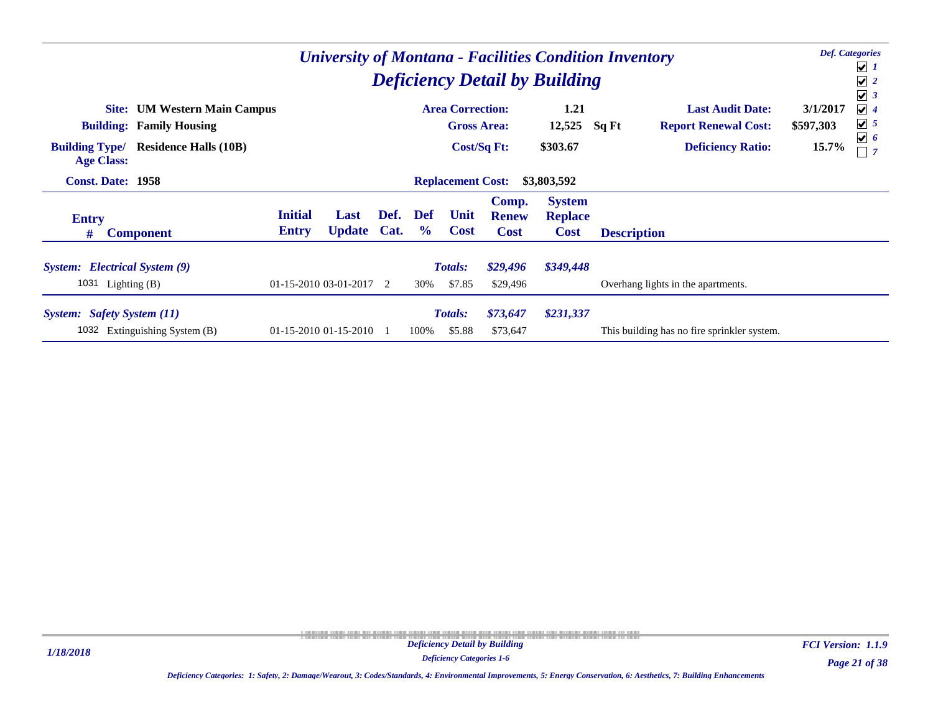|                                                         | <b>University of Montana - Facilities Condition Inventory</b><br><b>Deficiency Detail by Building</b> |                                |                         |                                         |                             |                          |                                      |                                                |                                             |                                      |  |  |  |  |  |
|---------------------------------------------------------|-------------------------------------------------------------------------------------------------------|--------------------------------|-------------------------|-----------------------------------------|-----------------------------|--------------------------|--------------------------------------|------------------------------------------------|---------------------------------------------|--------------------------------------|--|--|--|--|--|
|                                                         | <b>Site:</b> UM Western Main Campus                                                                   |                                |                         |                                         |                             | <b>Area Correction:</b>  |                                      | 1.21                                           | <b>Last Audit Date:</b>                     | $\sqrt{3}$<br>$\sqrt{4}$<br>3/1/2017 |  |  |  |  |  |
|                                                         | <b>Building: Family Housing</b>                                                                       |                                |                         |                                         |                             | <b>Gross Area:</b>       |                                      | 12,525                                         | Sq Ft<br><b>Report Renewal Cost:</b>        | $\sqrt{5}$<br>\$597,303              |  |  |  |  |  |
| <b>Building Type/</b><br><b>Age Class:</b>              | <b>Residence Halls (10B)</b><br><b>Const. Date: 1958</b>                                              |                                |                         |                                         |                             |                          | Cost/Sq Ft:                          | \$303.67                                       | <b>Deficiency Ratio:</b>                    | $\boxed{\mathbf{v}}$ 6<br>15.7%      |  |  |  |  |  |
|                                                         |                                                                                                       |                                |                         | <b>Replacement Cost:</b><br>\$3,803,592 |                             |                          |                                      |                                                |                                             |                                      |  |  |  |  |  |
| <b>Entry</b><br>#                                       | <b>Component</b>                                                                                      | <b>Initial</b><br><b>Entry</b> | Last<br><b>Update</b>   | Def.<br>Cat.                            | <b>Def</b><br>$\frac{6}{9}$ | Unit<br><b>Cost</b>      | Comp.<br><b>Renew</b><br><b>Cost</b> | <b>System</b><br><b>Replace</b><br><b>Cost</b> | <b>Description</b>                          |                                      |  |  |  |  |  |
| System: Electrical System (9)<br>1031<br>Lighting $(B)$ |                                                                                                       |                                | $01-15-201003-01-20172$ |                                         | 30%                         | <b>Totals:</b><br>\$7.85 | \$29,496<br>\$29,496                 | \$349,448                                      | Overhang lights in the apartments.          |                                      |  |  |  |  |  |
| System: Safety System (11)<br>1032                      | Extinguishing System (B)                                                                              |                                | 01-15-2010 01-15-2010   |                                         | 100%                        | <b>Totals:</b><br>\$5.88 | \$73,647<br>\$73,647                 | \$231,337                                      | This building has no fire sprinkler system. |                                      |  |  |  |  |  |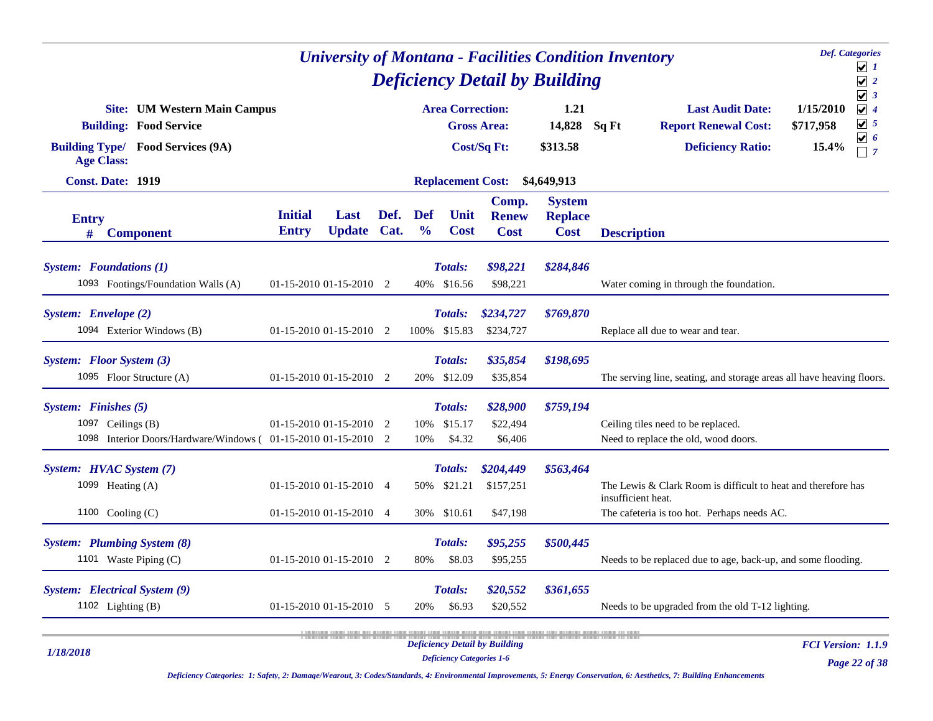|                                                                                                                                       |                                                    | <b>University of Montana - Facilities Condition Inventory</b> |              |                             |                                              |                                      | <b>Def.</b> Categories<br>$\sqrt{1}$           |                    |                                                                                                              |                                 |                                                                                        |
|---------------------------------------------------------------------------------------------------------------------------------------|----------------------------------------------------|---------------------------------------------------------------|--------------|-----------------------------|----------------------------------------------|--------------------------------------|------------------------------------------------|--------------------|--------------------------------------------------------------------------------------------------------------|---------------------------------|----------------------------------------------------------------------------------------|
|                                                                                                                                       |                                                    |                                                               |              |                             |                                              |                                      | <b>Deficiency Detail by Building</b>           |                    |                                                                                                              |                                 | $\sqrt{2}$                                                                             |
| <b>Site:</b> UM Western Main Campus<br><b>Building: Food Service</b><br><b>Building Type/ Food Services (9A)</b><br><b>Age Class:</b> |                                                    |                                                               |              |                             | <b>Area Correction:</b>                      | <b>Gross Area:</b><br>Cost/Sq Ft:    | 1.21<br>14,828<br>\$313.58                     | Sq Ft              | <b>Last Audit Date:</b><br><b>Report Renewal Cost:</b><br><b>Deficiency Ratio:</b>                           | 1/15/2010<br>\$717,958<br>15.4% | $\sqrt{3}$<br>$\sqrt{4}$<br>$\sqrt{5}$<br>$\blacktriangledown$<br>-6<br>$\overline{7}$ |
| <b>Const. Date: 1919</b>                                                                                                              |                                                    |                                                               |              |                             | <b>Replacement Cost:</b>                     |                                      | \$4,649,913                                    |                    |                                                                                                              |                                 |                                                                                        |
| <b>Entry</b><br>#<br><b>Component</b>                                                                                                 | <b>Initial</b><br><b>Entry</b>                     | Last<br><b>Update</b>                                         | Def.<br>Cat. | <b>Def</b><br>$\frac{0}{0}$ | Unit<br><b>Cost</b>                          | Comp.<br><b>Renew</b><br><b>Cost</b> | <b>System</b><br><b>Replace</b><br><b>Cost</b> | <b>Description</b> |                                                                                                              |                                 |                                                                                        |
| <b>System:</b> Foundations (1)<br>1093 Footings/Foundation Walls (A)                                                                  | 01-15-2010 01-15-2010 2                            |                                                               |              |                             | <b>Totals:</b><br>40% \$16.56                | \$98,221<br>\$98,221                 | \$284,846                                      |                    | Water coming in through the foundation.                                                                      |                                 |                                                                                        |
| System: Envelope (2)<br>1094 Exterior Windows (B)                                                                                     | $01-15-2010$ $01-15-2010$ 2                        |                                                               |              | 100%                        | <b>Totals:</b><br>\$15.83                    | \$234,727<br>\$234,727               | \$769,870                                      |                    | Replace all due to wear and tear.                                                                            |                                 |                                                                                        |
| System: Floor System (3)<br>1095 Floor Structure (A)                                                                                  | 01-15-2010 01-15-2010 2                            |                                                               |              |                             | Totals:<br>20% \$12.09                       | \$35,854<br>\$35,854                 | \$198,695                                      |                    | The serving line, seating, and storage areas all have heaving floors.                                        |                                 |                                                                                        |
| System: Finishes (5)<br>1097 Ceilings (B)<br>1098 Interior Doors/Hardware/Windows (01-15-2010 01-15-2010 2                            | 01-15-2010 01-15-2010 2                            |                                                               |              | 10%<br>10%                  | <b>Totals:</b><br>\$15.17<br>\$4.32          | \$28,900<br>\$22,494<br>\$6,406      | \$759,194                                      |                    | Ceiling tiles need to be replaced.<br>Need to replace the old, wood doors.                                   |                                 |                                                                                        |
| System: HVAC System (7)<br>1099 Heating (A)<br>1100 Cooling $(C)$                                                                     | 01-15-2010 01-15-2010 4<br>01-15-2010 01-15-2010 4 |                                                               |              |                             | <b>Totals:</b><br>50% \$21.21<br>30% \$10.61 | \$204,449<br>\$157,251<br>\$47,198   | \$563,464                                      | insufficient heat. | The Lewis & Clark Room is difficult to heat and therefore has<br>The cafeteria is too hot. Perhaps needs AC. |                                 |                                                                                        |
| <b>System:</b> Plumbing System (8)<br>1101 Waste Piping (C)                                                                           | 01-15-2010 01-15-2010 2                            |                                                               |              | 80%                         | <b>Totals:</b><br>\$8.03                     | \$95,255<br>\$95,255                 | \$500,445                                      |                    | Needs to be replaced due to age, back-up, and some flooding.                                                 |                                 |                                                                                        |
| System: Electrical System (9)<br>1102 Lighting $(B)$                                                                                  | 01-15-2010 01-15-2010 5                            |                                                               |              | 20%                         | Totals:<br>\$6.93                            | \$20,552<br>\$20,552                 | \$361,655                                      |                    | Needs to be upgraded from the old T-12 lighting.                                                             |                                 |                                                                                        |
| 1/18/2018                                                                                                                             |                                                    |                                                               |              |                             | <b>Deficiency Categories 1-6</b>             | <b>Deficiency Detail by Building</b> |                                                |                    |                                                                                                              | FCI Version: 1.1.9              | Page 22 of 38                                                                          |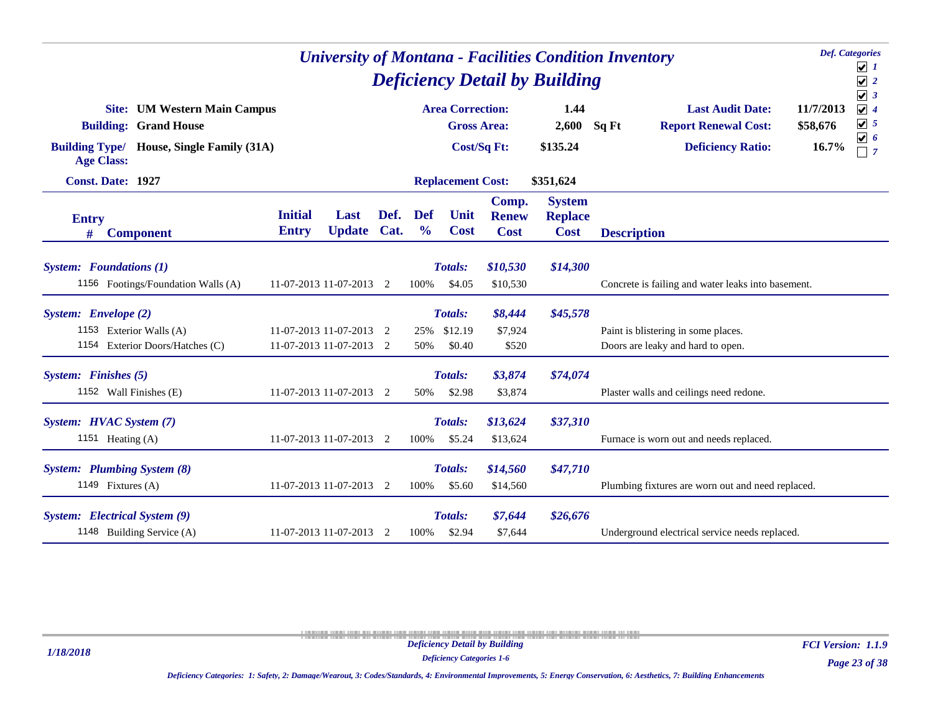| <b>Def.</b> Categories<br><b>University of Montana - Facilities Condition Inventory</b><br><b>Deficiency Detail by Building</b><br><b>Area Correction:</b> |                                |                     |      |                      |                          |                                      |                                                |                    |                                                        |                       |                                                    |
|------------------------------------------------------------------------------------------------------------------------------------------------------------|--------------------------------|---------------------|------|----------------------|--------------------------|--------------------------------------|------------------------------------------------|--------------------|--------------------------------------------------------|-----------------------|----------------------------------------------------|
| <b>Site:</b> UM Western Main Campus<br><b>Grand House</b><br><b>Building:</b>                                                                              |                                |                     |      |                      | <b>Gross Area:</b>       |                                      | 1.44<br>2,600                                  | Sq Ft              | <b>Last Audit Date:</b><br><b>Report Renewal Cost:</b> | 11/7/2013<br>\$58,676 | $\sqrt{3}$<br>$\sqrt{4}$<br>$\boxed{\mathbf{v}}$ 5 |
| <b>Building Type/</b><br>House, Single Family (31A)<br><b>Age Class:</b>                                                                                   |                                |                     |      |                      |                          | Cost/Sq Ft:                          | \$135.24                                       |                    | <b>Deficiency Ratio:</b>                               | 16.7%                 | $\boxed{\mathbf{v}}$ 6<br>$\overline{7}$           |
| Const. Date: 1927                                                                                                                                          |                                |                     |      |                      | <b>Replacement Cost:</b> |                                      | \$351,624                                      |                    |                                                        |                       |                                                    |
| <b>Entry</b><br><b>Component</b><br>#                                                                                                                      | <b>Initial</b><br><b>Entry</b> | Last<br>Update Cat. | Def. | Def<br>$\frac{0}{0}$ | Unit<br><b>Cost</b>      | Comp.<br><b>Renew</b><br><b>Cost</b> | <b>System</b><br><b>Replace</b><br><b>Cost</b> | <b>Description</b> |                                                        |                       |                                                    |
| <b>System:</b> Foundations (1)                                                                                                                             |                                |                     |      |                      | Totals:                  | \$10,530                             | \$14,300                                       |                    |                                                        |                       |                                                    |
| 1156 Footings/Foundation Walls (A)                                                                                                                         | 11-07-2013 11-07-2013 2        |                     |      | 100%                 | \$4.05                   | \$10,530                             |                                                |                    | Concrete is failing and water leaks into basement.     |                       |                                                    |
| System: Envelope (2)                                                                                                                                       |                                |                     |      |                      | Totals:                  | \$8,444                              | \$45,578                                       |                    |                                                        |                       |                                                    |
| 1153 Exterior Walls (A)                                                                                                                                    | 11-07-2013 11-07-2013 2        |                     |      | 25%                  | \$12.19                  | \$7,924                              |                                                |                    | Paint is blistering in some places.                    |                       |                                                    |
| 1154 Exterior Doors/Hatches (C)                                                                                                                            | 11-07-2013 11-07-2013 2        |                     |      | 50%                  | \$0.40                   | \$520                                |                                                |                    | Doors are leaky and hard to open.                      |                       |                                                    |
| System: Finishes (5)                                                                                                                                       |                                |                     |      |                      | Totals:                  | \$3,874                              | \$74,074                                       |                    |                                                        |                       |                                                    |
| 1152 Wall Finishes (E)                                                                                                                                     | 11-07-2013 11-07-2013 2        |                     |      | 50%                  | \$2.98                   | \$3,874                              |                                                |                    | Plaster walls and ceilings need redone.                |                       |                                                    |
| System: HVAC System (7)                                                                                                                                    |                                |                     |      |                      | Totals:                  | \$13,624                             | \$37,310                                       |                    |                                                        |                       |                                                    |
| 1151 Heating (A)                                                                                                                                           | 11-07-2013 11-07-2013 2        |                     |      | 100%                 | \$5.24                   | \$13,624                             |                                                |                    | Furnace is worn out and needs replaced.                |                       |                                                    |
| <b>System:</b> Plumbing System (8)                                                                                                                         |                                |                     |      |                      | Totals:                  | \$14,560                             | \$47,710                                       |                    |                                                        |                       |                                                    |
| 1149 Fixtures (A)                                                                                                                                          | 11-07-2013 11-07-2013 2        |                     |      | 100%                 | \$5.60                   | \$14,560                             |                                                |                    | Plumbing fixtures are worn out and need replaced.      |                       |                                                    |
| System: Electrical System (9)                                                                                                                              |                                |                     |      |                      | <b>Totals:</b>           | \$7,644                              | \$26,676                                       |                    |                                                        |                       |                                                    |
| 1148 Building Service (A)                                                                                                                                  | 11-07-2013 11-07-2013 2        |                     |      | 100%                 | \$2.94                   | \$7,644                              |                                                |                    | Underground electrical service needs replaced.         |                       |                                                    |

*Deficiency Categories 1-6*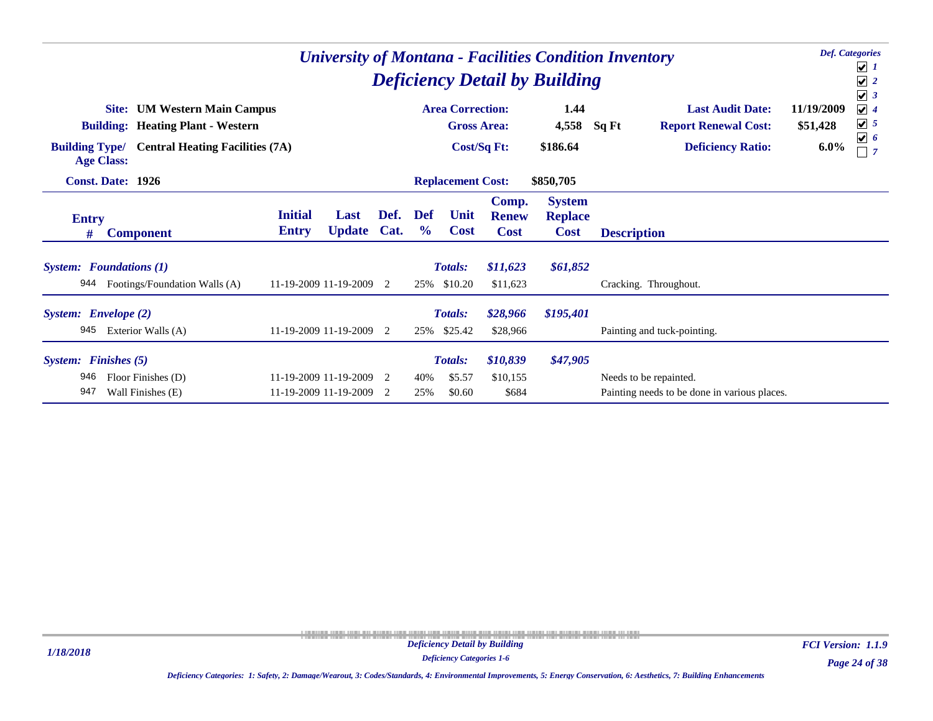|                                           | <b>University of Montana - Facilities Condition Inventory</b><br><b>Deficiency Detail by Building</b>                                                                      |                                |                                                |              |                      |                                                |                                      |                                                |                                                                        |                        |                                                                                             |  |  |  |
|-------------------------------------------|----------------------------------------------------------------------------------------------------------------------------------------------------------------------------|--------------------------------|------------------------------------------------|--------------|----------------------|------------------------------------------------|--------------------------------------|------------------------------------------------|------------------------------------------------------------------------|------------------------|---------------------------------------------------------------------------------------------|--|--|--|
|                                           | <b>UM Western Main Campus</b><br>Site:<br><b>Building: Heating Plant - Western</b><br><b>Building Type/</b><br><b>Central Heating Facilities (7A)</b><br><b>Age Class:</b> |                                |                                                |              |                      | <b>Area Correction:</b><br><b>Gross Area:</b>  |                                      | 1.44<br>4,558                                  | <b>Last Audit Date:</b><br><b>Report Renewal Cost:</b><br>Sq Ft        | 11/19/2009<br>\$51,428 | $\blacktriangledown$<br>3<br>$\sqrt{4}$<br>$\boxed{\mathbf{v}}$ 5<br>$\boxed{\mathbf{v}}$ 6 |  |  |  |
|                                           | <b>Const. Date: 1926</b>                                                                                                                                                   |                                |                                                |              |                      | <b>Cost/Sq Ft:</b><br><b>Replacement Cost:</b> |                                      | \$186.64<br>\$850,705                          | <b>Deficiency Ratio:</b>                                               | $6.0\%$                | $\overline{7}$                                                                              |  |  |  |
| <b>Entry</b><br>#                         | <b>Component</b>                                                                                                                                                           | <b>Initial</b><br><b>Entry</b> | Last<br><b>Update</b>                          | Def.<br>Cat. | Def<br>$\frac{6}{9}$ | Unit<br><b>Cost</b>                            | Comp.<br><b>Renew</b><br><b>Cost</b> | <b>System</b><br><b>Replace</b><br><b>Cost</b> | <b>Description</b>                                                     |                        |                                                                                             |  |  |  |
| <b>System:</b> Foundations (1)<br>944     | Footings/Foundation Walls (A)                                                                                                                                              |                                | 11-19-2009 11-19-2009 2                        |              | 25%                  | Totals:<br>\$10.20                             | \$11,623<br>\$11,623                 | \$61,852                                       | Cracking. Throughout.                                                  |                        |                                                                                             |  |  |  |
| System: Envelope (2)<br>945               | Exterior Walls (A)                                                                                                                                                         |                                | 11-19-2009 11-19-2009 2                        |              | 25%                  | <b>Totals:</b><br>\$25.42                      | \$28,966<br>\$28,966                 | \$195,401                                      | Painting and tuck-pointing.                                            |                        |                                                                                             |  |  |  |
| <b>System:</b> Finishes (5)<br>946<br>947 | Floor Finishes (D)<br>Wall Finishes (E)                                                                                                                                    |                                | 11-19-2009 11-19-2009<br>11-19-2009 11-19-2009 | 2<br>2       | 40%<br>25%           | <b>Totals:</b><br>\$5.57<br>\$0.60             | \$10,839<br>\$10,155<br>\$684        | \$47,905                                       | Needs to be repainted.<br>Painting needs to be done in various places. |                        |                                                                                             |  |  |  |

*Page 24 of 38 FCI Version: 1.1.9*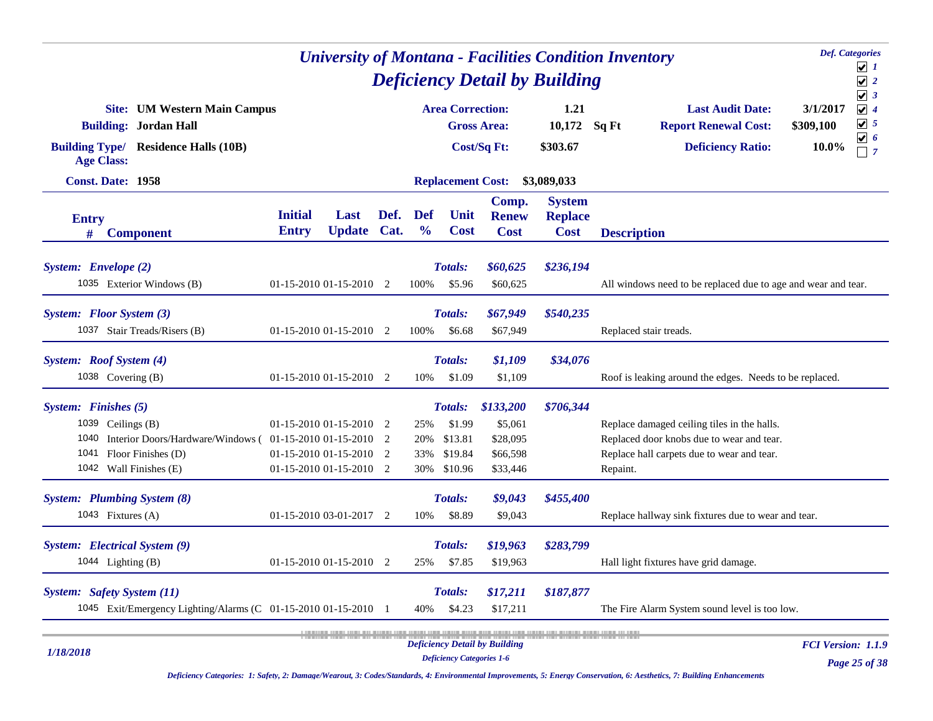|                                                                                                                                                                       |                                                                               |                       |              |                             |                                                           | <b>University of Montana - Facilities Condition Inventory</b> |                                                |          | <b>Def.</b> Categories                                                                                                                 |                                                            |                                                              |
|-----------------------------------------------------------------------------------------------------------------------------------------------------------------------|-------------------------------------------------------------------------------|-----------------------|--------------|-----------------------------|-----------------------------------------------------------|---------------------------------------------------------------|------------------------------------------------|----------|----------------------------------------------------------------------------------------------------------------------------------------|------------------------------------------------------------|--------------------------------------------------------------|
|                                                                                                                                                                       |                                                                               |                       |              |                             |                                                           | <b>Deficiency Detail by Building</b>                          |                                                |          | $\boxed{\blacktriangledown}$ 1<br>$\sqrt{2}$                                                                                           |                                                            |                                                              |
| <b>Site:</b> UM Western Main Campus<br><b>Building: Jordan Hall</b><br><b>Building Type/ Residence Halls (10B)</b><br><b>Age Class:</b><br>Const. Date: 1958          |                                                                               |                       |              |                             | <b>Area Correction:</b>                                   | <b>Gross Area:</b><br>Cost/Sq Ft:                             | 1.21<br>10,172<br>\$303.67                     | Sq Ft    | <b>Last Audit Date:</b><br><b>Report Renewal Cost:</b><br><b>Deficiency Ratio:</b>                                                     | $\sqrt{3}$<br>$\sqrt{4}$<br>3/1/2017<br>\$309,100<br>10.0% | $\boxed{\mathbf{v}}$ 5<br>$\boxed{\mathbf{v}}$ 6<br>$\Box$ 7 |
|                                                                                                                                                                       |                                                                               |                       |              |                             | <b>Replacement Cost:</b>                                  |                                                               | \$3,089,033                                    |          |                                                                                                                                        |                                                            |                                                              |
| <b>Entry</b><br><b>Component</b><br>#                                                                                                                                 | <b>Initial</b><br><b>Entry</b>                                                | Last<br><b>Update</b> | Def.<br>Cat. | <b>Def</b><br>$\frac{0}{0}$ | Unit<br><b>Cost</b>                                       | Comp.<br><b>Renew</b><br><b>Cost</b>                          | <b>System</b><br><b>Replace</b><br><b>Cost</b> |          | <b>Description</b>                                                                                                                     |                                                            |                                                              |
| System: Envelope (2)<br>1035 Exterior Windows (B)                                                                                                                     | $01-15-201001-15-20102$                                                       |                       |              | 100%                        | Totals:<br>\$5.96                                         | \$60,625<br>\$60,625                                          | \$236,194                                      |          | All windows need to be replaced due to age and wear and tear.                                                                          |                                                            |                                                              |
| System: Floor System (3)<br>1037 Stair Treads/Risers (B)                                                                                                              | 01-15-2010 01-15-2010 2                                                       |                       |              | 100%                        | Totals:<br>\$6.68                                         | \$67,949<br>\$67,949                                          | \$540,235                                      |          | Replaced stair treads.                                                                                                                 |                                                            |                                                              |
| System: Roof System (4)<br>1038 Covering (B)                                                                                                                          | $01-15-2010$ $01-15-2010$ 2                                                   |                       |              | 10%                         | Totals:<br>\$1.09                                         | \$1,109<br>\$1,109                                            | \$34,076                                       |          | Roof is leaking around the edges. Needs to be replaced.                                                                                |                                                            |                                                              |
| System: Finishes (5)<br>1039 Ceilings (B)<br>1040<br>Interior Doors/Hardware/Windows (01-15-2010 01-15-2010 2<br>1041<br>Floor Finishes (D)<br>1042 Wall Finishes (E) | $01-15-201001-15-20102$<br>01-15-2010 01-15-2010 2<br>01-15-2010 01-15-2010 2 |                       |              | 25%<br>20%<br>33%<br>30%    | <b>Totals:</b><br>\$1.99<br>\$13.81<br>\$19.84<br>\$10.96 | \$133,200<br>\$5,061<br>\$28,095<br>\$66,598<br>\$33,446      | \$706,344                                      | Repaint. | Replace damaged ceiling tiles in the halls.<br>Replaced door knobs due to wear and tear.<br>Replace hall carpets due to wear and tear. |                                                            |                                                              |
| <b>System:</b> Plumbing System (8)<br>1043 Fixtures $(A)$                                                                                                             | 01-15-2010 03-01-2017 2                                                       |                       |              | 10%                         | Totals:<br>\$8.89                                         | \$9,043<br>\$9,043                                            | \$455,400                                      |          | Replace hallway sink fixtures due to wear and tear.                                                                                    |                                                            |                                                              |
| System: Electrical System (9)<br>1044 Lighting $(B)$                                                                                                                  | $01-15-201001-15-20102$                                                       |                       |              | 25%                         | Totals:<br>\$7.85                                         | \$19,963<br>\$19,963                                          | \$283,799                                      |          | Hall light fixtures have grid damage.                                                                                                  |                                                            |                                                              |
| System: Safety System (11)<br>1045 Exit/Emergency Lighting/Alarms (C 01-15-2010 01-15-2010 1                                                                          |                                                                               |                       |              | 40%                         | Totals:<br>\$4.23                                         | \$17,211<br>\$17,211                                          | \$187,877                                      |          | The Fire Alarm System sound level is too low.                                                                                          |                                                            |                                                              |
| 1/18/2018                                                                                                                                                             |                                                                               |                       |              |                             | <b>Deficiency Categories 1-6</b>                          | <b>Deficiency Detail by Building</b>                          |                                                |          |                                                                                                                                        | <b>FCI Version: 1.1.9</b>                                  | 25.20                                                        |

*Deficiency Categories: 1: Safety, 2: Damage/Wearout, 3: Codes/Standards, 4: Environmental Improvements, 5: Energy Conservation, 6: Aesthetics, 7: Building Enhancements*

*Page 25 of 38*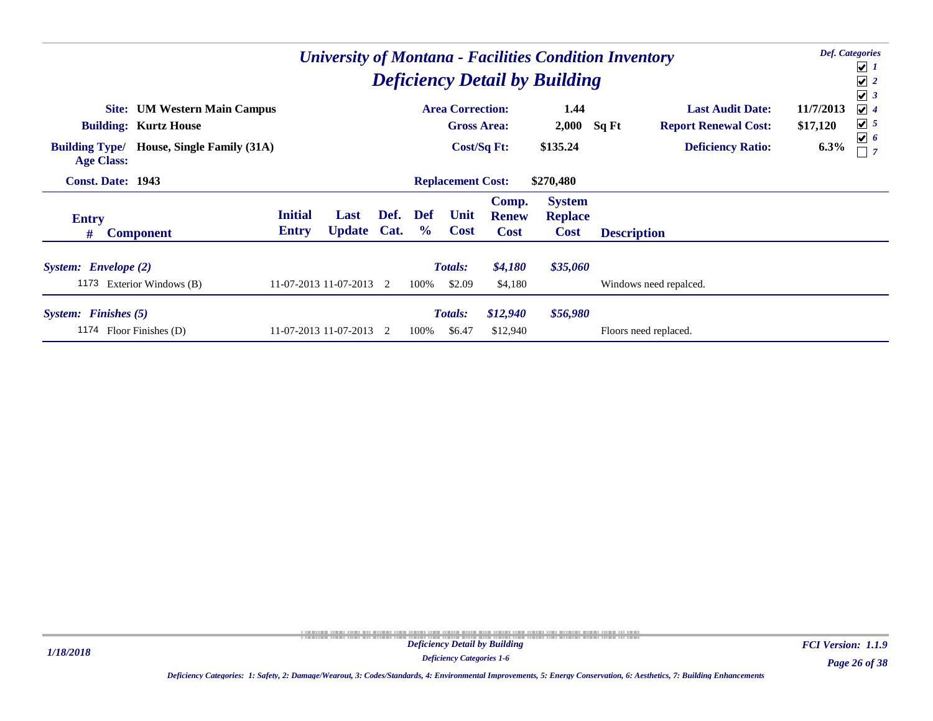| <b>University of Montana - Facilities Condition Inventory</b><br><b>Deficiency Detail by Building</b><br><b>Area Correction:</b> |                                     |                                |                         |                |                             |                          |                                      |                                                |                                      |                                       |  |  |  |
|----------------------------------------------------------------------------------------------------------------------------------|-------------------------------------|--------------------------------|-------------------------|----------------|-----------------------------|--------------------------|--------------------------------------|------------------------------------------------|--------------------------------------|---------------------------------------|--|--|--|
|                                                                                                                                  | <b>Site:</b> UM Western Main Campus |                                |                         |                |                             |                          |                                      | 1.44                                           | <b>Last Audit Date:</b>              | $\sqrt{3}$<br>$\sqrt{4}$<br>11/7/2013 |  |  |  |
|                                                                                                                                  | <b>Building: Kurtz House</b>        |                                |                         |                |                             | <b>Gross Area:</b>       |                                      | 2,000                                          | Sq Ft<br><b>Report Renewal Cost:</b> | $\boxed{\bigcup}$ 5<br>\$17,120       |  |  |  |
| <b>Building Type/</b><br><b>Age Class:</b>                                                                                       | House, Single Family (31A)          |                                |                         |                |                             | Cost/Sq Ft:              |                                      | \$135.24                                       | <b>Deficiency Ratio:</b>             | $\boxed{\mathbf{v}}$ 6<br>6.3%        |  |  |  |
| <b>Const. Date: 1943</b>                                                                                                         |                                     |                                |                         |                |                             | <b>Replacement Cost:</b> |                                      | \$270,480                                      |                                      |                                       |  |  |  |
| <b>Entry</b><br>#                                                                                                                | <b>Component</b>                    | <b>Initial</b><br><b>Entry</b> | Last<br><b>Update</b>   | Def.<br>Cat.   | <b>Def</b><br>$\frac{6}{9}$ | Unit<br><b>Cost</b>      | Comp.<br><b>Renew</b><br><b>Cost</b> | <b>System</b><br><b>Replace</b><br><b>Cost</b> | <b>Description</b>                   |                                       |  |  |  |
| System: Envelope (2)                                                                                                             | 1173 Exterior Windows (B)           |                                | 11-07-2013 11-07-2013 2 |                | 100%                        | <b>Totals:</b><br>\$2.09 | \$4,180<br>\$4,180                   | \$35,060                                       | Windows need repalced.               |                                       |  |  |  |
| System: Finishes (5)<br>1174 Floor Finishes (D)                                                                                  |                                     |                                | 11-07-2013 11-07-2013   | $\overline{2}$ | 100%                        | <b>Totals:</b><br>\$6.47 | \$12,940<br>\$12,940                 | \$56,980                                       | Floors need replaced.                |                                       |  |  |  |

*Page 26 of 38 FCI Version: 1.1.9*

*Deficiency Categories 1-6 Deficiency Categories: 1: Safety, 2: Damage/Wearout, 3: Codes/Standards, 4: Environmental Improvements, 5: Energy Conservation, 6: Aesthetics, 7: Building Enhancements*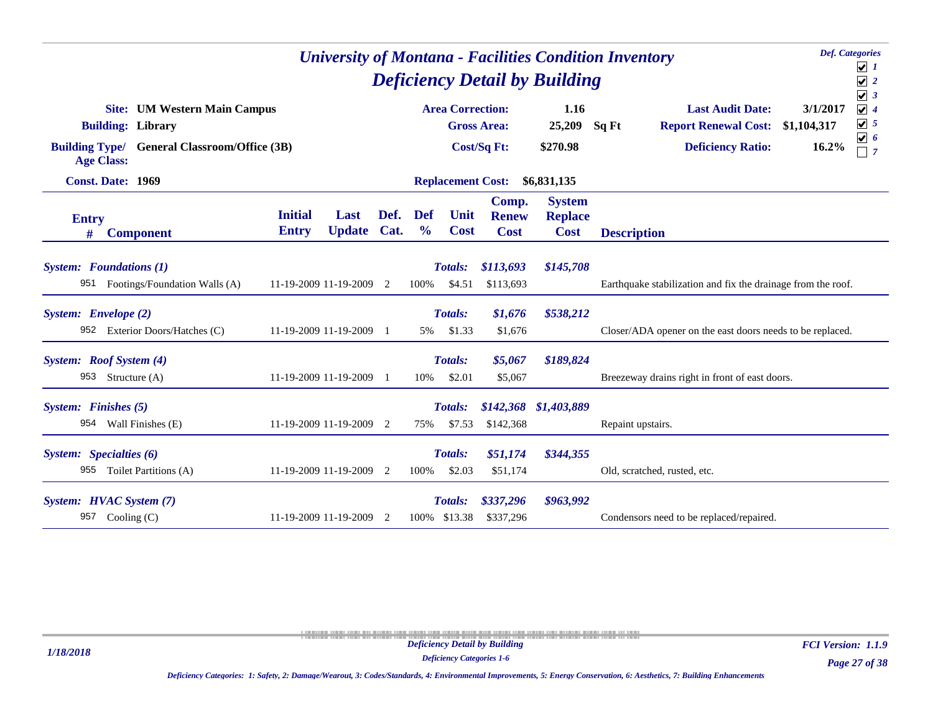| <b>Def.</b> Categories<br><b>University of Montana - Facilities Condition Inventory</b><br><b>Deficiency Detail by Building</b> |                                                                                                                        |                |                             |                                |                                      |                                                |                                                                                             |                                                                                                                                    |  |  |  |  |
|---------------------------------------------------------------------------------------------------------------------------------|------------------------------------------------------------------------------------------------------------------------|----------------|-----------------------------|--------------------------------|--------------------------------------|------------------------------------------------|---------------------------------------------------------------------------------------------|------------------------------------------------------------------------------------------------------------------------------------|--|--|--|--|
| <b>Building: Library</b><br><b>Age Class:</b>                                                                                   | <b>Site:</b> UM Western Main Campus<br><b>Building Type/ General Classroom/Office (3B)</b><br><b>Const. Date: 1969</b> |                |                             |                                |                                      | 1.16<br>25,209<br>\$270.98                     | <b>Last Audit Date:</b><br>Sq Ft<br><b>Report Renewal Cost:</b><br><b>Deficiency Ratio:</b> | $\sqrt{3}$<br>$\sqrt{4}$<br>3/1/2017<br>$\boxed{\mathbf{v}}$ 5<br>\$1,104,317<br>$\boxed{\mathbf{v}}$ 6<br>16.2%<br>$\overline{7}$ |  |  |  |  |
|                                                                                                                                 |                                                                                                                        |                |                             | <b>Replacement Cost:</b>       |                                      | \$6,831,135                                    |                                                                                             |                                                                                                                                    |  |  |  |  |
| <b>Entry</b><br><b>Component</b><br>#                                                                                           | <b>Initial</b><br>Last<br><b>Update</b><br><b>Entry</b>                                                                | Def.<br>Cat.   | <b>Def</b><br>$\frac{6}{6}$ | Unit<br><b>Cost</b>            | Comp.<br><b>Renew</b><br><b>Cost</b> | <b>System</b><br><b>Replace</b><br><b>Cost</b> | <b>Description</b>                                                                          |                                                                                                                                    |  |  |  |  |
| <b>System:</b> Foundations (1)<br>951 Footings/Foundation Walls (A)                                                             | 11-19-2009 11-19-2009 2                                                                                                |                | 100%                        | <b>Totals:</b><br>\$4.51       | \$113,693<br>\$113,693               | \$145,708                                      | Earthquake stabilization and fix the drainage from the roof.                                |                                                                                                                                    |  |  |  |  |
| System: Envelope (2)<br>952 Exterior Doors/Hatches (C)                                                                          | 11-19-2009 11-19-2009                                                                                                  | $\blacksquare$ | 5%                          | Totals:<br>\$1.33              | \$1,676<br>\$1,676                   | \$538,212                                      | Closer/ADA opener on the east doors needs to be replaced.                                   |                                                                                                                                    |  |  |  |  |
| System: Roof System (4)<br>953 Structure (A)                                                                                    | 11-19-2009 11-19-2009                                                                                                  |                | 10%                         | Totals:<br>\$2.01              | \$5,067<br>\$5,067                   | \$189,824                                      | Breezeway drains right in front of east doors.                                              |                                                                                                                                    |  |  |  |  |
| System: Finishes (5)<br>954 Wall Finishes (E)                                                                                   | 11-19-2009 11-19-2009 2                                                                                                |                | 75%                         | <b>Totals:</b><br>\$7.53       | \$142,368<br>\$142,368               | \$1,403,889                                    | Repaint upstairs.                                                                           |                                                                                                                                    |  |  |  |  |
| System: Specialties (6)<br>955 Toilet Partitions (A)                                                                            | 11-19-2009 11-19-2009 2                                                                                                |                | 100%                        | <b>Totals:</b><br>\$2.03       | \$51,174<br>\$51,174                 | \$344,355                                      | Old, scratched, rusted, etc.                                                                |                                                                                                                                    |  |  |  |  |
| System: HVAC System (7)<br>957<br>Cooling $(C)$                                                                                 | 11-19-2009 11-19-2009 2                                                                                                |                |                             | <b>Totals:</b><br>100% \$13.38 | \$337,296<br>\$337,296               | \$963,992                                      | Condensors need to be replaced/repaired.                                                    |                                                                                                                                    |  |  |  |  |

*Deficiency Categories 1-6*

*Page 27 of 38 FCI Version: 1.1.9*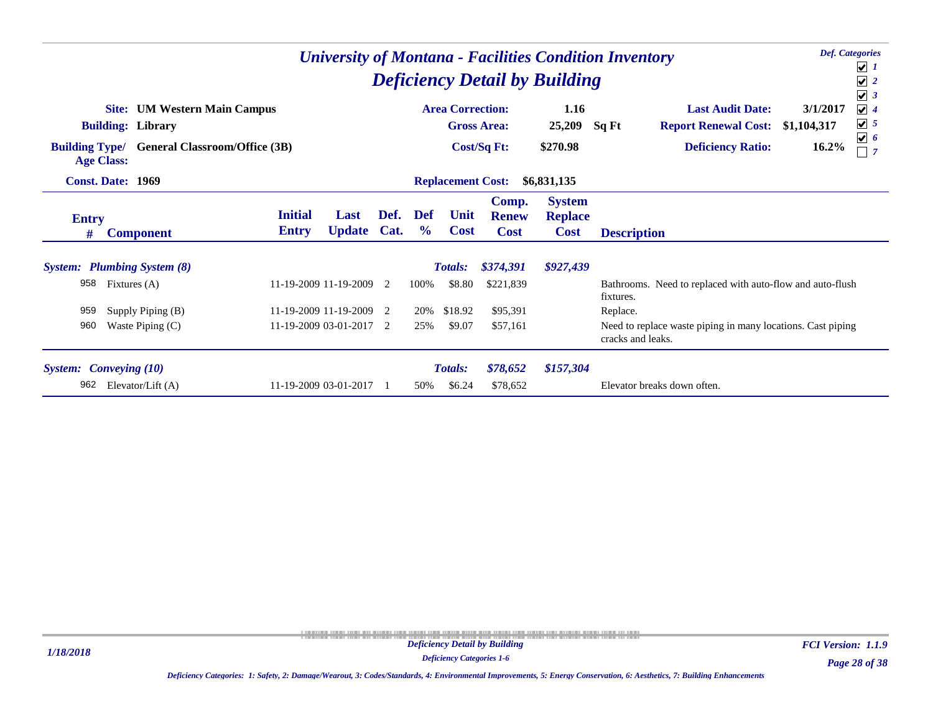| <b>University of Montana - Facilities Condition Inventory</b><br><b>Deficiency Detail by Building</b><br><b>Area Correction:</b> |                                                                                                                                 |                                |                       |              |                             |                          |                                      |                                                |                                                                                                                                    |                                                                              |  |  |  |
|----------------------------------------------------------------------------------------------------------------------------------|---------------------------------------------------------------------------------------------------------------------------------|--------------------------------|-----------------------|--------------|-----------------------------|--------------------------|--------------------------------------|------------------------------------------------|------------------------------------------------------------------------------------------------------------------------------------|------------------------------------------------------------------------------|--|--|--|
| <b>Building Type/</b>                                                                                                            | <b>UM Western Main Campus</b><br>Site:<br><b>Building: Library</b><br><b>General Classroom/Office (3B)</b><br><b>Age Class:</b> |                                |                       |              |                             | <b>Gross Area:</b>       | <b>Cost/Sq Ft:</b>                   | 1.16<br>25,209<br>\$270.98                     | <b>Last Audit Date:</b><br>3/1/2017<br>Sq Ft<br><b>Report Renewal Cost:</b><br>\$1,104,317<br><b>Deficiency Ratio:</b><br>$16.2\%$ | $\sqrt{3}$<br>$\sqrt{4}$<br>$\boxed{\mathbf{v}}$ 5<br>$\boxed{\mathbf{v}}$ 6 |  |  |  |
|                                                                                                                                  | <b>Const. Date: 1969</b>                                                                                                        |                                |                       |              |                             | <b>Replacement Cost:</b> |                                      | \$6,831,135                                    |                                                                                                                                    |                                                                              |  |  |  |
| <b>Entry</b><br>#                                                                                                                | <b>Component</b>                                                                                                                | <b>Initial</b><br><b>Entry</b> | Last<br><b>Update</b> | Def.<br>Cat. | <b>Def</b><br>$\frac{6}{9}$ | Unit<br><b>Cost</b>      | Comp.<br><b>Renew</b><br><b>Cost</b> | <b>System</b><br><b>Replace</b><br><b>Cost</b> | <b>Description</b>                                                                                                                 |                                                                              |  |  |  |
|                                                                                                                                  | <b>System:</b> Plumbing System (8)                                                                                              |                                |                       |              |                             | <b>Totals:</b>           | \$374,391                            | \$927,439                                      |                                                                                                                                    |                                                                              |  |  |  |
| 958                                                                                                                              | Fixtures (A)                                                                                                                    | 11-19-2009 11-19-2009 2        |                       |              | 100%                        | \$8.80                   | \$221,839                            |                                                | Bathrooms. Need to replaced with auto-flow and auto-flush<br>fixtures.                                                             |                                                                              |  |  |  |
| 959                                                                                                                              | Supply Piping (B)                                                                                                               | 11-19-2009 11-19-2009 2        |                       |              | 20%                         | \$18.92                  | \$95,391                             |                                                | Replace.                                                                                                                           |                                                                              |  |  |  |
| 960                                                                                                                              | Waste Piping $(C)$                                                                                                              | 11-19-2009 03-01-2017 2        |                       |              | 25%                         | \$9.07                   | \$57,161                             |                                                | Need to replace waste piping in many locations. Cast piping<br>cracks and leaks.                                                   |                                                                              |  |  |  |
|                                                                                                                                  | <b>System:</b> Conveying (10)                                                                                                   |                                |                       |              |                             | <b>Totals:</b>           | \$78,652                             | \$157,304                                      |                                                                                                                                    |                                                                              |  |  |  |
| 962                                                                                                                              | Elevator/Lift (A)                                                                                                               | 11-19-2009 03-01-2017          |                       |              | 50%                         | \$6.24                   | \$78,652                             |                                                | Elevator breaks down often.                                                                                                        |                                                                              |  |  |  |

*Deficiency Categories 1-6*

*Page 28 of 38 FCI Version: 1.1.9*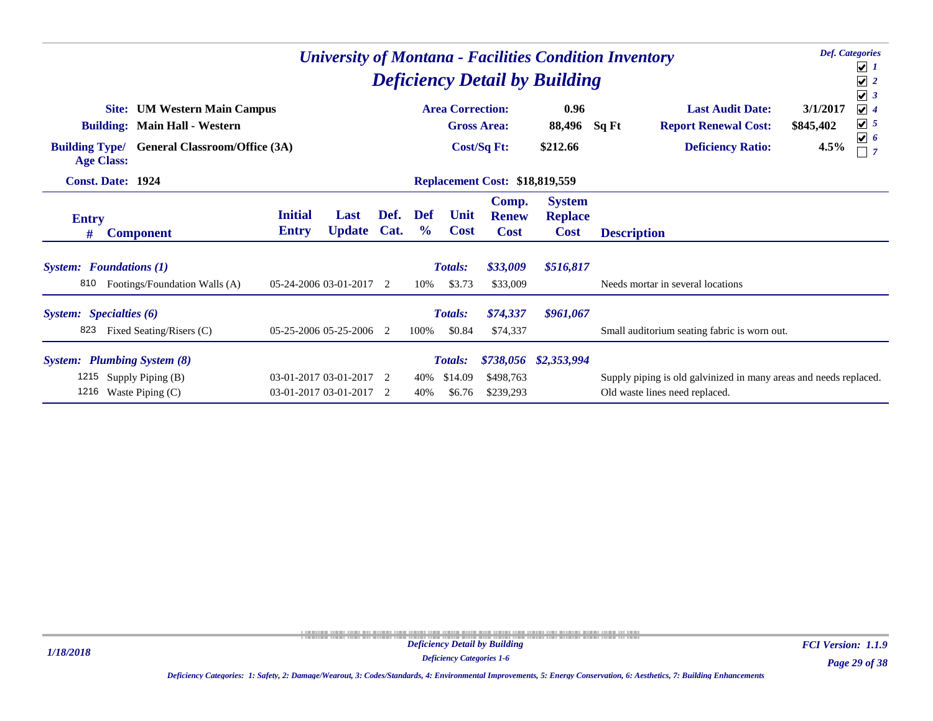|                                | <b>Def.</b> Categories<br><b>University of Montana - Facilities Condition Inventory</b><br><b>Deficiency Detail by Building</b>                            |                                |                                                    |              |                      |                                     |                                          |                                                |                                                                                                     |                                                                                                                         |  |  |  |
|--------------------------------|------------------------------------------------------------------------------------------------------------------------------------------------------------|--------------------------------|----------------------------------------------------|--------------|----------------------|-------------------------------------|------------------------------------------|------------------------------------------------|-----------------------------------------------------------------------------------------------------|-------------------------------------------------------------------------------------------------------------------------|--|--|--|
|                                | <b>UM Western Main Campus</b><br>Site:<br><b>Building: Main Hall - Western</b><br><b>Building Type/</b> General Classroom/Office (3A)<br><b>Age Class:</b> |                                |                                                    |              |                      | <b>Area Correction:</b>             | <b>Gross Area:</b><br><b>Cost/Sq Ft:</b> | 0.96<br>88,496<br>\$212.66                     | <b>Last Audit Date:</b><br>Sq Ft<br><b>Report Renewal Cost:</b><br><b>Deficiency Ratio:</b>         | $\blacktriangledown$<br>3/1/2017<br>$\sqrt{4}$<br>$\boxed{\mathbf{v}}$ 5<br>\$845,402<br>$\boxed{\mathbf{v}}$ 6<br>4.5% |  |  |  |
|                                | <b>Const. Date: 1924</b>                                                                                                                                   |                                |                                                    |              |                      |                                     | <b>Replacement Cost: \$18,819,559</b>    |                                                |                                                                                                     |                                                                                                                         |  |  |  |
| <b>Entry</b><br>#              | <b>Component</b>                                                                                                                                           | <b>Initial</b><br><b>Entry</b> | Last<br><b>Update</b>                              | Def.<br>Cat. | Def<br>$\frac{6}{9}$ | Unit<br><b>Cost</b>                 | Comp.<br><b>Renew</b><br><b>Cost</b>     | <b>System</b><br><b>Replace</b><br><b>Cost</b> | <b>Description</b>                                                                                  |                                                                                                                         |  |  |  |
| 810                            | <b>System:</b> Foundations (1)<br>Footings/Foundation Walls (A)                                                                                            |                                | 05-24-2006 03-01-2017 2                            |              | 10%                  | <b>Totals:</b><br>\$3.73            | \$33,009<br>\$33,009                     | \$516,817                                      | Needs mortar in several locations                                                                   |                                                                                                                         |  |  |  |
| System: Specialties (6)<br>823 | Fixed Seating/Risers (C)                                                                                                                                   |                                | 05-25-2006 05-25-2006 2                            |              | 100%                 | <b>Totals:</b><br>\$0.84            | \$74,337<br>\$74,337                     | \$961,067                                      | Small auditorium seating fabric is worn out.                                                        |                                                                                                                         |  |  |  |
|                                | <b>System:</b> Plumbing System (8)<br>1215 Supply Piping (B)<br>1216 Waste Piping (C)                                                                      |                                | 03-01-2017 03-01-2017 2<br>03-01-2017 03-01-2017 2 |              | 40%<br>40%           | <b>Totals:</b><br>\$14.09<br>\$6.76 | \$498,763<br>\$239,293                   | \$738,056 \$2,353,994                          | Supply piping is old galvinized in many areas and needs replaced.<br>Old waste lines need replaced. |                                                                                                                         |  |  |  |

*Deficiency Categories 1-6*

*Page 29 of 38 FCI Version: 1.1.9*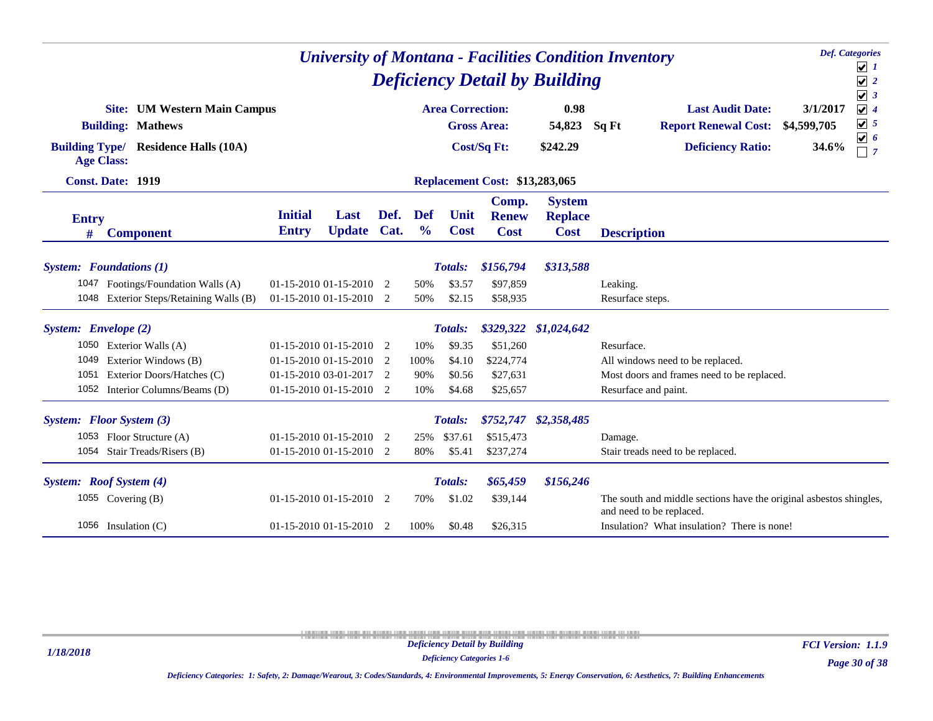| <b>Def.</b> Categories<br><b>University of Montana - Facilities Condition Inventory</b><br><b>Deficiency Detail by Building</b> |                                                                 |                                |                             |      |                      |                         |                                       |                                                |                                                                                                |                         |                                                                              |  |
|---------------------------------------------------------------------------------------------------------------------------------|-----------------------------------------------------------------|--------------------------------|-----------------------------|------|----------------------|-------------------------|---------------------------------------|------------------------------------------------|------------------------------------------------------------------------------------------------|-------------------------|------------------------------------------------------------------------------|--|
|                                                                                                                                 |                                                                 |                                |                             |      |                      |                         |                                       |                                                |                                                                                                |                         | $\overline{\mathcal{L}}$ 1<br>$\sqrt{2}$                                     |  |
|                                                                                                                                 | <b>Site:</b> UM Western Main Campus<br><b>Building: Mathews</b> |                                |                             |      |                      | <b>Area Correction:</b> | <b>Gross Area:</b>                    | 0.98<br>54,823                                 | <b>Last Audit Date:</b><br>Sq Ft<br><b>Report Renewal Cost:</b>                                | 3/1/2017<br>\$4,599,705 | $\sqrt{3}$<br>$\sqrt{4}$<br>$\boxed{\mathbf{v}}$ 5<br>$\boxed{\mathbf{v}}$ 6 |  |
| <b>Building Type/</b>                                                                                                           | <b>Residence Halls (10A)</b><br><b>Age Class:</b>               |                                |                             |      |                      |                         | <b>Cost/Sq Ft:</b>                    | \$242.29                                       | <b>Deficiency Ratio:</b>                                                                       | 34.6%                   | $\overline{7}$                                                               |  |
|                                                                                                                                 | <b>Const. Date: 1919</b>                                        |                                |                             |      |                      |                         | <b>Replacement Cost: \$13,283,065</b> |                                                |                                                                                                |                         |                                                                              |  |
| <b>Entry</b><br>#                                                                                                               | <b>Component</b>                                                | <b>Initial</b><br><b>Entry</b> | Last<br>Update Cat.         | Def. | Def<br>$\frac{6}{6}$ | Unit<br><b>Cost</b>     | Comp.<br><b>Renew</b><br><b>Cost</b>  | <b>System</b><br><b>Replace</b><br><b>Cost</b> | <b>Description</b>                                                                             |                         |                                                                              |  |
|                                                                                                                                 | <b>System:</b> Foundations (1)                                  |                                |                             |      |                      | Totals:                 | \$156,794                             | \$313,588                                      |                                                                                                |                         |                                                                              |  |
|                                                                                                                                 | 1047 Footings/Foundation Walls (A)                              |                                | 01-15-2010 01-15-2010 2     |      | 50%                  | \$3.57                  | \$97,859                              |                                                | Leaking.                                                                                       |                         |                                                                              |  |
|                                                                                                                                 | 1048 Exterior Steps/Retaining Walls (B)                         | 01-15-2010 01-15-2010 2        |                             |      | 50%                  | \$2.15                  | \$58,935                              |                                                | Resurface steps.                                                                               |                         |                                                                              |  |
| System: Envelope (2)                                                                                                            |                                                                 |                                |                             |      |                      | Totals:                 |                                       | \$329,322 \$1,024,642                          |                                                                                                |                         |                                                                              |  |
|                                                                                                                                 | 1050 Exterior Walls (A)                                         |                                | $01-15-2010$ $01-15-2010$ 2 |      | 10%                  | \$9.35                  | \$51,260                              |                                                | Resurface.                                                                                     |                         |                                                                              |  |
| 1049                                                                                                                            | Exterior Windows (B)                                            |                                | 01-15-2010 01-15-2010 2     |      | 100%                 | \$4.10                  | \$224,774                             |                                                | All windows need to be replaced.                                                               |                         |                                                                              |  |
| 1051                                                                                                                            | Exterior Doors/Hatches (C)                                      |                                | 01-15-2010 03-01-2017 2     |      | 90%                  | \$0.56                  | \$27,631                              |                                                | Most doors and frames need to be replaced.                                                     |                         |                                                                              |  |
|                                                                                                                                 | 1052 Interior Columns/Beams (D)                                 |                                | 01-15-2010 01-15-2010 2     |      | 10%                  | \$4.68                  | \$25,657                              |                                                | Resurface and paint.                                                                           |                         |                                                                              |  |
|                                                                                                                                 | System: Floor System (3)                                        |                                |                             |      |                      | <b>Totals:</b>          |                                       | \$752,747 \$2,358,485                          |                                                                                                |                         |                                                                              |  |
|                                                                                                                                 | 1053 Floor Structure (A)                                        |                                | 01-15-2010 01-15-2010 2     |      | 25%                  | \$37.61                 | \$515,473                             |                                                | Damage.                                                                                        |                         |                                                                              |  |
|                                                                                                                                 | 1054 Stair Treads/Risers (B)                                    |                                | 01-15-2010 01-15-2010 2     |      | 80%                  | \$5.41                  | \$237,274                             |                                                | Stair treads need to be replaced.                                                              |                         |                                                                              |  |
|                                                                                                                                 | System: Roof System (4)                                         |                                |                             |      |                      | <b>Totals:</b>          | \$65,459                              | \$156,246                                      |                                                                                                |                         |                                                                              |  |
|                                                                                                                                 | 1055 Covering (B)                                               |                                | $01-15-2010$ $01-15-2010$ 2 |      | 70%                  | \$1.02                  | \$39,144                              |                                                | The south and middle sections have the original asbestos shingles,<br>and need to be replaced. |                         |                                                                              |  |
|                                                                                                                                 | 1056 Insulation $(C)$                                           |                                | 01-15-2010 01-15-2010 2     |      | 100%                 | \$0.48                  | \$26,315                              |                                                | Insulation? What insulation? There is none!                                                    |                         |                                                                              |  |

*Deficiency Categories 1-6*

*Page 30 of 38 FCI Version: 1.1.9*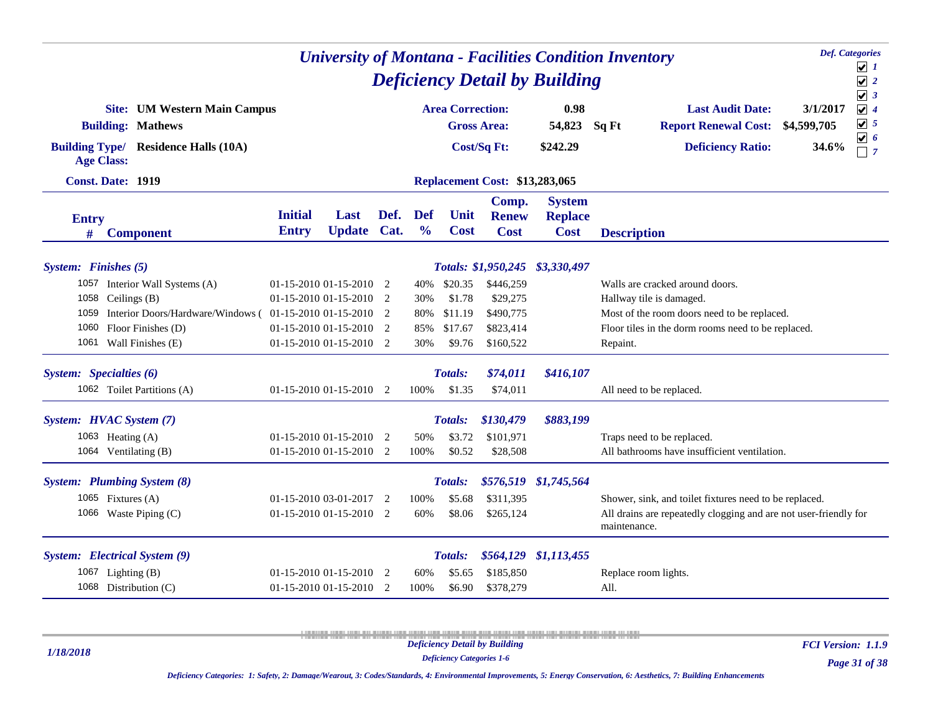| <b>University of Montana - Facilities Condition Inventory</b> |                                                          |                                |                                                                                                                                                                    |                                                                                                              |                      |                         |                                       |                                                |                                                                                  |             | <b>Def.</b> Categories<br>$\boxed{\mathbf{v}}$ 1 |
|---------------------------------------------------------------|----------------------------------------------------------|--------------------------------|--------------------------------------------------------------------------------------------------------------------------------------------------------------------|--------------------------------------------------------------------------------------------------------------|----------------------|-------------------------|---------------------------------------|------------------------------------------------|----------------------------------------------------------------------------------|-------------|--------------------------------------------------|
|                                                               |                                                          |                                |                                                                                                                                                                    |                                                                                                              |                      |                         |                                       | <b>Deficiency Detail by Building</b>           |                                                                                  |             | $\sqrt{2}$                                       |
|                                                               | <b>Site: UM Western Main Campus</b>                      |                                |                                                                                                                                                                    |                                                                                                              |                      | <b>Area Correction:</b> |                                       | 0.98                                           | <b>Last Audit Date:</b>                                                          | 3/1/2017    | $\sqrt{3}$<br>$\sqrt{4}$                         |
|                                                               | <b>Building: Mathews</b>                                 |                                |                                                                                                                                                                    |                                                                                                              |                      |                         | <b>Gross Area:</b>                    | 54,823                                         | <b>Report Renewal Cost:</b><br>Sq Ft                                             | \$4,599,705 | $\sqrt{5}$                                       |
| <b>Age Class:</b>                                             | <b>Building Type/ Residence Halls (10A)</b>              |                                |                                                                                                                                                                    |                                                                                                              |                      |                         | Cost/Sq Ft:                           | \$242.29                                       | <b>Deficiency Ratio:</b>                                                         | 34.6%       | $\boxed{\mathbf{v}}$ 6<br>$\sqsupset$ 7          |
|                                                               | <b>Const. Date: 1919</b>                                 |                                |                                                                                                                                                                    |                                                                                                              |                      |                         | <b>Replacement Cost: \$13,283,065</b> |                                                |                                                                                  |             |                                                  |
| <b>Entry</b><br>#                                             | <b>Component</b>                                         | <b>Initial</b><br><b>Entry</b> | Last<br>Update Cat.                                                                                                                                                | Def.                                                                                                         | Def<br>$\frac{6}{6}$ | Unit<br><b>Cost</b>     | Comp.<br><b>Renew</b><br><b>Cost</b>  | <b>System</b><br><b>Replace</b><br><b>Cost</b> | <b>Description</b>                                                               |             |                                                  |
|                                                               |                                                          |                                |                                                                                                                                                                    |                                                                                                              |                      |                         |                                       |                                                |                                                                                  |             |                                                  |
| System: Finishes (5)                                          | 1057 Interior Wall Systems (A)                           | $01-15-2010$ $01-15-2010$ 2    |                                                                                                                                                                    |                                                                                                              | 40%                  | \$20.35                 | \$446,259                             | Totals: \$1,950,245 \$3,330,497                | Walls are cracked around doors.                                                  |             |                                                  |
| 1058                                                          | Ceilings (B)                                             |                                |                                                                                                                                                                    |                                                                                                              |                      |                         |                                       |                                                |                                                                                  |             |                                                  |
| 1059                                                          | Interior Doors/Hardware/Windows (01-15-2010 01-15-2010 2 |                                | \$1.78<br>$01-15-2010$ $01-15-2010$ 2<br>\$29,275<br>Hallway tile is damaged.<br>30%<br>\$490,775<br>\$11.19<br>Most of the room doors need to be replaced.<br>80% |                                                                                                              |                      |                         |                                       |                                                |                                                                                  |             |                                                  |
| 1060                                                          | Floor Finishes (D)                                       |                                |                                                                                                                                                                    | \$823,414<br>Floor tiles in the dorm rooms need to be replaced.<br>$01-15-201001-15-20102$<br>85%<br>\$17.67 |                      |                         |                                       |                                                |                                                                                  |             |                                                  |
|                                                               | 1061 Wall Finishes (E)                                   | $01-15-2010$ $01-15-2010$ 2    |                                                                                                                                                                    |                                                                                                              | 30%                  | \$9.76                  | \$160,522                             |                                                | Repaint.                                                                         |             |                                                  |
| System: Specialties (6)                                       |                                                          |                                |                                                                                                                                                                    |                                                                                                              |                      | Totals:                 | \$74,011                              | \$416,107                                      |                                                                                  |             |                                                  |
|                                                               | 1062 Toilet Partitions (A)                               | $01-15-2010$ $01-15-2010$ 2    |                                                                                                                                                                    |                                                                                                              | 100%                 | \$1.35                  | \$74,011                              |                                                | All need to be replaced.                                                         |             |                                                  |
|                                                               | System: HVAC System (7)                                  |                                |                                                                                                                                                                    |                                                                                                              |                      | <b>Totals:</b>          | \$130,479                             | \$883,199                                      |                                                                                  |             |                                                  |
|                                                               | 1063 Heating $(A)$                                       | $01-15-2010$ $01-15-2010$ 2    |                                                                                                                                                                    |                                                                                                              | 50%                  | \$3.72                  | \$101,971                             |                                                | Traps need to be replaced.                                                       |             |                                                  |
|                                                               | 1064 Ventilating (B)                                     | $01-15-2010$ $01-15-2010$ 2    |                                                                                                                                                                    |                                                                                                              | 100%                 | \$0.52                  | \$28,508                              |                                                | All bathrooms have insufficient ventilation.                                     |             |                                                  |
|                                                               | System: Plumbing System (8)                              |                                |                                                                                                                                                                    |                                                                                                              |                      | Totals:                 |                                       | \$576,519 \$1,745,564                          |                                                                                  |             |                                                  |
|                                                               | 1065 Fixtures $(A)$                                      | $01-15-201003-01-20172$        |                                                                                                                                                                    |                                                                                                              | 100%                 | \$5.68                  | \$311,395                             |                                                | Shower, sink, and toilet fixtures need to be replaced.                           |             |                                                  |
|                                                               | 1066 Waste Piping (C)                                    | $01-15-2010$ $01-15-2010$ 2    |                                                                                                                                                                    |                                                                                                              | 60%                  | \$8.06                  | \$265,124                             |                                                | All drains are repeatedly clogging and are not user-friendly for<br>maintenance. |             |                                                  |
|                                                               | System: Electrical System (9)                            |                                |                                                                                                                                                                    |                                                                                                              |                      | <b>Totals:</b>          |                                       | \$564,129 \$1,113,455                          |                                                                                  |             |                                                  |
|                                                               | 1067 Lighting (B)                                        | $01-15-2010$ $01-15-2010$ 2    |                                                                                                                                                                    |                                                                                                              | 60%                  | \$5.65                  | \$185,850                             |                                                | Replace room lights.                                                             |             |                                                  |
|                                                               | 1068 Distribution (C)                                    | $01-15-2010$ $01-15-2010$ 2    |                                                                                                                                                                    |                                                                                                              | 100%                 | \$6.90                  | \$378,279                             |                                                | All.                                                                             |             |                                                  |

*1/18/2018*

*Deficiency Categories 1-6*

*FCI Version: 1.1.9*

*Deficiency Categories: 1: Safety, 2: Damage/Wearout, 3: Codes/Standards, 4: Environmental Improvements, 5: Energy Conservation, 6: Aesthetics, 7: Building Enhancements*

*Page 31 of 38*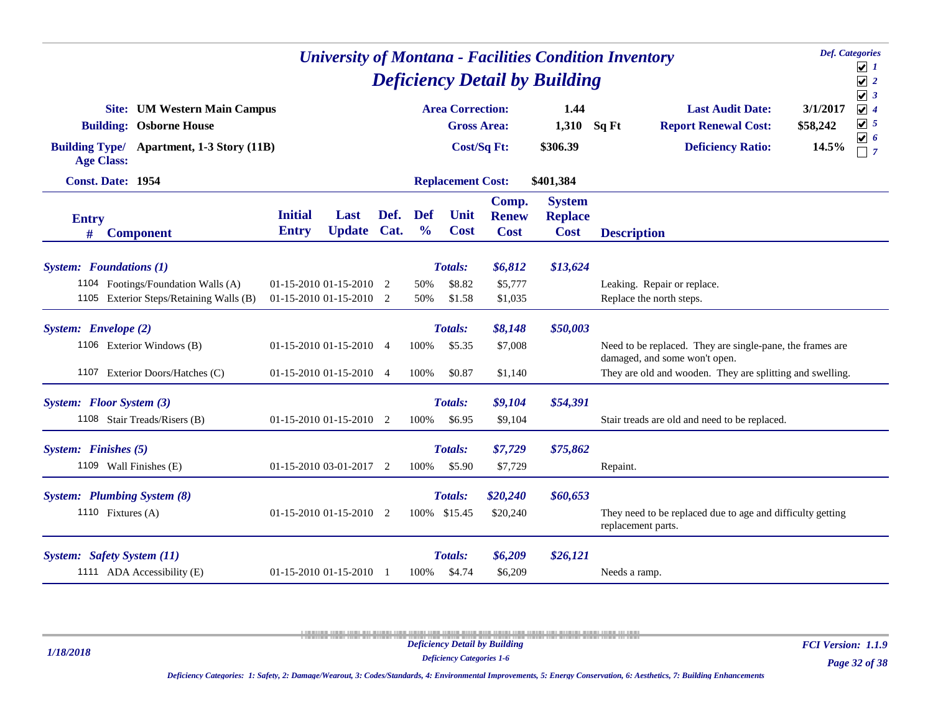| <b>Def.</b> Categories<br><b>University of Montana - Facilities Condition Inventory</b><br><b>Deficiency Detail by Building</b> |                                |                                                    |      |                      |                                               |                                      |                                                |          |                                                                                            |                      |                                                                  |  |
|---------------------------------------------------------------------------------------------------------------------------------|--------------------------------|----------------------------------------------------|------|----------------------|-----------------------------------------------|--------------------------------------|------------------------------------------------|----------|--------------------------------------------------------------------------------------------|----------------------|------------------------------------------------------------------|--|
| <b>Site:</b> UM Western Main Campus<br><b>Building: Osborne House</b>                                                           |                                |                                                    |      |                      | <b>Area Correction:</b><br><b>Gross Area:</b> |                                      | 1.44<br>1,310                                  | Sq Ft    | <b>Last Audit Date:</b><br><b>Report Renewal Cost:</b>                                     | 3/1/2017<br>\$58,242 | $\sqrt{3}$<br>$\sqrt{4}$<br>$\sqrt{5}$<br>$\boxed{\mathbf{v}}$ 6 |  |
| Building Type/ Apartment, 1-3 Story (11B)<br><b>Age Class:</b>                                                                  |                                |                                                    |      |                      |                                               | <b>Cost/Sq Ft:</b>                   | \$306.39                                       |          | <b>Deficiency Ratio:</b>                                                                   | 14.5%                | $\sqsupset$ 7                                                    |  |
| Const. Date: 1954                                                                                                               |                                |                                                    |      |                      | <b>Replacement Cost:</b>                      |                                      | \$401,384                                      |          |                                                                                            |                      |                                                                  |  |
| <b>Entry</b><br><b>Component</b><br>#                                                                                           | <b>Initial</b><br><b>Entry</b> | Last<br>Update Cat.                                | Def. | Def<br>$\frac{0}{0}$ | Unit<br><b>Cost</b>                           | Comp.<br><b>Renew</b><br><b>Cost</b> | <b>System</b><br><b>Replace</b><br><b>Cost</b> |          | <b>Description</b>                                                                         |                      |                                                                  |  |
| <b>System:</b> Foundations (1)<br>1104 Footings/Foundation Walls (A)                                                            |                                |                                                    |      |                      | Totals:                                       | \$6,812                              | \$13,624                                       |          |                                                                                            |                      |                                                                  |  |
| 1105 Exterior Steps/Retaining Walls (B)                                                                                         |                                | 01-15-2010 01-15-2010 2<br>01-15-2010 01-15-2010 2 |      | 50%<br>50%           | \$8.82<br>\$1.58                              | \$5,777<br>\$1,035                   |                                                |          | Leaking. Repair or replace.<br>Replace the north steps.                                    |                      |                                                                  |  |
| System: Envelope (2)                                                                                                            |                                |                                                    |      |                      | Totals:                                       | \$8,148                              | \$50,003                                       |          |                                                                                            |                      |                                                                  |  |
| 1106 Exterior Windows (B)                                                                                                       |                                | $01-15-2010$ $01-15-2010$ 4                        |      | 100%                 | \$5.35                                        | \$7,008                              |                                                |          | Need to be replaced. They are single-pane, the frames are<br>damaged, and some won't open. |                      |                                                                  |  |
| 1107 Exterior Doors/Hatches (C)                                                                                                 |                                | $01-15-2010$ $01-15-2010$ 4                        |      | 100%                 | \$0.87                                        | \$1,140                              |                                                |          | They are old and wooden. They are splitting and swelling.                                  |                      |                                                                  |  |
| System: Floor System (3)<br>1108 Stair Treads/Risers (B)                                                                        |                                | $01-15-2010$ $01-15-2010$ 2                        |      | 100%                 | Totals:<br>\$6.95                             | \$9,104<br>\$9,104                   | \$54,391                                       |          | Stair treads are old and need to be replaced.                                              |                      |                                                                  |  |
| System: Finishes (5)<br>1109 Wall Finishes (E)                                                                                  |                                | $01-15-2010$ 03-01-2017 2                          |      | 100%                 | Totals:<br>\$5.90                             | \$7,729<br>\$7,729                   | \$75,862                                       | Repaint. |                                                                                            |                      |                                                                  |  |
| <b>System:</b> Plumbing System (8)<br>1110 Fixtures $(A)$                                                                       |                                | $01-15-2010$ $01-15-2010$ 2                        |      |                      | Totals:<br>100% \$15.45                       | \$20,240<br>\$20,240                 | \$60,653                                       |          | They need to be replaced due to age and difficulty getting<br>replacement parts.           |                      |                                                                  |  |
| <b>System:</b> Safety System (11)<br>1111 ADA Accessibility (E)                                                                 |                                | 01-15-2010 01-15-2010                              |      | 100%                 | Totals:<br>\$4.74                             | \$6,209<br>\$6,209                   | \$26,121                                       |          | Needs a ramp.                                                                              |                      |                                                                  |  |

*1/18/2018*

*Deficiency Categories 1-6*

*Page 32 of 38 FCI Version: 1.1.9*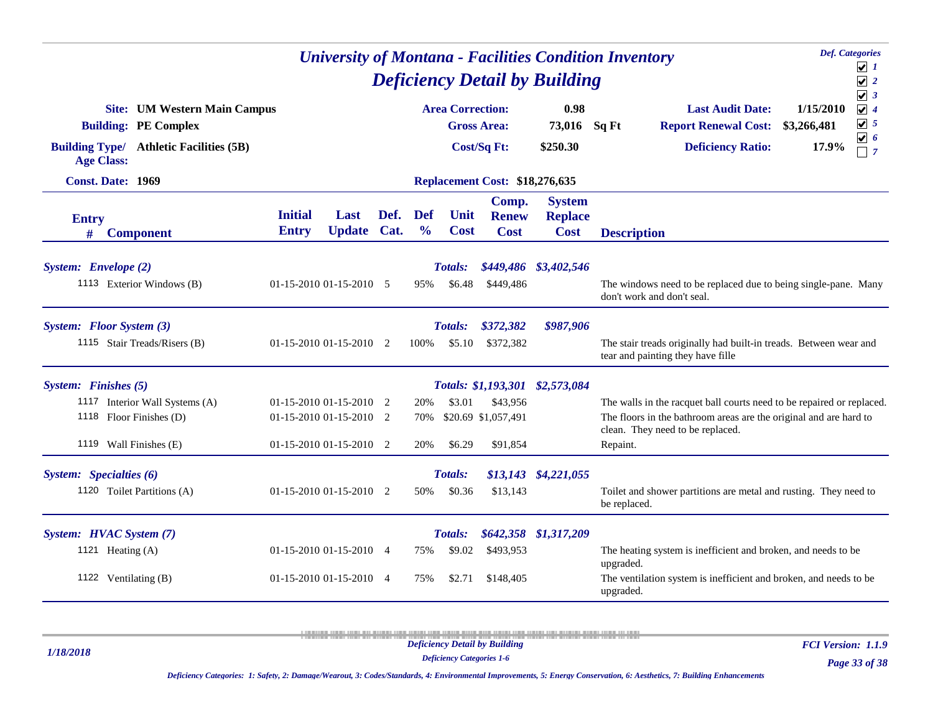| <b>University of Montana - Facilities Condition Inventory</b>       |                                |                                                        |      |                             |                          |                                       |                                                |                    |                                                                                                                                                                                |                          | <b>Def.</b> Categories<br>$\sqrt{1}$               |
|---------------------------------------------------------------------|--------------------------------|--------------------------------------------------------|------|-----------------------------|--------------------------|---------------------------------------|------------------------------------------------|--------------------|--------------------------------------------------------------------------------------------------------------------------------------------------------------------------------|--------------------------|----------------------------------------------------|
| <b>Deficiency Detail by Building</b><br><b>Area Correction:</b>     |                                |                                                        |      |                             |                          |                                       |                                                |                    |                                                                                                                                                                                |                          |                                                    |
| <b>Site:</b> UM Western Main Campus<br><b>Building: PE Complex</b>  |                                |                                                        |      |                             |                          | <b>Gross Area:</b>                    | 0.98<br>73,016                                 | Sq Ft              | <b>Last Audit Date:</b><br><b>Report Renewal Cost:</b>                                                                                                                         | 1/15/2010<br>\$3,266,481 | $\sqrt{3}$<br>$\sqrt{4}$<br>$\boxed{\mathbf{v}}$ 5 |
| <b>Building Type/ Athletic Facilities (5B)</b><br><b>Age Class:</b> |                                |                                                        |      |                             |                          | Cost/Sq Ft:                           | \$250.30                                       |                    | <b>Deficiency Ratio:</b>                                                                                                                                                       | 17.9%                    | $\sqrt{6}$<br>$\Box$ 7                             |
| Const. Date: 1969                                                   |                                |                                                        |      |                             |                          | <b>Replacement Cost: \$18,276,635</b> |                                                |                    |                                                                                                                                                                                |                          |                                                    |
| <b>Entry</b><br>#<br><b>Component</b>                               | <b>Initial</b><br><b>Entry</b> | Last<br><b>Update Cat.</b>                             | Def. | <b>Def</b><br>$\frac{0}{0}$ | Unit<br><b>Cost</b>      | Comp.<br><b>Renew</b><br><b>Cost</b>  | <b>System</b><br><b>Replace</b><br><b>Cost</b> | <b>Description</b> |                                                                                                                                                                                |                          |                                                    |
| System: Envelope (2)<br>1113 Exterior Windows (B)                   |                                | $01-15-2010$ $01-15-2010$ 5                            |      | 95%                         | <b>Totals:</b><br>\$6.48 | \$449,486                             | \$449,486 \$3,402,546                          |                    | The windows need to be replaced due to being single-pane. Many<br>don't work and don't seal.                                                                                   |                          |                                                    |
| System: Floor System (3)<br>1115 Stair Treads/Risers (B)            |                                | $01-15-2010$ $01-15-2010$ 2                            |      | 100%                        | <b>Totals:</b><br>\$5.10 | \$372,382<br>\$372.382                | \$987,906                                      |                    | The stair treads originally had built-in treads. Between wear and<br>tear and painting they have fille                                                                         |                          |                                                    |
| System: Finishes (5)                                                |                                |                                                        |      |                             |                          |                                       | Totals: \$1,193,301 \$2,573,084                |                    |                                                                                                                                                                                |                          |                                                    |
| 1117 Interior Wall Systems (A)<br>1118 Floor Finishes (D)           |                                | $01-15-2010$ $01-15-2010$ 2<br>01-15-2010 01-15-2010 2 |      | 20%<br>70%                  | \$3.01                   | \$43,956<br>\$20.69 \$1,057,491       |                                                |                    | The walls in the racquet ball courts need to be repaired or replaced.<br>The floors in the bathroom areas are the original and are hard to<br>clean. They need to be replaced. |                          |                                                    |
| 1119 Wall Finishes (E)                                              |                                | $01-15-2010$ $01-15-2010$ 2                            |      | 20%                         | \$6.29                   | \$91,854                              |                                                | Repaint.           |                                                                                                                                                                                |                          |                                                    |
| System: Specialties (6)<br>1120 Toilet Partitions (A)               |                                | 01-15-2010 01-15-2010 2                                |      | 50%                         | <b>Totals:</b><br>\$0.36 | \$13,143                              | \$13,143 \$4,221,055                           | be replaced.       | Toilet and shower partitions are metal and rusting. They need to                                                                                                               |                          |                                                    |
| System: HVAC System (7)                                             |                                |                                                        |      |                             | Totals:                  |                                       | \$642,358 \$1,317,209                          |                    |                                                                                                                                                                                |                          |                                                    |
| 1121 Heating $(A)$                                                  |                                | $01-15-2010$ $01-15-2010$ 4                            |      | 75%                         | \$9.02                   | \$493,953                             |                                                | upgraded.          | The heating system is inefficient and broken, and needs to be                                                                                                                  |                          |                                                    |
| 1122 Ventilating (B)                                                |                                | $01-15-2010$ $01-15-2010$ 4                            |      | 75%                         | \$2.71                   | \$148,405                             |                                                | upgraded.          | The ventilation system is inefficient and broken, and needs to be                                                                                                              |                          |                                                    |

*1/18/2018*

*Deficiency Categories 1-6*

*FCI Version: 1.1.9*

*Deficiency Categories: 1: Safety, 2: Damage/Wearout, 3: Codes/Standards, 4: Environmental Improvements, 5: Energy Conservation, 6: Aesthetics, 7: Building Enhancements*

*Page 33 of 38*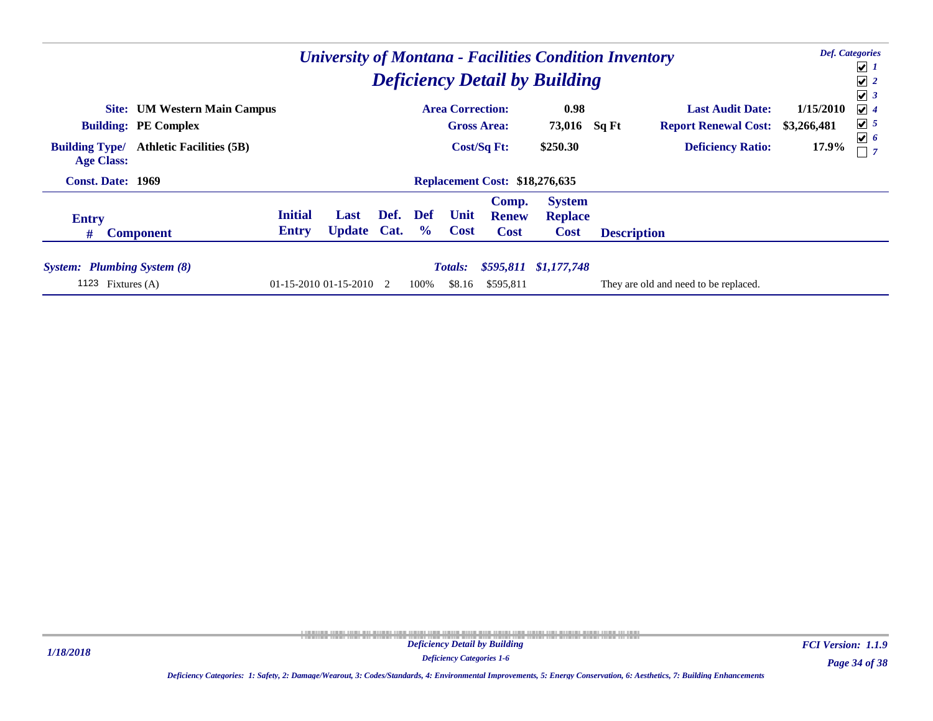| <b>University of Montana - Facilities Condition Inventory</b><br><b>Deficiency Detail by Building</b> |                                |                            |      |                       |                         |                                       |                                                |                    |                                       |             |                                         |  |  |
|-------------------------------------------------------------------------------------------------------|--------------------------------|----------------------------|------|-----------------------|-------------------------|---------------------------------------|------------------------------------------------|--------------------|---------------------------------------|-------------|-----------------------------------------|--|--|
|                                                                                                       |                                |                            |      |                       |                         |                                       |                                                |                    |                                       |             | $\bigcup$ 1<br>$\sqrt{2}$<br>$\sqrt{3}$ |  |  |
| <b>Site:</b> UM Western Main Campus                                                                   |                                |                            |      |                       | <b>Area Correction:</b> |                                       | 0.98                                           |                    | <b>Last Audit Date:</b>               | 1/15/2010   | $\sqrt{4}$                              |  |  |
| <b>Building: PE Complex</b>                                                                           |                                |                            |      |                       |                         | <b>Gross Area:</b>                    | 73,016                                         | Sq Ft              | <b>Report Renewal Cost:</b>           | \$3,266,481 | $\sqrt{5}$<br>$\boxed{\mathbf{v}}$ 6    |  |  |
| <b>Athletic Facilities (5B)</b><br><b>Building Type/</b><br><b>Age Class:</b>                         |                                |                            |      |                       |                         | Cost/Sq Ft:                           | \$250.30                                       |                    | <b>Deficiency Ratio:</b>              | 17.9%       |                                         |  |  |
| <b>Const. Date: 1969</b>                                                                              |                                |                            |      |                       |                         | <b>Replacement Cost: \$18,276,635</b> |                                                |                    |                                       |             |                                         |  |  |
| <b>Entry</b><br>#<br><b>Component</b>                                                                 | <b>Initial</b><br><b>Entry</b> | Last<br><b>Update Cat.</b> | Def. | Def<br>$\frac{6}{10}$ | Unit<br><b>Cost</b>     | Comp.<br><b>Renew</b><br><b>Cost</b>  | <b>System</b><br><b>Replace</b><br><b>Cost</b> | <b>Description</b> |                                       |             |                                         |  |  |
|                                                                                                       |                                |                            |      |                       |                         |                                       |                                                |                    |                                       |             |                                         |  |  |
| <b>System:</b> Plumbing System (8)                                                                    |                                |                            |      |                       | <b>Totals:</b>          |                                       | \$595,811 \$1,177,748                          |                    |                                       |             |                                         |  |  |
| 1123<br>Fixtures (A)                                                                                  |                                | $01-15-201001-15-2010$ 2   |      | 100%                  | \$8.16                  | \$595,811                             |                                                |                    | They are old and need to be replaced. |             |                                         |  |  |

*Page 34 of 38 FCI Version: 1.1.9*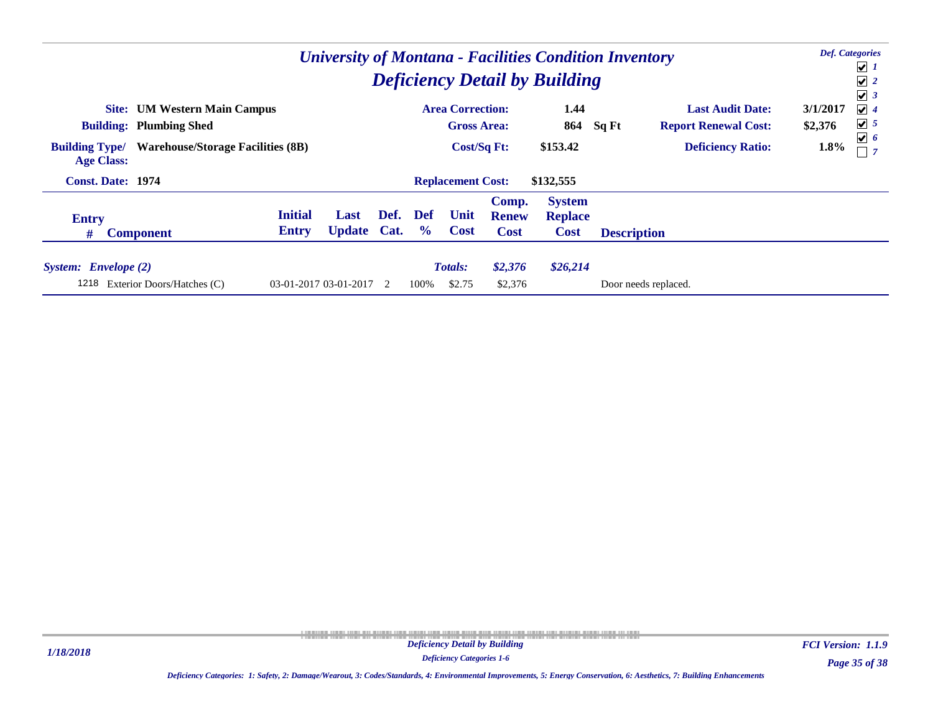| <b>University of Montana - Facilities Condition Inventory</b><br><b>Deficiency Detail by Building</b> |                                |                            |                |                      |                          |                                      |                                                |                      |                             |          |                                                    |  |  |
|-------------------------------------------------------------------------------------------------------|--------------------------------|----------------------------|----------------|----------------------|--------------------------|--------------------------------------|------------------------------------------------|----------------------|-----------------------------|----------|----------------------------------------------------|--|--|
|                                                                                                       |                                |                            |                |                      |                          |                                      |                                                |                      |                             |          | $\boxed{\mathbf{v}}$ 1<br>$\sqrt{2}$<br>$\sqrt{3}$ |  |  |
| <b>Site:</b> UM Western Main Campus                                                                   |                                |                            |                |                      | <b>Area Correction:</b>  |                                      | 1.44                                           |                      | <b>Last Audit Date:</b>     | 3/1/2017 | $\vert\bm{\mathsf{v}}\vert$ 4                      |  |  |
| <b>Building: Plumbing Shed</b>                                                                        |                                |                            |                |                      | <b>Gross Area:</b>       |                                      | 864                                            | Sq Ft                | <b>Report Renewal Cost:</b> | \$2,376  | $\boxed{\mathbf{v}}$ 5                             |  |  |
| <b>Warehouse/Storage Facilities (8B)</b><br><b>Building Type/</b><br><b>Age Class:</b>                |                                |                            |                |                      | Cost/Sq Ft:              |                                      | \$153.42                                       |                      | <b>Deficiency Ratio:</b>    | 1.8%     | $\sqrt{6}$                                         |  |  |
| <b>Const. Date: 1974</b>                                                                              |                                |                            |                |                      | <b>Replacement Cost:</b> |                                      | \$132,555                                      |                      |                             |          |                                                    |  |  |
| <b>Entry</b><br>#<br><b>Component</b>                                                                 | <b>Initial</b><br><b>Entry</b> | Last<br><b>Update Cat.</b> | Def.           | Def<br>$\frac{6}{9}$ | Unit<br><b>Cost</b>      | Comp.<br><b>Renew</b><br><b>Cost</b> | <b>System</b><br><b>Replace</b><br><b>Cost</b> | <b>Description</b>   |                             |          |                                                    |  |  |
| System: Envelope (2)<br>1218<br>Exterior Doors/Hatches (C)                                            |                                | 03-01-2017 03-01-2017      | $\overline{2}$ | 100%                 | <b>Totals:</b><br>\$2.75 | \$2,376<br>\$2,376                   | \$26,214                                       | Door needs replaced. |                             |          |                                                    |  |  |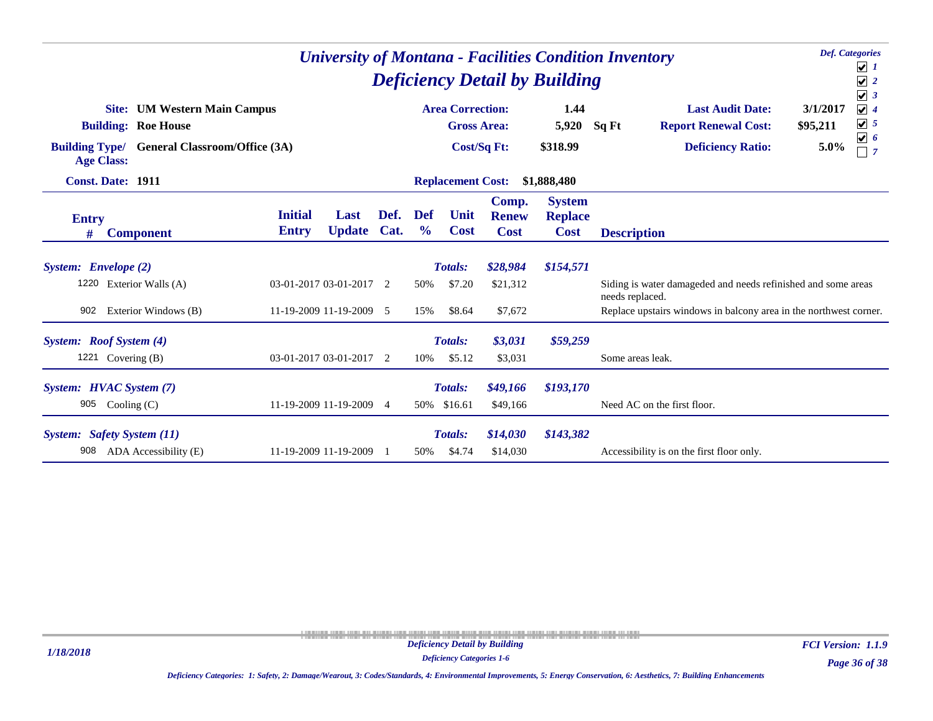|                                            |                                                                   |                                |                         | <b>Deficiency Detail by Building</b> |                             | <b>Def.</b> Categories<br><b>University of Montana - Facilities Condition Inventory</b><br>$\sqrt{1}$<br>$\sqrt{2}$<br>$\sqrt{3}$ |                                      |                                                |                                                                                                                                               |  |
|--------------------------------------------|-------------------------------------------------------------------|--------------------------------|-------------------------|--------------------------------------|-----------------------------|-----------------------------------------------------------------------------------------------------------------------------------|--------------------------------------|------------------------------------------------|-----------------------------------------------------------------------------------------------------------------------------------------------|--|
|                                            | <b>Site:</b> UM Western Main Campus<br><b>Building: Roe House</b> |                                |                         |                                      |                             | <b>Area Correction:</b><br><b>Gross Area:</b>                                                                                     |                                      | 1.44<br>5,920                                  | <b>Last Audit Date:</b><br>3/1/2017<br>$\sqrt{4}$<br>$\sqrt{5}$<br>Sq Ft<br><b>Report Renewal Cost:</b><br>\$95,211<br>$\boxed{\mathbf{v}}$ 6 |  |
| <b>Building Type/</b><br><b>Age Class:</b> | <b>General Classroom/Office (3A)</b>                              |                                |                         |                                      |                             | Cost/Sq Ft:                                                                                                                       |                                      | \$318.99                                       | <b>Deficiency Ratio:</b><br>5.0%<br>$\Box$ 7                                                                                                  |  |
|                                            | <b>Const. Date: 1911</b>                                          |                                |                         |                                      |                             | <b>Replacement Cost:</b>                                                                                                          |                                      | \$1,888,480                                    |                                                                                                                                               |  |
| <b>Entry</b><br>#                          | <b>Component</b>                                                  | <b>Initial</b><br><b>Entry</b> | Last<br><b>Update</b>   | Def.<br>Cat.                         | <b>Def</b><br>$\frac{0}{0}$ | Unit<br><b>Cost</b>                                                                                                               | Comp.<br><b>Renew</b><br><b>Cost</b> | <b>System</b><br><b>Replace</b><br><b>Cost</b> | <b>Description</b>                                                                                                                            |  |
|                                            |                                                                   |                                |                         |                                      |                             |                                                                                                                                   |                                      |                                                |                                                                                                                                               |  |
| System: Envelope (2)                       |                                                                   |                                |                         |                                      |                             | <b>Totals:</b>                                                                                                                    | \$28,984                             | \$154,571                                      |                                                                                                                                               |  |
| 1220                                       | Exterior Walls (A)                                                |                                | 03-01-2017 03-01-2017 2 |                                      | 50%                         | \$7.20                                                                                                                            | \$21,312                             |                                                | Siding is water damageded and needs refinished and some areas<br>needs replaced.                                                              |  |
| 902                                        | Exterior Windows (B)                                              |                                | 11-19-2009 11-19-2009 5 |                                      | 15%                         | \$8.64                                                                                                                            | \$7,672                              |                                                | Replace upstairs windows in balcony area in the northwest corner.                                                                             |  |
|                                            | System: Roof System (4)                                           |                                |                         |                                      |                             | <b>Totals:</b>                                                                                                                    | \$3,031                              | \$59,259                                       |                                                                                                                                               |  |
|                                            | 1221 Covering $(B)$                                               |                                | 03-01-2017 03-01-2017 2 |                                      | 10%                         | \$5.12                                                                                                                            | \$3,031                              |                                                | Some areas leak.                                                                                                                              |  |
|                                            | System: HVAC System (7)                                           |                                |                         |                                      |                             | <b>Totals:</b>                                                                                                                    | \$49,166                             | \$193,170                                      |                                                                                                                                               |  |
| 905                                        | Cooling $(C)$                                                     |                                | 11-19-2009 11-19-2009   | $\overline{4}$                       |                             | 50% \$16.61                                                                                                                       | \$49,166                             |                                                | Need AC on the first floor.                                                                                                                   |  |
|                                            | <b>System:</b> Safety System (11)                                 |                                |                         |                                      |                             | <b>Totals:</b>                                                                                                                    | \$14,030                             | \$143,382                                      |                                                                                                                                               |  |
| 908                                        | ADA Accessibility (E)                                             |                                | 11-19-2009 11-19-2009   |                                      | 50%                         | \$4.74                                                                                                                            | \$14,030                             |                                                | Accessibility is on the first floor only.                                                                                                     |  |

*Deficiency Categories 1-6*

*Page 36 of 38 FCI Version: 1.1.9*

*Deficiency Categories: 1: Safety, 2: Damage/Wearout, 3: Codes/Standards, 4: Environmental Improvements, 5: Energy Conservation, 6: Aesthetics, 7: Building Enhancements*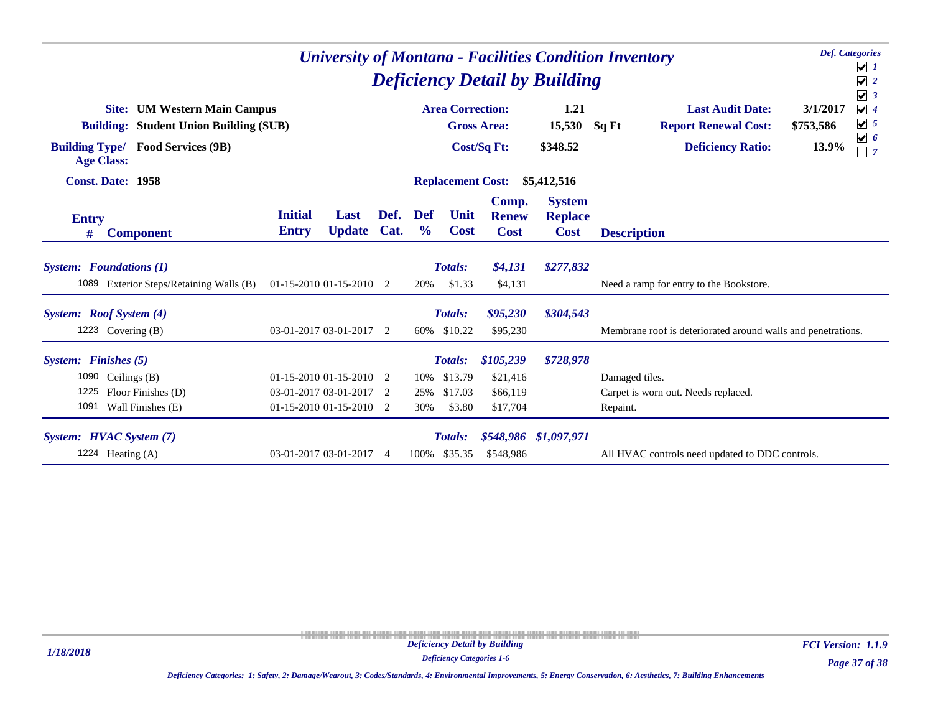| <b>Def.</b> Categories<br><b>University of Montana - Facilities Condition Inventory</b><br><b>Deficiency Detail by Building</b>                                 |                                |                                                                              |                |                             |                                                                     |                                               |                                                |                                                                                                                      |                                                                                                        |  |
|-----------------------------------------------------------------------------------------------------------------------------------------------------------------|--------------------------------|------------------------------------------------------------------------------|----------------|-----------------------------|---------------------------------------------------------------------|-----------------------------------------------|------------------------------------------------|----------------------------------------------------------------------------------------------------------------------|--------------------------------------------------------------------------------------------------------|--|
| <b>Site:</b> UM Western Main Campus<br><b>Building: Student Union Building (SUB)</b><br><b>Building Type/</b><br><b>Food Services (9B)</b><br><b>Age Class:</b> |                                |                                                                              |                |                             | <b>Area Correction:</b><br><b>Gross Area:</b><br><b>Cost/Sq Ft:</b> |                                               | 1.21<br>15,530<br>\$348.52                     | <b>Last Audit Date:</b><br>3/1/2017<br>Sq Ft<br><b>Report Renewal Cost:</b><br>\$753,586<br><b>Deficiency Ratio:</b> | $\sqrt{3}$<br>$\sqrt{4}$<br>$\boxed{\bigcup}$ 5<br>$\boxed{\mathbf{v}}$ 6<br>13.9%<br>$\overline{1}$ 7 |  |
| <b>Const. Date: 1958</b>                                                                                                                                        |                                |                                                                              |                |                             | <b>Replacement Cost:</b>                                            |                                               | \$5,412,516                                    |                                                                                                                      |                                                                                                        |  |
| <b>Entry</b><br><b>Component</b><br>#                                                                                                                           | <b>Initial</b><br><b>Entry</b> | Last<br><b>Update</b>                                                        | Def.<br>Cat.   | <b>Def</b><br>$\frac{0}{0}$ | Unit<br><b>Cost</b>                                                 | Comp.<br><b>Renew</b><br><b>Cost</b>          | <b>System</b><br><b>Replace</b><br><b>Cost</b> | <b>Description</b>                                                                                                   |                                                                                                        |  |
| <b>System:</b> Foundations (1)<br>1089 Exterior Steps/Retaining Walls (B)                                                                                       |                                | $01-15-201001-15-2010$                                                       | $\overline{2}$ | 20%                         | <b>Totals:</b><br>\$1.33                                            | \$4,131<br>\$4,131                            | \$277,832                                      | Need a ramp for entry to the Bookstore.                                                                              |                                                                                                        |  |
| System: Roof System (4)<br>1223 Covering $(B)$                                                                                                                  |                                | 03-01-2017 03-01-2017 2                                                      |                |                             | Totals:<br>60% \$10.22                                              | \$95,230<br>\$95,230                          | \$304,543                                      | Membrane roof is deteriorated around walls and penetrations.                                                         |                                                                                                        |  |
| System: Finishes (5)<br>1090<br>Ceilings (B)<br>1225<br>Floor Finishes (D)<br>1091<br>Wall Finishes (E)                                                         |                                | $01-15-201001-15-2010$ 2<br>03-01-2017 03-01-2017<br>01-15-2010 01-15-2010 2 | - 2            | 10%<br>25%<br>30%           | <b>Totals:</b><br>\$13.79<br>\$17.03<br>\$3.80                      | \$105,239<br>\$21,416<br>\$66,119<br>\$17,704 | \$728,978                                      | Damaged tiles.<br>Carpet is worn out. Needs replaced.<br>Repaint.                                                    |                                                                                                        |  |
| System: HVAC System (7)<br>1224 Heating (A)                                                                                                                     |                                | 03-01-2017 03-01-2017                                                        | $\overline{4}$ | 100%                        | <b>Totals:</b><br>\$35.35                                           | \$548,986                                     | \$548,986 \$1,097,971                          | All HVAC controls need updated to DDC controls.                                                                      |                                                                                                        |  |